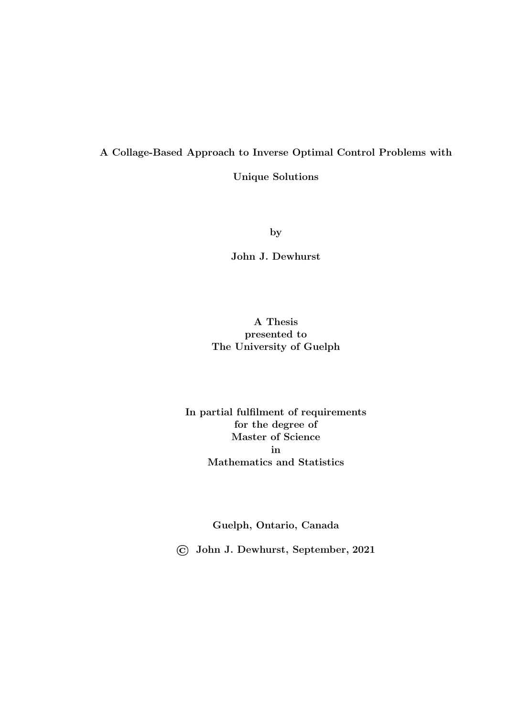### <span id="page-0-0"></span>A Collage-Based Approach to Inverse Optimal Control Problems with

Unique Solutions

by

John J. Dewhurst

### A Thesis presented to The University of Guelph

### In partial fulfilment of requirements for the degree of Master of Science in Mathematics and Statistics

Guelph, Ontario, Canada

© John J. Dewhurst, September, 2021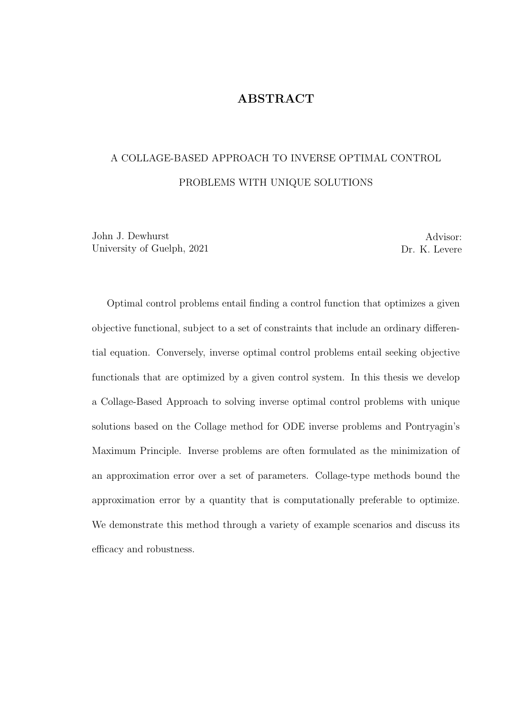### ABSTRACT

### A COLLAGE-BASED APPROACH TO INVERSE OPTIMAL CONTROL PROBLEMS WITH UNIQUE SOLUTIONS

John J. Dewhurst University of Guelph, 2021

Advisor: Dr. K. Levere

Optimal control problems entail finding a control function that optimizes a given objective functional, subject to a set of constraints that include an ordinary differential equation. Conversely, inverse optimal control problems entail seeking objective functionals that are optimized by a given control system. In this thesis we develop a Collage-Based Approach to solving inverse optimal control problems with unique solutions based on the Collage method for ODE inverse problems and Pontryagin's Maximum Principle. Inverse problems are often formulated as the minimization of an approximation error over a set of parameters. Collage-type methods bound the approximation error by a quantity that is computationally preferable to optimize. We demonstrate this method through a variety of example scenarios and discuss its efficacy and robustness.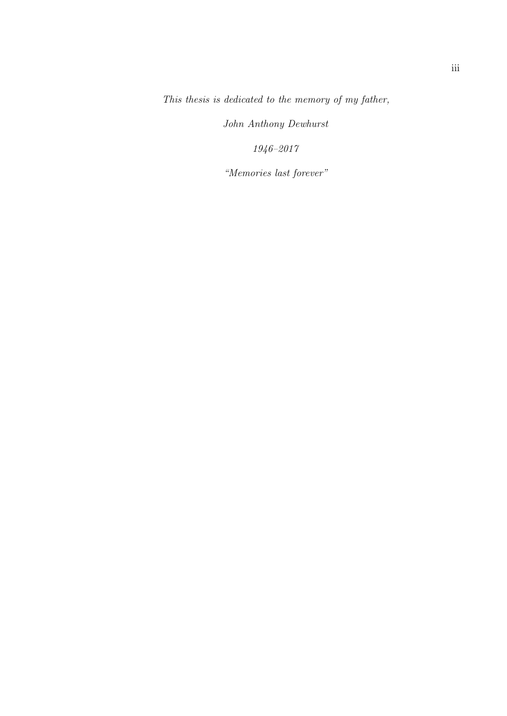This thesis is dedicated to the memory of my father,

John Anthony Dewhurst

1946–2017

"Memories last forever"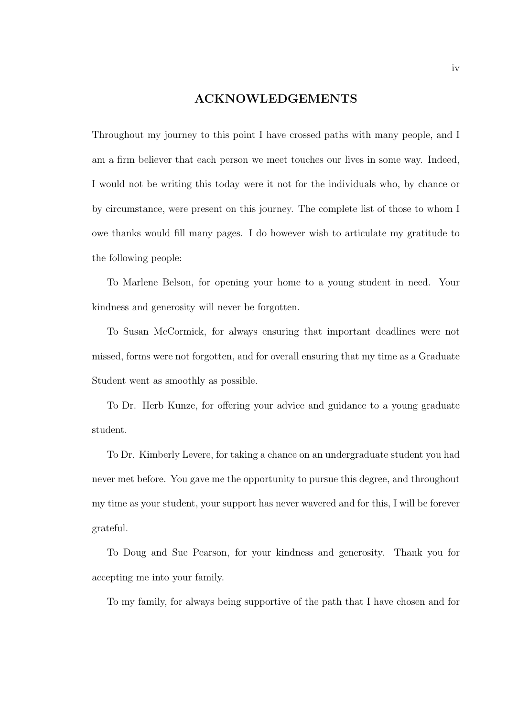#### ACKNOWLEDGEMENTS

Throughout my journey to this point I have crossed paths with many people, and I am a firm believer that each person we meet touches our lives in some way. Indeed, I would not be writing this today were it not for the individuals who, by chance or by circumstance, were present on this journey. The complete list of those to whom I owe thanks would fill many pages. I do however wish to articulate my gratitude to the following people:

To Marlene Belson, for opening your home to a young student in need. Your kindness and generosity will never be forgotten.

To Susan McCormick, for always ensuring that important deadlines were not missed, forms were not forgotten, and for overall ensuring that my time as a Graduate Student went as smoothly as possible.

To Dr. Herb Kunze, for offering your advice and guidance to a young graduate student.

To Dr. Kimberly Levere, for taking a chance on an undergraduate student you had never met before. You gave me the opportunity to pursue this degree, and throughout my time as your student, your support has never wavered and for this, I will be forever grateful.

To Doug and Sue Pearson, for your kindness and generosity. Thank you for accepting me into your family.

To my family, for always being supportive of the path that I have chosen and for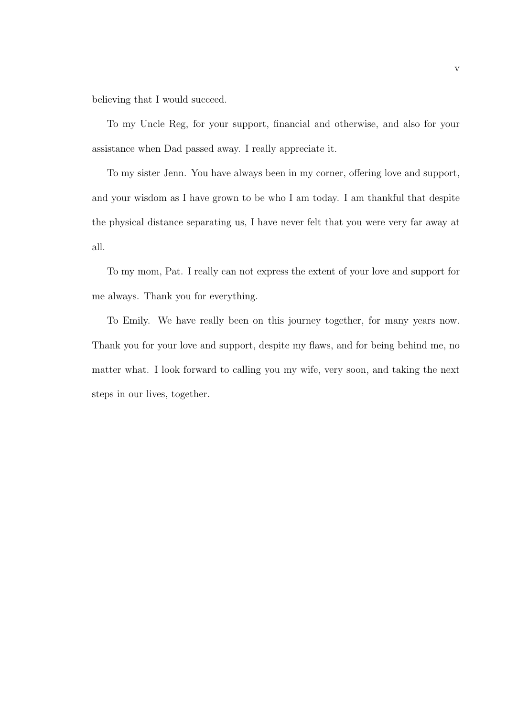believing that I would succeed.

To my Uncle Reg, for your support, financial and otherwise, and also for your assistance when Dad passed away. I really appreciate it.

To my sister Jenn. You have always been in my corner, offering love and support, and your wisdom as I have grown to be who I am today. I am thankful that despite the physical distance separating us, I have never felt that you were very far away at all.

To my mom, Pat. I really can not express the extent of your love and support for me always. Thank you for everything.

To Emily. We have really been on this journey together, for many years now. Thank you for your love and support, despite my flaws, and for being behind me, no matter what. I look forward to calling you my wife, very soon, and taking the next steps in our lives, together.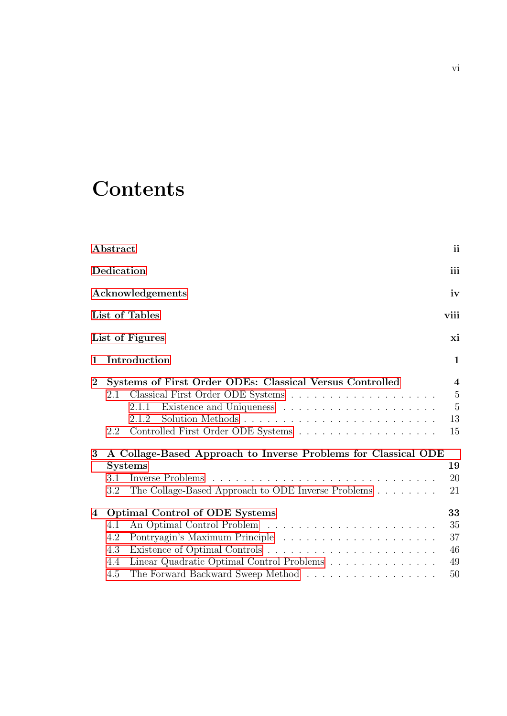## **Contents**

|                     | Abstract                        |                                                                                                                                                                                                                                          | ii                                                                                        |
|---------------------|---------------------------------|------------------------------------------------------------------------------------------------------------------------------------------------------------------------------------------------------------------------------------------|-------------------------------------------------------------------------------------------|
|                     | Dedication                      |                                                                                                                                                                                                                                          | iii                                                                                       |
|                     |                                 | Acknowledgements                                                                                                                                                                                                                         | iv                                                                                        |
|                     |                                 | List of Tables                                                                                                                                                                                                                           | viii                                                                                      |
|                     |                                 | List of Figures                                                                                                                                                                                                                          | xi                                                                                        |
| 1                   |                                 | Introduction                                                                                                                                                                                                                             | $\mathbf{1}$                                                                              |
| $\overline{2}$<br>3 | 2.1<br>2.2<br>3.1<br>3.2        | Systems of First Order ODEs: Classical Versus Controlled<br>2.1.1<br>Solution Methods<br>2.1.2<br>A Collage-Based Approach to Inverse Problems for Classical ODE<br><b>Systems</b><br>The Collage-Based Approach to ODE Inverse Problems | $\overline{\mathbf{4}}$<br>$\overline{5}$<br>$\overline{5}$<br>13<br>15<br>19<br>20<br>21 |
| $\bf{4}$            | 4.1<br>4.2<br>4.3<br>4.4<br>4.5 | Optimal Control of ODE Systems<br>Linear Quadratic Optimal Control Problems<br>The Forward Backward Sweep Method                                                                                                                         | 33<br>35<br>37<br>46<br>49<br>50                                                          |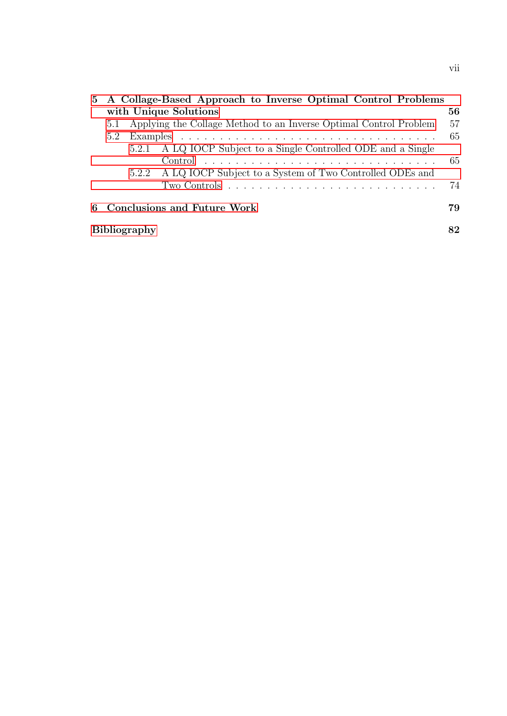|   |                           |  | 5 A Collage-Based Approach to Inverse Optimal Control Problems                |    |  |  |  |
|---|---------------------------|--|-------------------------------------------------------------------------------|----|--|--|--|
|   | with Unique Solutions     |  |                                                                               |    |  |  |  |
|   | 5.1                       |  | Applying the Collage Method to an Inverse Optimal Control Problem             | 57 |  |  |  |
|   | 5.2                       |  |                                                                               | 65 |  |  |  |
|   |                           |  | 5.2.1 A LQ IOCP Subject to a Single Controlled ODE and a Single               |    |  |  |  |
|   |                           |  |                                                                               | 65 |  |  |  |
|   |                           |  | 5.2.2 A LQ IOCP Subject to a System of Two Controlled ODEs and                |    |  |  |  |
|   |                           |  | Two Controls $\ldots \ldots \ldots \ldots \ldots \ldots \ldots \ldots \ldots$ | 74 |  |  |  |
|   |                           |  |                                                                               |    |  |  |  |
| 6 |                           |  | <b>Conclusions and Future Work</b>                                            | 79 |  |  |  |
|   | <b>Bibliography</b><br>82 |  |                                                                               |    |  |  |  |
|   |                           |  |                                                                               |    |  |  |  |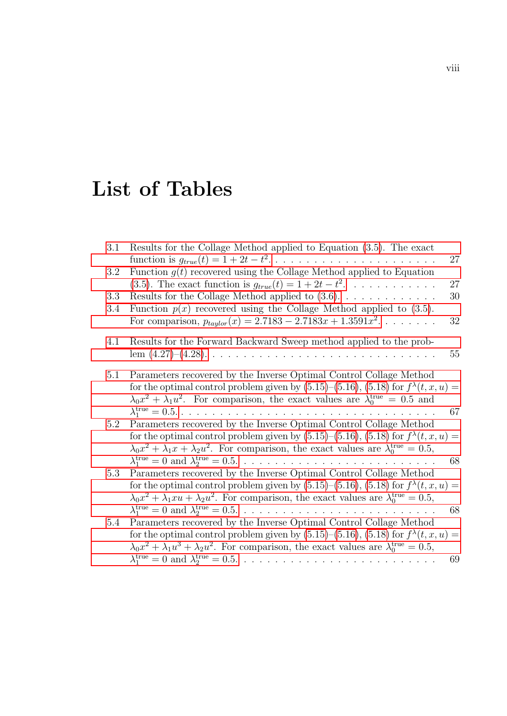# <span id="page-7-0"></span>List of Tables

| 3.1     | Results for the Collage Method applied to Equation $(3.5)$ . The exact                                                                                                                                                                                                                        | 27     |
|---------|-----------------------------------------------------------------------------------------------------------------------------------------------------------------------------------------------------------------------------------------------------------------------------------------------|--------|
| 3.2     | Function $g(t)$ recovered using the Collage Method applied to Equation                                                                                                                                                                                                                        |        |
|         | (3.5). The exact function is $g_{true}(t) = 1 + 2t - t^2$ .                                                                                                                                                                                                                                   | 27     |
| 3.3     | Results for the Collage Method applied to $(3.6)$                                                                                                                                                                                                                                             | $30\,$ |
| 3.4     | Function $p(x)$ recovered using the Collage Method applied to (3.5).<br>For comparison, $p_{taulor}(x) = 2.7183 - 2.7183x + 1.3591x^2$                                                                                                                                                        | $32\,$ |
| 4.1     | Results for the Forward Backward Sweep method applied to the prob-                                                                                                                                                                                                                            | 55     |
| 5.1     | Parameters recovered by the Inverse Optimal Control Collage Method<br>for the optimal control problem given by (5.15)–(5.16), (5.18) for $f^{\lambda}(t, x, u) =$<br>$\lambda_0 x^2 + \lambda_1 u^2$ . For comparison, the exact values are $\lambda_0^{\text{true}} = 0.5$ and               |        |
|         | $\lambda_1^{\text{true}} = 0.5. \ldots \ldots \ldots \ldots \ldots \ldots \ldots \ldots$                                                                                                                                                                                                      | 67     |
| $5.2\,$ | Parameters recovered by the Inverse Optimal Control Collage Method<br>for the optimal control problem given by (5.15)–(5.16), (5.18) for $f^{\lambda}(t, x, u) =$<br>$\lambda_0 x^2 + \lambda_1 x + \lambda_2 u^2$ . For comparison, the exact values are $\lambda_0^{\text{true}} = 0.5$ ,   |        |
|         |                                                                                                                                                                                                                                                                                               | 68     |
| 5.3     | Parameters recovered by the Inverse Optimal Control Collage Method<br>for the optimal control problem given by (5.15)–(5.16), (5.18) for $f^{\lambda}(t, x, u) =$<br>$\lambda_0 x^2 + \lambda_1 x u + \lambda_2 u^2$ . For comparison, the exact values are $\lambda_0^{\text{true}} = 0.5$ , |        |
|         |                                                                                                                                                                                                                                                                                               | 68     |
| 5.4     | Parameters recovered by the Inverse Optimal Control Collage Method                                                                                                                                                                                                                            |        |
|         | for the optimal control problem given by (5.15)–(5.16), (5.18) for $f^{\lambda}(t, x, u) =$<br>$\lambda_0 x^2 + \lambda_1 u^3 + \lambda_2 u^2$ . For comparison, the exact values are $\lambda_0^{\text{true}} = 0.5$ ,                                                                       |        |
|         |                                                                                                                                                                                                                                                                                               | 69     |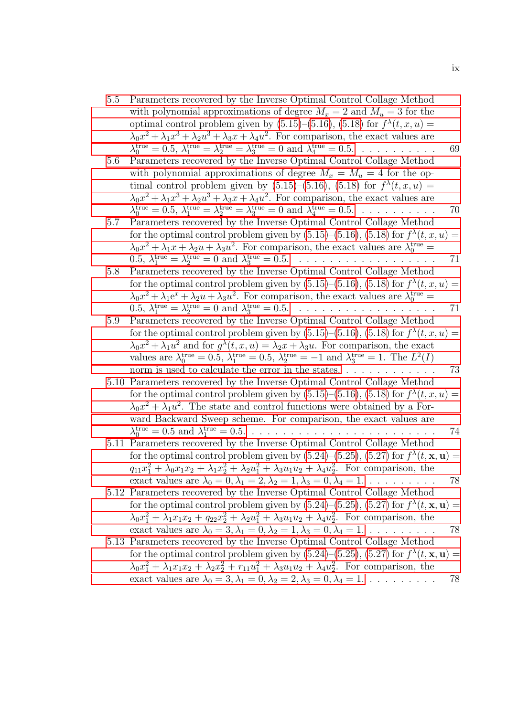- [5.5 Parameters recovered by the Inverse Optimal Control Collage Method](#page-79-1) [with polynomial approximations of degree](#page-79-1)  $M_x = 2$  and  $M_y = 3$  for the optimal control problem given by  $(5.15)$ – $(5.16)$ ,  $(5.18)$  for  $f^{\lambda}(t, x, u)$  =  $\lambda_0 x^2 + \lambda_1 x^3 + \lambda_2 u^3 + \lambda_3 x + \lambda_4 u^2$ [. For comparison, the exact values are](#page-79-1)  $\lambda_0^{\text{true}} = 0.5, \lambda_1^{\text{true}} = \lambda_2^{\text{true}} = \lambda_3^{\text{true}} = 0 \text{ and } \lambda_4^{\text{true}} = 0.5. \dots \dots \dots \dots \quad 69$
- [5.6 Parameters recovered by the Inverse Optimal Control Collage Method](#page-80-0) [with polynomial approximations of degree](#page-80-0)  $M_x = M_u = 4$  for the optimal control problem given by  $(5.15)$ – $(5.16)$ ,  $(5.18)$  for  $f^{\lambda}(t, x, u)$  =  $\lambda_0 x^2 + \lambda_1 x^3 + \lambda_2 u^3 + \lambda_3 x + \lambda_4 u^2$ [. For comparison, the exact values are](#page-80-0)  $\lambda_0^{\text{true}} = 0.5, \lambda_1^{\text{true}} = \lambda_2^{\text{true}} = \lambda_3^{\text{true}} = 0 \text{ and } \lambda_4^{\text{true}} = 0.5. \dots \dots \dots \dots \tag{70}$
- [5.7 Parameters recovered by the Inverse Optimal Control Collage Method](#page-81-0) for the optimal control problem given by  $(5.15)$ – $(5.16)$ ,  $(5.18)$  for  $f^{\lambda}(t, x, u) =$  $\lambda_0 x^2 + \lambda_1 x + \lambda_2 u + \lambda_3 u^2$ [. For comparison, the exact values are](#page-81-0)  $\lambda_0^{\text{true}} =$ 0.5, λ true <sup>1</sup> = λ true <sup>2</sup> [= 0 and](#page-81-0) λ true <sup>3</sup> = 0.5. . . . . . . . . . . . . . . . . . . 71
- [5.8 Parameters recovered by the Inverse Optimal Control Collage Method](#page-81-1) for the optimal control problem given by  $(5.15)$ – $(5.16)$ ,  $(5.18)$  for  $f^{\lambda}(t, x, u) =$  $\lambda_0 x^2 + \lambda_1 e^x + \lambda_2 u + \lambda_3 u^2$ [. For comparison, the exact values are](#page-81-1)  $\lambda_0^{\text{true}} =$ 0.5, λ true <sup>1</sup> = λ true <sup>2</sup> [= 0 and](#page-81-1) λ true <sup>3</sup> = 0.5. . . . . . . . . . . . . . . . . . . 71
- [5.9 Parameters recovered by the Inverse Optimal Control Collage Method](#page-83-0) for the optimal control problem given by  $(5.15)$ – $(5.16)$ ,  $(5.18)$  for  $f^{\lambda}(t, x, u)$  =  $\lambda_0 x^2 + \lambda_1 u^2$  and for  $g^{\lambda}(t, x, u) = \lambda_2 x + \lambda_3 u$ [. For comparison, the exact](#page-83-0) [values are](#page-83-0)  $\lambda_0^{\text{true}} = 0.5$ ,  $\lambda_1^{\text{true}} = 0.5$ ,  $\lambda_2^{\text{true}} = -1$  and  $\lambda_3^{\text{true}} = 1$ . The  $L^2(I)$ [norm is used to calculate the error in the states.](#page-83-0) . . . . . . . . . . . . . 73
- [5.10 Parameters recovered by the Inverse Optimal Control Collage Method](#page-84-1) for the optimal control problem given by  $(5.15)$ – $(5.16)$ ,  $(5.18)$  for  $f^{\lambda}(t, x, u) =$  $\lambda_0 x^2 + \lambda_1 u^2$ [. The state and control functions were obtained by a For](#page-84-1)[ward Backward Sweep scheme. For comparison, the exact values are](#page-84-1)  $\lambda_0^{\text{true}} = 0.5 \text{ and } \lambda_1^{\text{true}} = 0.5. \ldots \ldots \ldots \ldots \ldots \ldots \ldots \ldots \ldots \ldots \ldots \quad 74$
- [5.11 Parameters recovered by the Inverse Optimal Control Collage Method](#page-88-0) for the optimal control problem given by  $(5.24)$ – $(5.25)$ ,  $(5.27)$  for  $f^{\lambda}(t, \mathbf{x}, \mathbf{u}) =$  $q_{11}x_1^2 + \lambda_0 x_1 x_2 + \lambda_1 x_2^2 + \lambda_2 u_1^2 + \lambda_3 u_1 u_2 + \lambda_4 u_2^2$ [. For comparison, the](#page-88-0) [exact values are](#page-88-0)  $\lambda_0 = 0, \lambda_1 = 2, \lambda_2 = 1, \lambda_3 = 0, \lambda_4 = 1, \ldots \ldots$  . . . . . . . . 78
- [5.12 Parameters recovered by the Inverse Optimal Control Collage Method](#page-88-1) for the optimal control problem given by  $(5.24)$ – $(5.25)$ ,  $(5.27)$  for  $f^{\lambda}(t, \mathbf{x}, \mathbf{u}) =$  $\lambda_0 x_1^2 + \lambda_1 x_1 x_2 + q_{22} x_2^2 + \lambda_2 u_1^2 + \lambda_3 u_1 u_2 + \lambda_4 u_2^2$ [. For comparison, the](#page-88-1) [exact values are](#page-88-1)  $\lambda_0 = 3, \lambda_1 = 0, \lambda_2 = 1, \lambda_3 = 0, \lambda_4 = 1, \ldots \ldots$  . . . . . . . . 78
- [5.13 Parameters recovered by the Inverse Optimal Control Collage Method](#page-88-2) for the optimal control problem given by  $(5.24)$ – $(5.25)$ ,  $(5.27)$  for  $f^{\lambda}(t, \mathbf{x}, \mathbf{u}) =$  $\lambda_0 x_1^2 + \lambda_1 x_1 x_2 + \lambda_2 x_2^2 + r_{11} u_1^2 + \lambda_3 u_1 u_2 + \lambda_4 u_2^2$ [. For comparison, the](#page-88-2) [exact values are](#page-88-2)  $\lambda_0 = 3, \lambda_1 = 0, \lambda_2 = 2, \lambda_3 = 0, \lambda_4 = 1, \ldots \ldots$  . . . . . . . . 78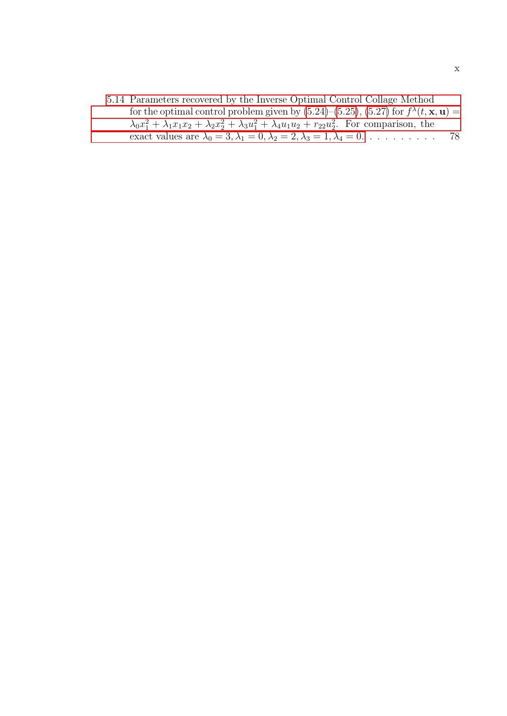[5.14 Parameters recovered by the Inverse Optimal Control Collage Method](#page-88-3) for the optimal control problem given by  $(5.24)$ – $(5.25)$ ,  $(5.27)$  for  $f^{\lambda}(t, \mathbf{x}, \mathbf{u}) =$  $\lambda_0 x_1^2 + \lambda_1 x_1 x_2 + \lambda_2 x_2^2 + \lambda_3 u_1^2 + \lambda_4 u_1 u_2 + r_{22} u_2^2$ [. For comparison, the](#page-88-3) [exact values are](#page-88-3)  $\lambda_0 = 3, \lambda_1 = 0, \lambda_2 = 2, \lambda_3 = 1, \lambda_4 = 0. \ldots \ldots \ldots$  78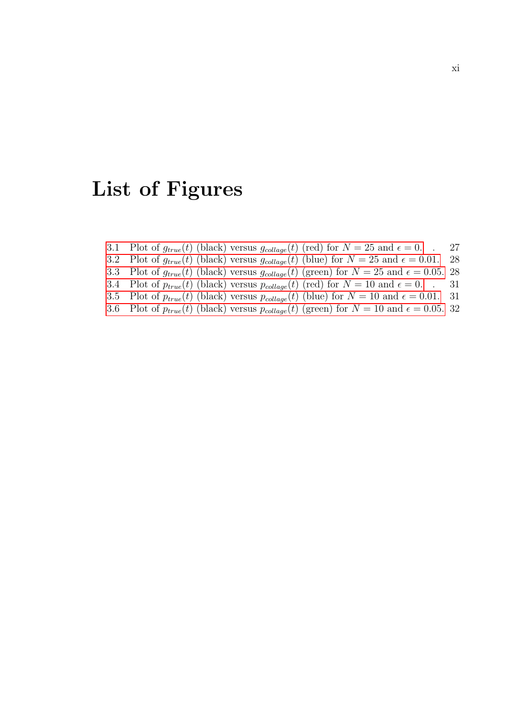## <span id="page-10-0"></span>List of Figures

- 3.1 Plot of  $g_{true}(t)$  (black) versus  $g_{collapse}(t)$  (red) for  $N = 25$  and  $\epsilon = 0$ . . 27
- 3.2 Plot of  $g_{true}(t)$  (black) versus  $g_{collapse}(t)$  (blue) for  $N = 25$  and  $\epsilon = 0.01$ . 28
- 3.3 Plot of  $g_{true}(t)$  (black) versus  $g_{collapse}(t)$  (green) for  $N = 25$  and  $\epsilon = 0.05$ . 28
- 3.4 Plot of  $p_{true}(t)$  (black) versus  $p_{collapse}(t)$  (red) for  $N = 10$  and  $\epsilon = 0$ . . 31
- 3.5 Plot of  $p_{true}(t)$  (black) versus  $p_{collapse}(t)$  (blue) for  $N = 10$  and  $\epsilon = 0.01$ . 31
- 3.6 Plot of  $p_{true}(t)$  (black) versus  $p_{collapse}(t)$  (green) for  $N = 10$  and  $\epsilon = 0.05$ . 32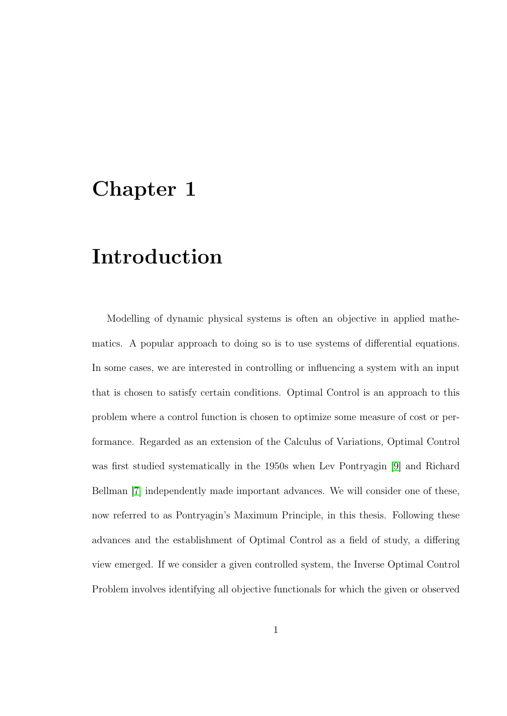## <span id="page-11-0"></span>Chapter 1

## Introduction

Modelling of dynamic physical systems is often an objective in applied mathematics. A popular approach to doing so is to use systems of differential equations. In some cases, we are interested in controlling or influencing a system with an input that is chosen to satisfy certain conditions. Optimal Control is an approach to this problem where a control function is chosen to optimize some measure of cost or performance. Regarded as an extension of the Calculus of Variations, Optimal Control was first studied systematically in the 1950s when Lev Pontryagin [\[9\]](#page-93-0) and Richard Bellman [\[7\]](#page-93-1) independently made important advances. We will consider one of these, now referred to as Pontryagin's Maximum Principle, in this thesis. Following these advances and the establishment of Optimal Control as a field of study, a differing view emerged. If we consider a given controlled system, the Inverse Optimal Control Problem involves identifying all objective functionals for which the given or observed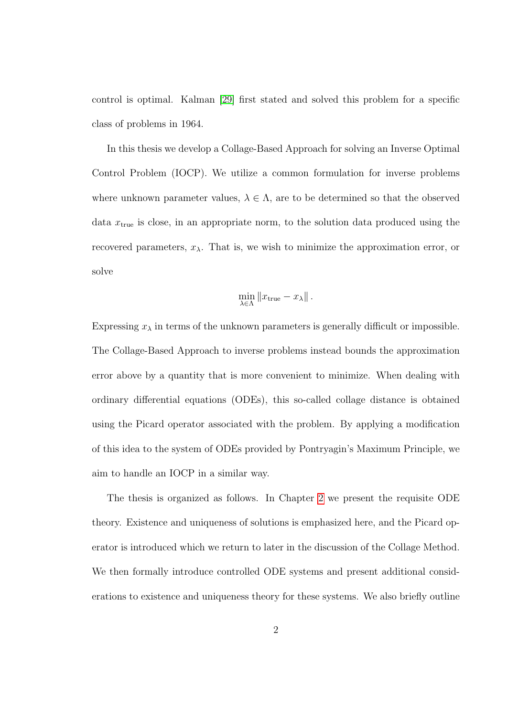control is optimal. Kalman [\[29\]](#page-95-0) first stated and solved this problem for a specific class of problems in 1964.

In this thesis we develop a Collage-Based Approach for solving an Inverse Optimal Control Problem (IOCP). We utilize a common formulation for inverse problems where unknown parameter values,  $\lambda \in \Lambda$ , are to be determined so that the observed data  $x_{true}$  is close, in an appropriate norm, to the solution data produced using the recovered parameters,  $x_{\lambda}$ . That is, we wish to minimize the approximation error, or solve

$$
\min_{\lambda \in \Lambda} \|x_{\text{true}} - x_{\lambda}\|.
$$

Expressing  $x_{\lambda}$  in terms of the unknown parameters is generally difficult or impossible. The Collage-Based Approach to inverse problems instead bounds the approximation error above by a quantity that is more convenient to minimize. When dealing with ordinary differential equations (ODEs), this so-called collage distance is obtained using the Picard operator associated with the problem. By applying a modification of this idea to the system of ODEs provided by Pontryagin's Maximum Principle, we aim to handle an IOCP in a similar way.

The thesis is organized as follows. In Chapter [2](#page-14-0) we present the requisite ODE theory. Existence and uniqueness of solutions is emphasized here, and the Picard operator is introduced which we return to later in the discussion of the Collage Method. We then formally introduce controlled ODE systems and present additional considerations to existence and uniqueness theory for these systems. We also briefly outline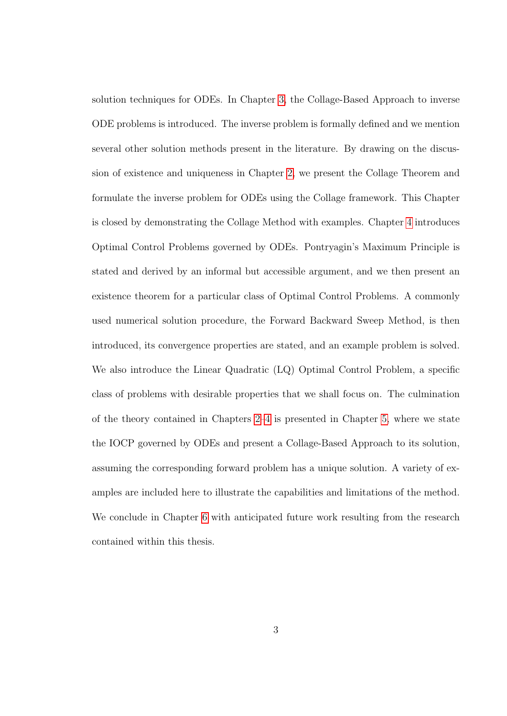solution techniques for ODEs. In Chapter [3,](#page-29-0) the Collage-Based Approach to inverse ODE problems is introduced. The inverse problem is formally defined and we mention several other solution methods present in the literature. By drawing on the discussion of existence and uniqueness in Chapter [2,](#page-14-0) we present the Collage Theorem and formulate the inverse problem for ODEs using the Collage framework. This Chapter is closed by demonstrating the Collage Method with examples. Chapter [4](#page-43-0) introduces Optimal Control Problems governed by ODEs. Pontryagin's Maximum Principle is stated and derived by an informal but accessible argument, and we then present an existence theorem for a particular class of Optimal Control Problems. A commonly used numerical solution procedure, the Forward Backward Sweep Method, is then introduced, its convergence properties are stated, and an example problem is solved. We also introduce the Linear Quadratic (LQ) Optimal Control Problem, a specific class of problems with desirable properties that we shall focus on. The culmination of the theory contained in Chapters [2–](#page-14-0)[4](#page-43-0) is presented in Chapter [5,](#page-66-0) where we state the IOCP governed by ODEs and present a Collage-Based Approach to its solution, assuming the corresponding forward problem has a unique solution. A variety of examples are included here to illustrate the capabilities and limitations of the method. We conclude in Chapter [6](#page-89-0) with anticipated future work resulting from the research contained within this thesis.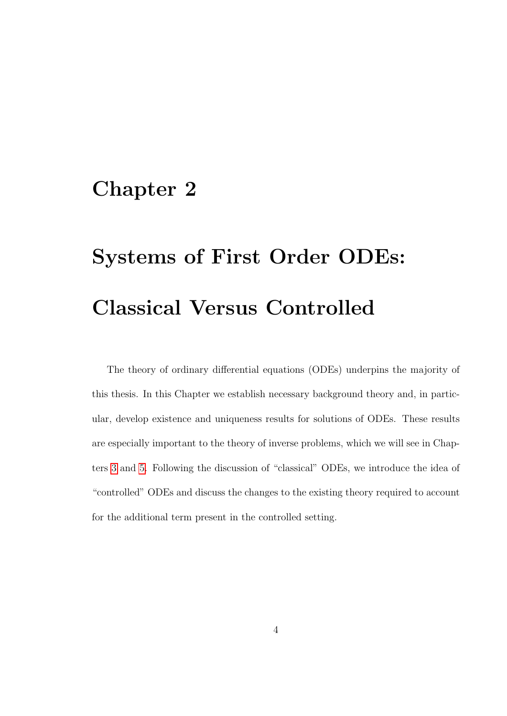## <span id="page-14-0"></span>Chapter 2

# Systems of First Order ODEs: Classical Versus Controlled

The theory of ordinary differential equations (ODEs) underpins the majority of this thesis. In this Chapter we establish necessary background theory and, in particular, develop existence and uniqueness results for solutions of ODEs. These results are especially important to the theory of inverse problems, which we will see in Chapters [3](#page-29-0) and [5.](#page-66-0) Following the discussion of "classical" ODEs, we introduce the idea of "controlled" ODEs and discuss the changes to the existing theory required to account for the additional term present in the controlled setting.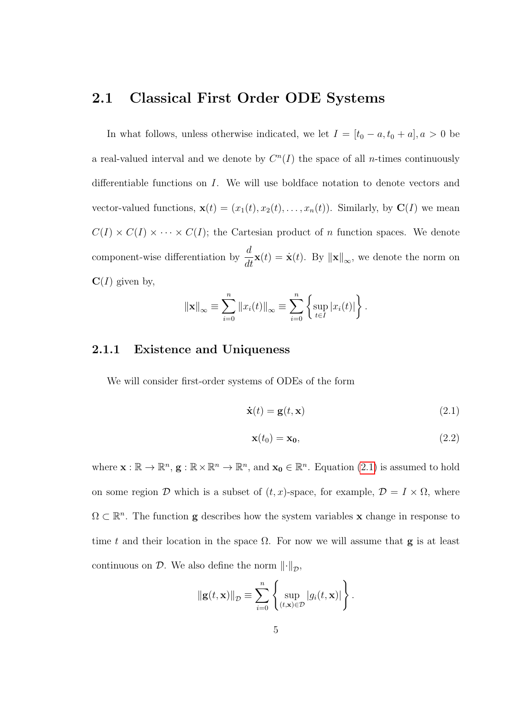### <span id="page-15-0"></span>2.1 Classical First Order ODE Systems

In what follows, unless otherwise indicated, we let  $I = [t_0 - a, t_0 + a], a > 0$  be a real-valued interval and we denote by  $C<sup>n</sup>(I)$  the space of all *n*-times continuously differentiable functions on I. We will use boldface notation to denote vectors and vector-valued functions,  $\mathbf{x}(t) = (x_1(t), x_2(t), \dots, x_n(t))$ . Similarly, by  $\mathbf{C}(I)$  we mean  $C(I) \times C(I) \times \cdots \times C(I)$ ; the Cartesian product of *n* function spaces. We denote component-wise differentiation by  $\frac{d}{dt}\mathbf{x}(t) = \dot{\mathbf{x}}(t)$ . By  $\|\mathbf{x}\|_{\infty}$ , we denote the norm on  $C(I)$  given by,

$$
\|\mathbf{x}\|_{\infty} \equiv \sum_{i=0}^{n} \|x_i(t)\|_{\infty} \equiv \sum_{i=0}^{n} \left\{ \sup_{t \in I} |x_i(t)| \right\}.
$$

### <span id="page-15-1"></span>2.1.1 Existence and Uniqueness

We will consider first-order systems of ODEs of the form

$$
\dot{\mathbf{x}}(t) = \mathbf{g}(t, \mathbf{x}) \tag{2.1}
$$

<span id="page-15-3"></span><span id="page-15-2"></span>
$$
\mathbf{x}(t_0) = \mathbf{x_0},\tag{2.2}
$$

where  $\mathbf{x}: \mathbb{R} \to \mathbb{R}^n$ ,  $\mathbf{g}: \mathbb{R} \times \mathbb{R}^n \to \mathbb{R}^n$ , and  $\mathbf{x_0} \in \mathbb{R}^n$ . Equation [\(2.1\)](#page-15-2) is assumed to hold on some region D which is a subset of  $(t, x)$ -space, for example,  $\mathcal{D} = I \times \Omega$ , where  $\Omega \subset \mathbb{R}^n$ . The function **g** describes how the system variables **x** change in response to time t and their location in the space  $\Omega$ . For now we will assume that **g** is at least continuous on  $D$ . We also define the norm  $\left\|\cdot\right\|_{\mathcal{D}}$ ,

$$
\|\mathbf{g}(t,\mathbf{x})\|_{\mathcal{D}} \equiv \sum_{i=0}^{n} \left\{ \sup_{(t,\mathbf{x}) \in \mathcal{D}} |g_i(t,\mathbf{x})| \right\}.
$$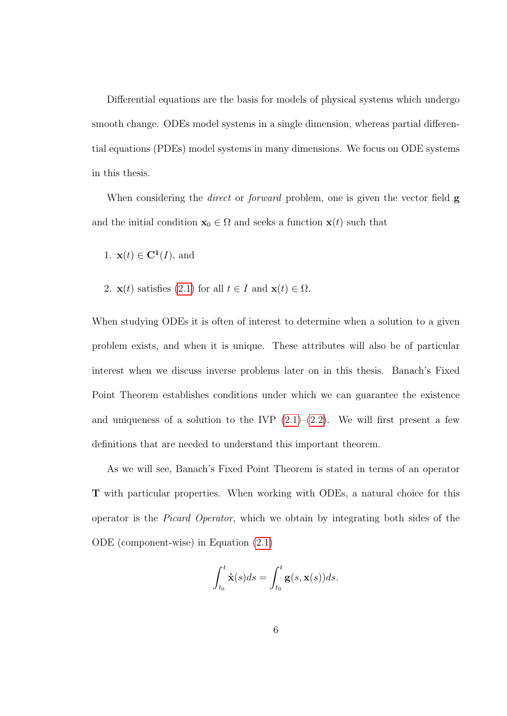Differential equations are the basis for models of physical systems which undergo smooth change. ODEs model systems in a single dimension, whereas partial differential equations (PDEs) model systems in many dimensions. We focus on ODE systems in this thesis.

When considering the *direct* or *forward* problem, one is given the vector field  $g$ and the initial condition  $\mathbf{x}_0 \in \Omega$  and seeks a function  $\mathbf{x}(t)$  such that

1. 
$$
\mathbf{x}(t) \in \mathbf{C}^1(I)
$$
, and

2.  $\mathbf{x}(t)$  satisfies [\(2.1\)](#page-15-2) for all  $t \in I$  and  $\mathbf{x}(t) \in \Omega$ .

When studying ODEs it is often of interest to determine when a solution to a given problem exists, and when it is unique. These attributes will also be of particular interest when we discuss inverse problems later on in this thesis. Banach's Fixed Point Theorem establishes conditions under which we can guarantee the existence and uniqueness of a solution to the IVP  $(2.1)$ – $(2.2)$ . We will first present a few definitions that are needed to understand this important theorem.

As we will see, Banach's Fixed Point Theorem is stated in terms of an operator T with particular properties. When working with ODEs, a natural choice for this operator is the Picard Operator, which we obtain by integrating both sides of the ODE (component-wise) in Equation [\(2.1\)](#page-15-2)

$$
\int_{t_0}^t \dot{\mathbf{x}}(s)ds = \int_{t_0}^t \mathbf{g}(s, \mathbf{x}(s))ds.
$$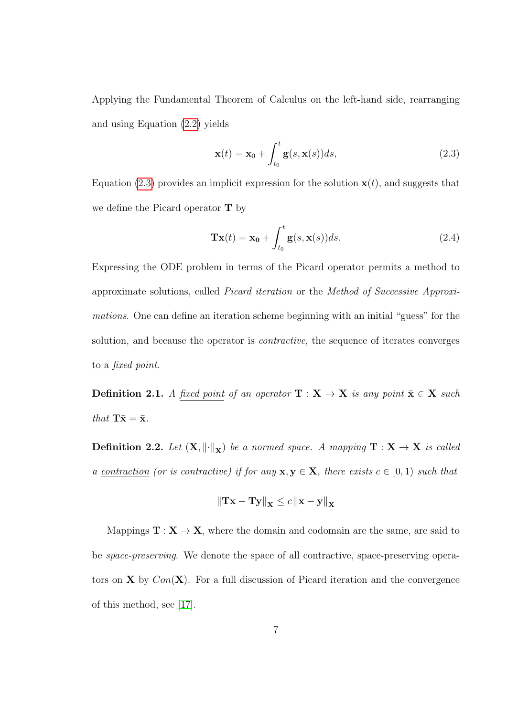Applying the Fundamental Theorem of Calculus on the left-hand side, rearranging and using Equation [\(2.2\)](#page-15-3) yields

<span id="page-17-0"></span>
$$
\mathbf{x}(t) = \mathbf{x}_0 + \int_{t_0}^t \mathbf{g}(s, \mathbf{x}(s))ds,
$$
\n(2.3)

Equation [\(2.3\)](#page-17-0) provides an implicit expression for the solution  $x(t)$ , and suggests that we define the Picard operator  $T$  by

<span id="page-17-1"></span>
$$
\mathbf{T}\mathbf{x}(t) = \mathbf{x_0} + \int_{t_0}^t \mathbf{g}(s, \mathbf{x}(s))ds.
$$
 (2.4)

Expressing the ODE problem in terms of the Picard operator permits a method to approximate solutions, called Picard iteration or the Method of Successive Approximations. One can define an iteration scheme beginning with an initial "guess" for the solution, and because the operator is contractive, the sequence of iterates converges to a fixed point.

**Definition 2.1.** A fixed point of an operator  $\mathbf{T} : \mathbf{X} \to \mathbf{X}$  is any point  $\bar{\mathbf{x}} \in \mathbf{X}$  such that  $\mathbf{T}\bar{\mathbf{x}} = \bar{\mathbf{x}}$ .

**Definition 2.2.** Let  $(X, \|\cdot\|_X)$  be a normed space. A mapping  $T : X \to X$  is called a <u>contraction</u> (or is contractive) if for any  $x, y \in X$ , there exists  $c \in [0, 1)$  such that

$$
\left\|\mathbf{T}\mathbf{x} - \mathbf{T}\mathbf{y}\right\|_{\mathbf{X}} \leq c \left\|\mathbf{x} - \mathbf{y}\right\|_{\mathbf{X}}
$$

Mappings  $\mathbf{T}: \mathbf{X} \to \mathbf{X}$ , where the domain and codomain are the same, are said to be space-preserving. We denote the space of all contractive, space-preserving operators on **X** by  $Con(X)$ . For a full discussion of Picard iteration and the convergence of this method, see [\[17\]](#page-94-0).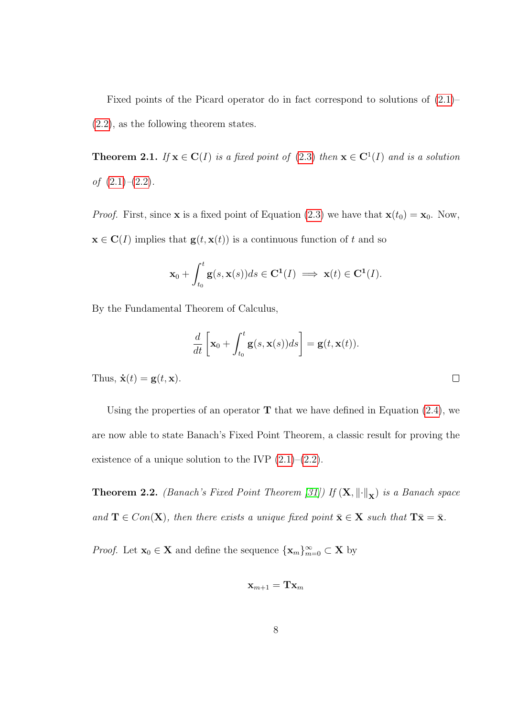Fixed points of the Picard operator do in fact correspond to solutions of [\(2.1\)](#page-15-2)– [\(2.2\)](#page-15-3), as the following theorem states.

<span id="page-18-0"></span>**Theorem 2.1.** If  $x \in C(I)$  is a fixed point of [\(2.3\)](#page-17-0) then  $x \in C^1(I)$  and is a solution of  $(2.1)$ – $(2.2)$ .

*Proof.* First, since **x** is a fixed point of Equation [\(2.3\)](#page-17-0) we have that  $\mathbf{x}(t_0) = \mathbf{x}_0$ . Now,  $\mathbf{x} \in \mathbf{C}(I)$  implies that  $\mathbf{g}(t, \mathbf{x}(t))$  is a continuous function of t and so

$$
\mathbf{x}_0 + \int_{t_0}^t \mathbf{g}(s, \mathbf{x}(s))ds \in \mathbf{C}^1(I) \implies \mathbf{x}(t) \in \mathbf{C}^1(I).
$$

By the Fundamental Theorem of Calculus,

$$
\frac{d}{dt}\left[\mathbf{x}_0 + \int_{t_0}^t \mathbf{g}(s, \mathbf{x}(s))ds\right] = \mathbf{g}(t, \mathbf{x}(t)).
$$

 $\Box$ 

Thus,  $\dot{\mathbf{x}}(t) = \mathbf{g}(t, \mathbf{x})$ .

Using the properties of an operator  $T$  that we have defined in Equation [\(2.4\)](#page-17-1), we are now able to state Banach's Fixed Point Theorem, a classic result for proving the existence of a unique solution to the IVP  $(2.1)$ – $(2.2)$ .

**Theorem 2.2.** (Banach's Fixed Point Theorem [\[31\]](#page-96-0)) If  $(X, \|\cdot\|_X)$  is a Banach space and  $\mathbf{T} \in Con(\mathbf{X})$ , then there exists a unique fixed point  $\bar{\mathbf{x}} \in \mathbf{X}$  such that  $\mathbf{T}\bar{\mathbf{x}} = \bar{\mathbf{x}}$ .

*Proof.* Let  $\mathbf{x}_0 \in \mathbf{X}$  and define the sequence  $\{\mathbf{x}_m\}_{m=0}^{\infty} \subset \mathbf{X}$  by

$$
\mathbf{x}_{m+1} = \mathbf{T} \mathbf{x}_m
$$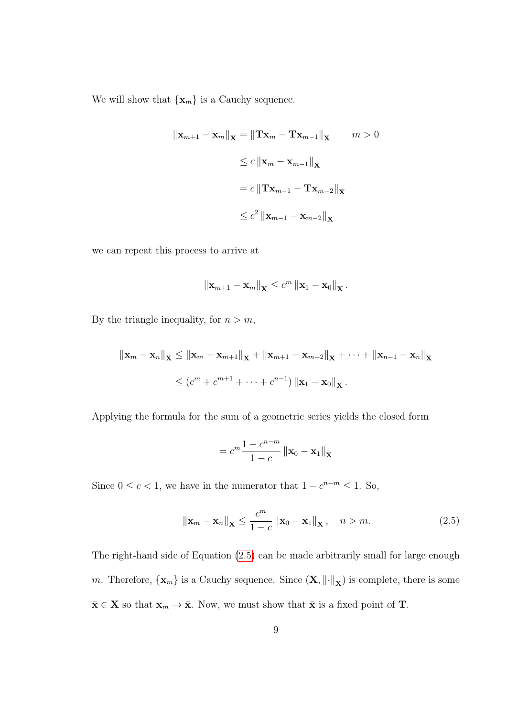We will show that  $\{{\bf x}_m\}$  is a Cauchy sequence.

$$
\|\mathbf{x}_{m+1} - \mathbf{x}_m\|_{\mathbf{X}} = \|\mathbf{T}\mathbf{x}_m - \mathbf{T}\mathbf{x}_{m-1}\|_{\mathbf{X}} \qquad m > 0
$$
  
\n
$$
\leq c \|\mathbf{x}_m - \mathbf{x}_{m-1}\|_{\mathbf{X}}
$$
  
\n
$$
= c \|\mathbf{T}\mathbf{x}_{m-1} - \mathbf{T}\mathbf{x}_{m-2}\|_{\mathbf{X}}
$$
  
\n
$$
\leq c^2 \|\mathbf{x}_{m-1} - \mathbf{x}_{m-2}\|_{\mathbf{X}}
$$

we can repeat this process to arrive at

$$
\left\|\mathbf{x}_{m+1}-\mathbf{x}_m\right\|_{\mathbf{X}} \leq c^m \left\|\mathbf{x}_1-\mathbf{x}_0\right\|_{\mathbf{X}}.
$$

By the triangle inequality, for  $n > m$ ,

$$
\|\mathbf{x}_{m} - \mathbf{x}_{n}\|_{\mathbf{X}} \leq \|\mathbf{x}_{m} - \mathbf{x}_{m+1}\|_{\mathbf{X}} + \|\mathbf{x}_{m+1} - \mathbf{x}_{m+2}\|_{\mathbf{X}} + \cdots + \|\mathbf{x}_{n-1} - \mathbf{x}_{n}\|_{\mathbf{X}}
$$
  
\n
$$
\leq (c^{m} + c^{m+1} + \cdots + c^{n-1}) \|\mathbf{x}_{1} - \mathbf{x}_{0}\|_{\mathbf{X}}.
$$

Applying the formula for the sum of a geometric series yields the closed form

$$
=c^m\frac{1-c^{n-m}}{1-c}\left\|\mathbf{x}_0-\mathbf{x}_1\right\|_{\mathbf{X}}
$$

Since  $0 \leq c < 1$ , we have in the numerator that  $1 - c^{n-m} \leq 1$ . So,

<span id="page-19-0"></span>
$$
\|\mathbf{x}_{m} - \mathbf{x}_{n}\|_{\mathbf{X}} \le \frac{c^{m}}{1 - c} \|\mathbf{x}_{0} - \mathbf{x}_{1}\|_{\mathbf{X}}, \quad n > m.
$$
 (2.5)

The right-hand side of Equation [\(2.5\)](#page-19-0) can be made arbitrarily small for large enough m. Therefore,  $\{\mathbf x_m\}$  is a Cauchy sequence. Since  $(\mathbf X, \|\cdot\|_{\mathbf X})$  is complete, there is some  $\bar{\mathbf{x}} \in \mathbf{X}$  so that  $\mathbf{x}_m \to \bar{\mathbf{x}}$ . Now, we must show that  $\bar{\mathbf{x}}$  is a fixed point of **T**.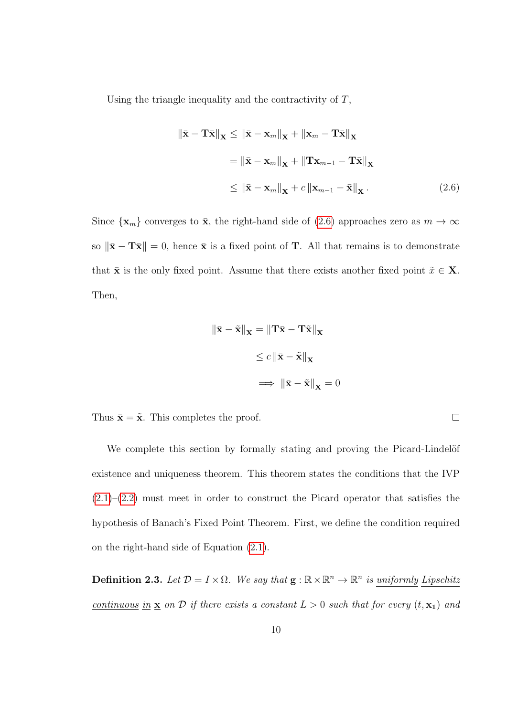Using the triangle inequality and the contractivity of  $T$ ,

$$
\|\bar{\mathbf{x}} - \mathbf{T}\bar{\mathbf{x}}\|_{\mathbf{X}} \le \|\bar{\mathbf{x}} - \mathbf{x}_{m}\|_{\mathbf{X}} + \|\mathbf{x}_{m} - \mathbf{T}\bar{\mathbf{x}}\|_{\mathbf{X}}
$$

$$
= \|\bar{\mathbf{x}} - \mathbf{x}_{m}\|_{\mathbf{X}} + \|\mathbf{T}\mathbf{x}_{m-1} - \mathbf{T}\bar{\mathbf{x}}\|_{\mathbf{X}}
$$

$$
\le \|\bar{\mathbf{x}} - \mathbf{x}_{m}\|_{\mathbf{X}} + c \|\mathbf{x}_{m-1} - \bar{\mathbf{x}}\|_{\mathbf{X}}.
$$
(2.6)

Since  $\{x_m\}$  converges to  $\bar{x}$ , the right-hand side of [\(2.6\)](#page-20-0) approaches zero as  $m \to \infty$ so  $\|\bar{\mathbf{x}} - \mathbf{T}\bar{\mathbf{x}}\| = 0$ , hence  $\bar{\mathbf{x}}$  is a fixed point of T. All that remains is to demonstrate that  $\bar{\mathbf{x}}$  is the only fixed point. Assume that there exists another fixed point  $\tilde{x} \in \mathbf{X}$ . Then,

$$
\|\bar{\mathbf{x}} - \tilde{\mathbf{x}}\|_{\mathbf{X}} = \|\mathbf{T}\bar{\mathbf{x}} - \mathbf{T}\tilde{\mathbf{x}}\|_{\mathbf{X}}
$$

$$
\leq c \|\bar{\mathbf{x}} - \tilde{\mathbf{x}}\|_{\mathbf{X}}
$$

$$
\implies \|\bar{\mathbf{x}} - \tilde{\mathbf{x}}\|_{\mathbf{X}} = 0
$$

Thus  $\bar{\mathbf{x}} = \tilde{\mathbf{x}}$ . This completes the proof.

We complete this section by formally stating and proving the Picard-Lindelöf existence and uniqueness theorem. This theorem states the conditions that the IVP  $(2.1)$ – $(2.2)$  must meet in order to construct the Picard operator that satisfies the hypothesis of Banach's Fixed Point Theorem. First, we define the condition required on the right-hand side of Equation [\(2.1\)](#page-15-2).

**Definition 2.3.** Let  $\mathcal{D} = I \times \Omega$ . We say that  $\mathbf{g} : \mathbb{R} \times \mathbb{R}^n \to \mathbb{R}^n$  is uniformly Lipschitz continuous in  $\underline{\mathbf{x}}$  on  $D$  if there exists a constant  $L > 0$  such that for every  $(t, \mathbf{x}_1)$  and

<span id="page-20-0"></span> $\Box$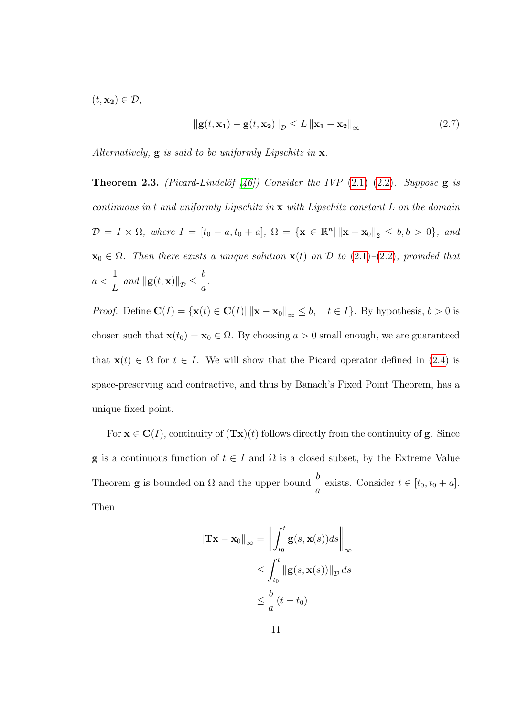$(t, \mathbf{x_2}) \in \mathcal{D}$ ,

<span id="page-21-1"></span>
$$
\|\mathbf{g}(t,\mathbf{x_1}) - \mathbf{g}(t,\mathbf{x_2})\|_{\mathcal{D}} \le L \|\mathbf{x_1} - \mathbf{x_2}\|_{\infty}
$$
 (2.7)

<span id="page-21-0"></span>Alternatively,  $g$  is said to be uniformly Lipschitz in  $x$ .

**Theorem 2.3.** (Picard-Lindelöf [\[46\]](#page-98-0)) Consider the IVP  $(2.1)$ – $(2.2)$ . Suppose g is continuous in t and uniformly Lipschitz in x with Lipschitz constant L on the domain  $\mathcal{D} = I \times \Omega$ , where  $I = [t_0 - a, t_0 + a], \Omega = {\mathbf{x} \in \mathbb{R}^n | \| \mathbf{x} - \mathbf{x}_0 \|_2 \leq b, b > 0},$  and  $\mathbf{x}_0 \in \Omega$ . Then there exists a unique solution  $\mathbf{x}(t)$  on  $\mathcal D$  to  $(2.1)$ – $(2.2)$ , provided that  $a <$ 1  $\frac{1}{L}$  and  $\|\mathbf{g}(t,\mathbf{x})\|_{\mathcal{D}} \leq \frac{b}{a}$ a .

*Proof.* Define  $\overline{\mathbf{C}(I)} = {\mathbf{x}(t) \in \mathbf{C}(I) | \|\mathbf{x} - \mathbf{x}_0\|_{\infty} \leq b, \quad t \in I}$ . By hypothesis,  $b > 0$  is chosen such that  $\mathbf{x}(t_0) = \mathbf{x}_0 \in \Omega$ . By choosing  $a > 0$  small enough, we are guaranteed that  $\mathbf{x}(t) \in \Omega$  for  $t \in I$ . We will show that the Picard operator defined in [\(2.4\)](#page-17-1) is space-preserving and contractive, and thus by Banach's Fixed Point Theorem, has a unique fixed point.

For  $\mathbf{x} \in \overline{\mathbf{C}(I)}$ , continuity of  $(\mathbf{Tx})(t)$  follows directly from the continuity of **g**. Since **g** is a continuous function of  $t \in I$  and  $\Omega$  is a closed subset, by the Extreme Value Theorem **g** is bounded on  $\Omega$  and the upper bound  $\frac{b}{c}$  $\frac{a}{a}$  exists. Consider  $t \in [t_0, t_0 + a]$ . Then

$$
\|\mathbf{T}\mathbf{x} - \mathbf{x}_0\|_{\infty} = \left\| \int_{t_0}^t \mathbf{g}(s, \mathbf{x}(s)) ds \right\|_{\infty}
$$
  
\n
$$
\leq \int_{t_0}^t \left\| \mathbf{g}(s, \mathbf{x}(s)) \right\|_{\mathcal{D}} ds
$$
  
\n
$$
\leq \frac{b}{a} (t - t_0)
$$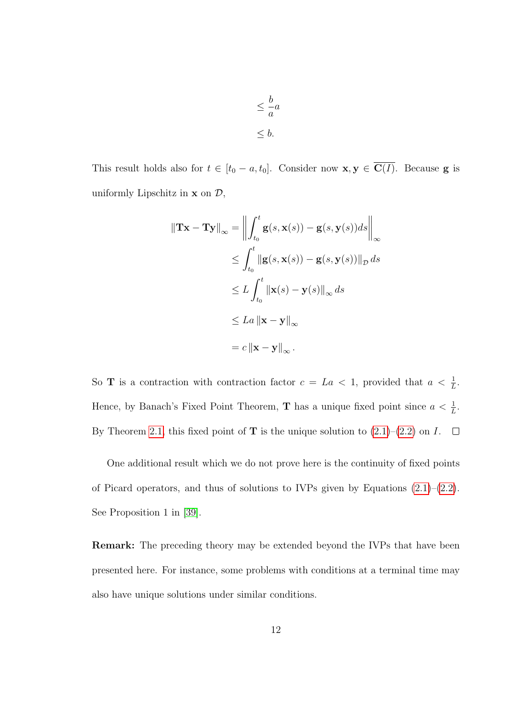$$
\leq \frac{b}{a}a
$$
  

$$
\leq b.
$$

This result holds also for  $t \in [t_0 - a, t_0]$ . Consider now  $\mathbf{x}, \mathbf{y} \in \overline{\mathbf{C}(I)}$ . Because **g** is uniformly Lipschitz in  $x$  on  $\mathcal{D}$ ,

$$
\|\mathbf{Tx} - \mathbf{Ty}\|_{\infty} = \left\| \int_{t_0}^t \mathbf{g}(s, \mathbf{x}(s)) - \mathbf{g}(s, \mathbf{y}(s))ds \right\|_{\infty}
$$
  
\n
$$
\leq \int_{t_0}^t \|\mathbf{g}(s, \mathbf{x}(s)) - \mathbf{g}(s, \mathbf{y}(s))\|_{\mathcal{D}} ds
$$
  
\n
$$
\leq L \int_{t_0}^t \|\mathbf{x}(s) - \mathbf{y}(s)\|_{\infty} ds
$$
  
\n
$$
\leq La \|\mathbf{x} - \mathbf{y}\|_{\infty}
$$
  
\n
$$
= c \|\mathbf{x} - \mathbf{y}\|_{\infty}.
$$

So **T** is a contraction with contraction factor  $c = La < 1$ , provided that  $a < \frac{1}{L}$ . Hence, by Banach's Fixed Point Theorem, **T** has a unique fixed point since  $a < \frac{1}{L}$ . By Theorem [2.1,](#page-18-0) this fixed point of **T** is the unique solution to  $(2.1)$ – $(2.2)$  on I.  $\Box$ 

One additional result which we do not prove here is the continuity of fixed points of Picard operators, and thus of solutions to IVPs given by Equations  $(2.1)$ – $(2.2)$ . See Proposition 1 in [\[39\]](#page-97-0).

Remark: The preceding theory may be extended beyond the IVPs that have been presented here. For instance, some problems with conditions at a terminal time may also have unique solutions under similar conditions.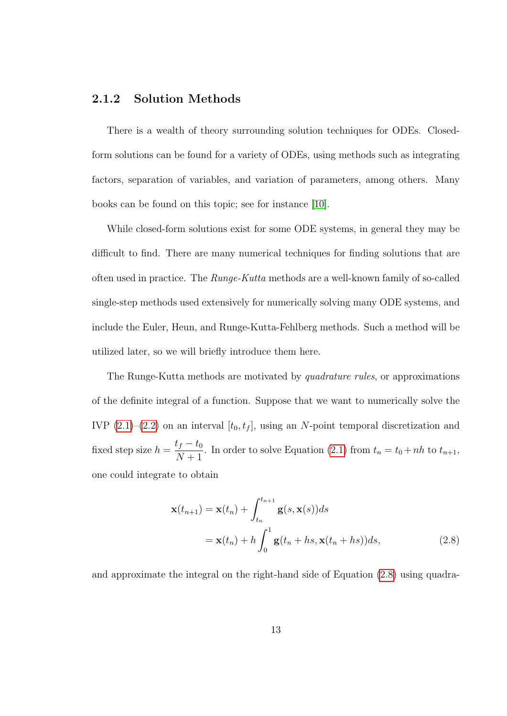### <span id="page-23-0"></span>2.1.2 Solution Methods

There is a wealth of theory surrounding solution techniques for ODEs. Closedform solutions can be found for a variety of ODEs, using methods such as integrating factors, separation of variables, and variation of parameters, among others. Many books can be found on this topic; see for instance [\[10\]](#page-93-2).

While closed-form solutions exist for some ODE systems, in general they may be difficult to find. There are many numerical techniques for finding solutions that are often used in practice. The Runge-Kutta methods are a well-known family of so-called single-step methods used extensively for numerically solving many ODE systems, and include the Euler, Heun, and Runge-Kutta-Fehlberg methods. Such a method will be utilized later, so we will briefly introduce them here.

The Runge-Kutta methods are motivated by quadrature rules, or approximations of the definite integral of a function. Suppose that we want to numerically solve the IVP  $(2.1)$ – $(2.2)$  on an interval  $[t_0, t_f]$ , using an N-point temporal discretization and fixed step size  $h = \frac{t_f - t_0}{N + 1}$  $\frac{y_1}{N+1}$ . In order to solve Equation [\(2.1\)](#page-15-2) from  $t_n = t_0 + nh$  to  $t_{n+1}$ , one could integrate to obtain

<span id="page-23-1"></span>
$$
\mathbf{x}(t_{n+1}) = \mathbf{x}(t_n) + \int_{t_n}^{t_{n+1}} \mathbf{g}(s, \mathbf{x}(s))ds
$$
  
=  $\mathbf{x}(t_n) + h \int_0^1 \mathbf{g}(t_n + hs, \mathbf{x}(t_n + hs))ds,$  (2.8)

and approximate the integral on the right-hand side of Equation [\(2.8\)](#page-23-1) using quadra-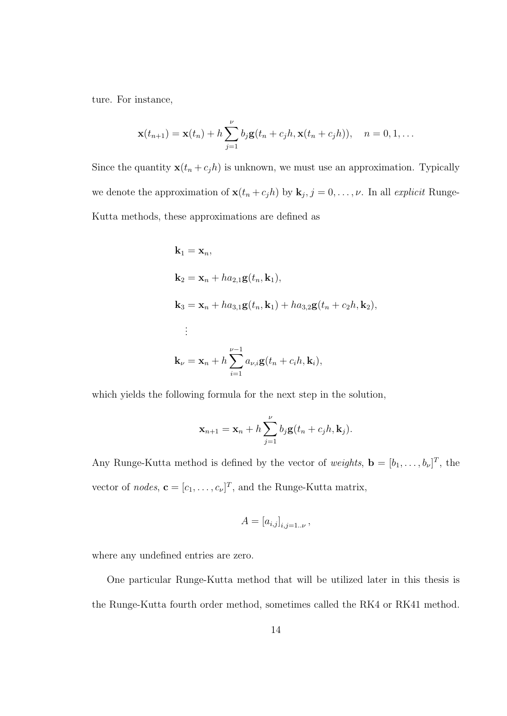ture. For instance,

$$
\mathbf{x}(t_{n+1}) = \mathbf{x}(t_n) + h \sum_{j=1}^{\nu} b_j \mathbf{g}(t_n + c_j h, \mathbf{x}(t_n + c_j h)), \quad n = 0, 1, \dots
$$

Since the quantity  $\mathbf{x}(t_n + c_j h)$  is unknown, we must use an approximation. Typically we denote the approximation of  $\mathbf{x}(t_n + c_j h)$  by  $\mathbf{k}_j$ ,  $j = 0, \ldots, \nu$ . In all explicit Runge-Kutta methods, these approximations are defined as

$$
\mathbf{k}_1 = \mathbf{x}_n,
$$
\n
$$
\mathbf{k}_2 = \mathbf{x}_n + ha_{2,1}\mathbf{g}(t_n, \mathbf{k}_1),
$$
\n
$$
\mathbf{k}_3 = \mathbf{x}_n + ha_{3,1}\mathbf{g}(t_n, \mathbf{k}_1) + ha_{3,2}\mathbf{g}(t_n + c_2h, \mathbf{k}_2),
$$
\n
$$
\vdots
$$
\n
$$
\mathbf{k}_\nu = \mathbf{x}_n + h \sum_{i=1}^{\nu-1} a_{\nu,i} \mathbf{g}(t_n + c_ih, \mathbf{k}_i),
$$

which yields the following formula for the next step in the solution,

$$
\mathbf{x}_{n+1} = \mathbf{x}_n + h \sum_{j=1}^{\nu} b_j \mathbf{g}(t_n + c_j h, \mathbf{k}_j).
$$

Any Runge-Kutta method is defined by the vector of weights,  $\mathbf{b} = [b_1, \ldots, b_\nu]^T$ , the vector of *nodes*,  $\mathbf{c} = [c_1, \dots, c_{\nu}]^T$ , and the Runge-Kutta matrix,

$$
A = [a_{i,j}]_{i,j=1..\nu},
$$

where any undefined entries are zero.

One particular Runge-Kutta method that will be utilized later in this thesis is the Runge-Kutta fourth order method, sometimes called the RK4 or RK41 method.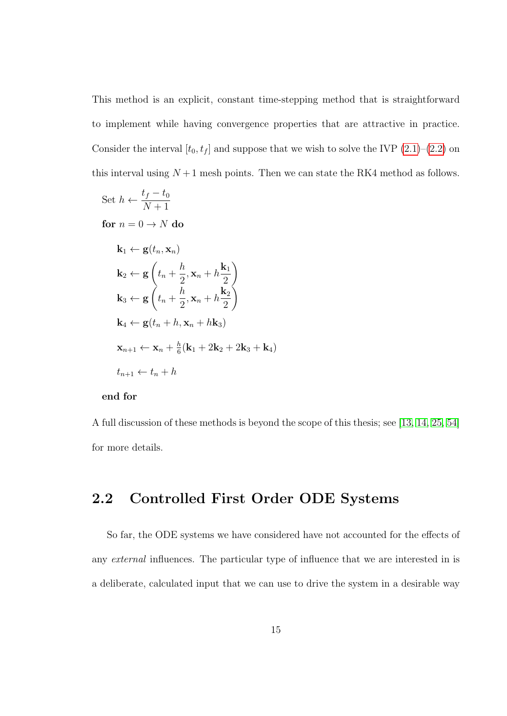This method is an explicit, constant time-stepping method that is straightforward to implement while having convergence properties that are attractive in practice. Consider the interval  $[t_0, t_f]$  and suppose that we wish to solve the IVP [\(2.1\)](#page-15-2)–[\(2.2\)](#page-15-3) on this interval using  $N+1$  mesh points. Then we can state the RK4 method as follows.

Set 
$$
h \leftarrow \frac{t_f - t_0}{N+1}
$$
  
\nfor  $n = 0 \rightarrow N$  do  
\n $\mathbf{k}_1 \leftarrow \mathbf{g}(t_n, \mathbf{x}_n)$   
\n $\mathbf{k}_2 \leftarrow \mathbf{g}\left(t_n + \frac{h}{2}, \mathbf{x}_n + h\frac{\mathbf{k}_1}{2}\right)$   
\n $\mathbf{k}_3 \leftarrow \mathbf{g}\left(t_n + \frac{h}{2}, \mathbf{x}_n + h\frac{\mathbf{k}_2}{2}\right)$   
\n $\mathbf{k}_4 \leftarrow \mathbf{g}(t_n + h, \mathbf{x}_n + h\mathbf{k}_3)$   
\n $\mathbf{x}_{n+1} \leftarrow \mathbf{x}_n + \frac{h}{6}(\mathbf{k}_1 + 2\mathbf{k}_2 + 2\mathbf{k}_3 + \mathbf{k}_4)$   
\n $t_{n+1} \leftarrow t_n + h$ 

#### end for

A full discussion of these methods is beyond the scope of this thesis; see [\[13,](#page-93-3) [14,](#page-93-4) [25,](#page-95-1) [54\]](#page-99-0) for more details.

### <span id="page-25-0"></span>2.2 Controlled First Order ODE Systems

So far, the ODE systems we have considered have not accounted for the effects of any external influences. The particular type of influence that we are interested in is a deliberate, calculated input that we can use to drive the system in a desirable way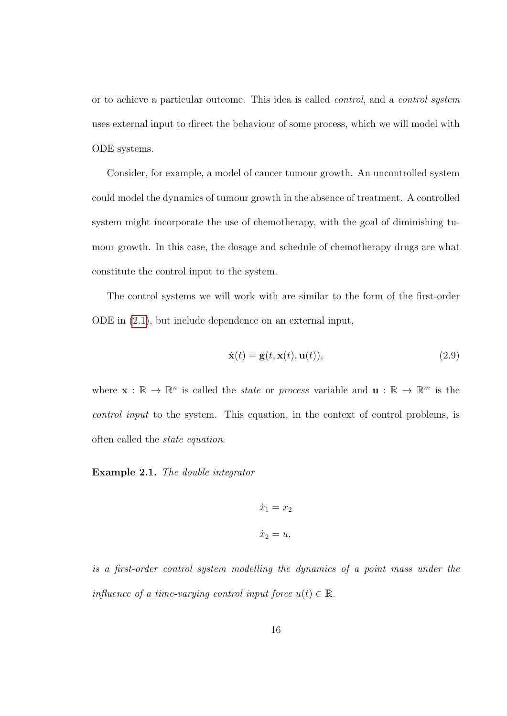or to achieve a particular outcome. This idea is called control, and a control system uses external input to direct the behaviour of some process, which we will model with ODE systems.

Consider, for example, a model of cancer tumour growth. An uncontrolled system could model the dynamics of tumour growth in the absence of treatment. A controlled system might incorporate the use of chemotherapy, with the goal of diminishing tumour growth. In this case, the dosage and schedule of chemotherapy drugs are what constitute the control input to the system.

The control systems we will work with are similar to the form of the first-order ODE in [\(2.1\)](#page-15-2), but include dependence on an external input,

<span id="page-26-0"></span>
$$
\dot{\mathbf{x}}(t) = \mathbf{g}(t, \mathbf{x}(t), \mathbf{u}(t)),\tag{2.9}
$$

where  $\mathbf{x}: \mathbb{R} \to \mathbb{R}^n$  is called the *state* or *process* variable and  $\mathbf{u}: \mathbb{R} \to \mathbb{R}^m$  is the control input to the system. This equation, in the context of control problems, is often called the state equation.

Example 2.1. The double integrator

$$
\dot{x}_1 = x_2
$$
  

$$
\dot{x}_2 = u,
$$

is a first-order control system modelling the dynamics of a point mass under the influence of a time-varying control input force  $u(t) \in \mathbb{R}$ .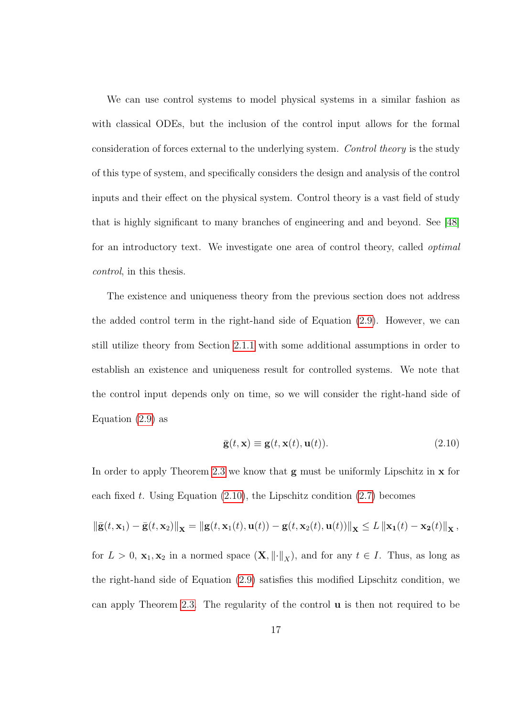We can use control systems to model physical systems in a similar fashion as with classical ODEs, but the inclusion of the control input allows for the formal consideration of forces external to the underlying system. Control theory is the study of this type of system, and specifically considers the design and analysis of the control inputs and their effect on the physical system. Control theory is a vast field of study that is highly significant to many branches of engineering and and beyond. See [\[48\]](#page-98-1) for an introductory text. We investigate one area of control theory, called optimal control, in this thesis.

The existence and uniqueness theory from the previous section does not address the added control term in the right-hand side of Equation [\(2.9\)](#page-26-0). However, we can still utilize theory from Section [2.1.1](#page-15-1) with some additional assumptions in order to establish an existence and uniqueness result for controlled systems. We note that the control input depends only on time, so we will consider the right-hand side of Equation  $(2.9)$  as

<span id="page-27-0"></span>
$$
\bar{\mathbf{g}}(t, \mathbf{x}) \equiv \mathbf{g}(t, \mathbf{x}(t), \mathbf{u}(t)). \tag{2.10}
$$

In order to apply Theorem [2.3](#page-21-0) we know that  $g$  must be uniformly Lipschitz in  $x$  for each fixed t. Using Equation  $(2.10)$ , the Lipschitz condition  $(2.7)$  becomes

$$
\|\bar{\mathbf{g}}(t, \mathbf{x}_1) - \bar{\mathbf{g}}(t, \mathbf{x}_2)\|_{\mathbf{X}} = \|\mathbf{g}(t, \mathbf{x}_1(t), \mathbf{u}(t)) - \mathbf{g}(t, \mathbf{x}_2(t), \mathbf{u}(t))\|_{\mathbf{X}} \le L \|\mathbf{x}_1(t) - \mathbf{x}_2(t)\|_{\mathbf{X}},
$$
  
for  $L > 0$ ,  $\mathbf{x}_1, \mathbf{x}_2$  in a normed space  $(\mathbf{X}, ||\cdot||_X)$ , and for any  $t \in I$ . Thus, as long as  
the right-hand side of Equation (2.9) satisfies this modified Lipschitz condition, we  
can apply Theorem 2.3. The regularity of the control **u** is then not required to be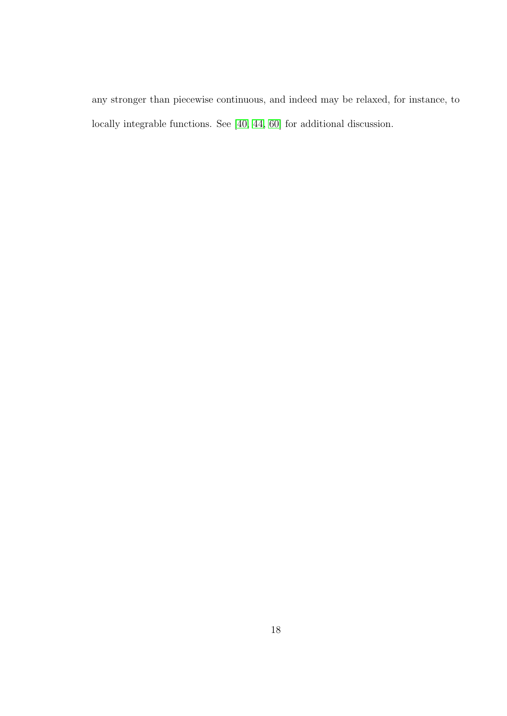any stronger than piecewise continuous, and indeed may be relaxed, for instance, to locally integrable functions. See [\[40,](#page-97-1) [44,](#page-97-2) [60\]](#page-99-1) for additional discussion.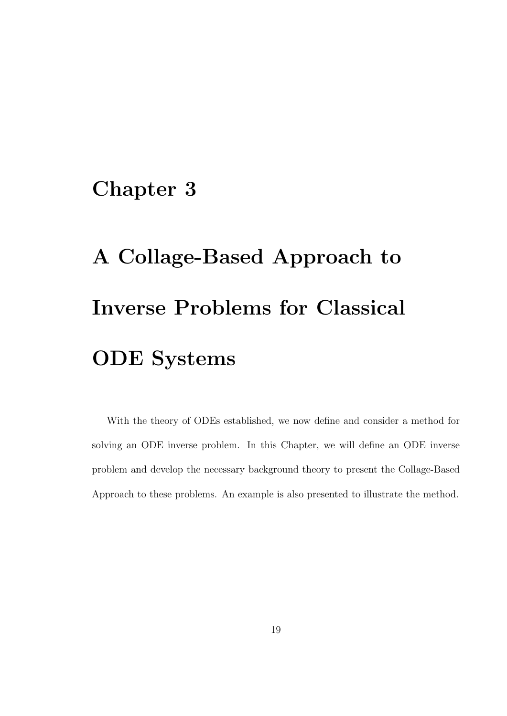## <span id="page-29-0"></span>Chapter 3

# A Collage-Based Approach to Inverse Problems for Classical ODE Systems

With the theory of ODEs established, we now define and consider a method for solving an ODE inverse problem. In this Chapter, we will define an ODE inverse problem and develop the necessary background theory to present the Collage-Based Approach to these problems. An example is also presented to illustrate the method.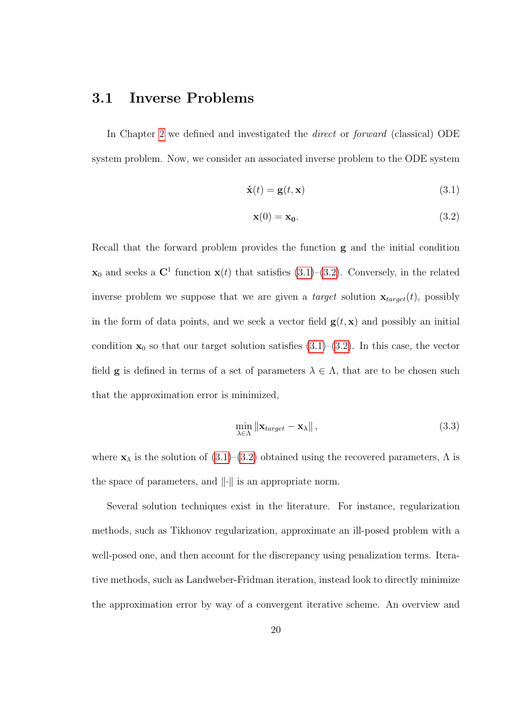### <span id="page-30-0"></span>3.1 Inverse Problems

In Chapter [2](#page-14-0) we defined and investigated the direct or forward (classical) ODE system problem. Now, we consider an associated inverse problem to the ODE system

$$
\dot{\mathbf{x}}(t) = \mathbf{g}(t, \mathbf{x}) \tag{3.1}
$$

<span id="page-30-2"></span><span id="page-30-1"></span>
$$
\mathbf{x}(0) = \mathbf{x}_0. \tag{3.2}
$$

Recall that the forward problem provides the function g and the initial condition  $\mathbf{x}_0$  and seeks a  $\mathbf{C}^1$  function  $\mathbf{x}(t)$  that satisfies [\(3.1\)](#page-30-1)–[\(3.2\)](#page-30-2). Conversely, in the related inverse problem we suppose that we are given a *target* solution  $\mathbf{x}_{target}(t)$ , possibly in the form of data points, and we seek a vector field  $g(t, x)$  and possibly an initial condition  $x_0$  so that our target solution satisfies  $(3.1)$ – $(3.2)$ . In this case, the vector field **g** is defined in terms of a set of parameters  $\lambda \in \Lambda$ , that are to be chosen such that the approximation error is minimized,

<span id="page-30-3"></span>
$$
\min_{\lambda \in \Lambda} \|\mathbf{x}_{target} - \mathbf{x}_{\lambda}\|,\tag{3.3}
$$

where  $\mathbf{x}_{\lambda}$  is the solution of  $(3.1)$ – $(3.2)$  obtained using the recovered parameters,  $\Lambda$  is the space of parameters, and  $\|\cdot\|$  is an appropriate norm.

Several solution techniques exist in the literature. For instance, regularization methods, such as Tikhonov regularization, approximate an ill-posed problem with a well-posed one, and then account for the discrepancy using penalization terms. Iterative methods, such as Landweber-Fridman iteration, instead look to directly minimize the approximation error by way of a convergent iterative scheme. An overview and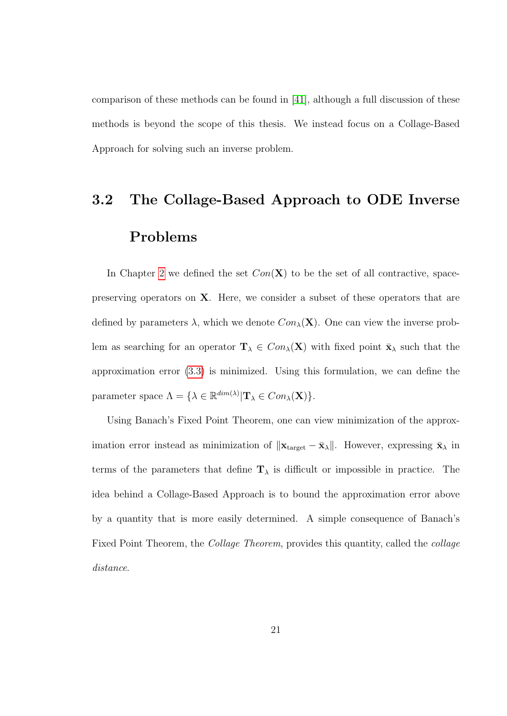comparison of these methods can be found in [\[41\]](#page-97-3), although a full discussion of these methods is beyond the scope of this thesis. We instead focus on a Collage-Based Approach for solving such an inverse problem.

# <span id="page-31-0"></span>3.2 The Collage-Based Approach to ODE Inverse Problems

In Chapter [2](#page-14-0) we defined the set  $Con(X)$  to be the set of all contractive, spacepreserving operators on X. Here, we consider a subset of these operators that are defined by parameters  $\lambda$ , which we denote  $Con_{\lambda}(\mathbf{X})$ . One can view the inverse problem as searching for an operator  $\mathbf{T}_{\lambda} \in Con_{\lambda}(\mathbf{X})$  with fixed point  $\bar{\mathbf{x}}_{\lambda}$  such that the approximation error [\(3.3\)](#page-30-3) is minimized. Using this formulation, we can define the parameter space  $\Lambda = {\lambda \in \mathbb{R}^{\dim(\lambda)} | \mathbf{T}_{\lambda} \in Con_{\lambda}(\mathbf{X})}.$ 

Using Banach's Fixed Point Theorem, one can view minimization of the approximation error instead as minimization of  $||\mathbf{x}_{\text{target}} - \bar{\mathbf{x}}_{\lambda}||$ . However, expressing  $\bar{\mathbf{x}}_{\lambda}$  in terms of the parameters that define  $T_{\lambda}$  is difficult or impossible in practice. The idea behind a Collage-Based Approach is to bound the approximation error above by a quantity that is more easily determined. A simple consequence of Banach's Fixed Point Theorem, the Collage Theorem, provides this quantity, called the collage distance.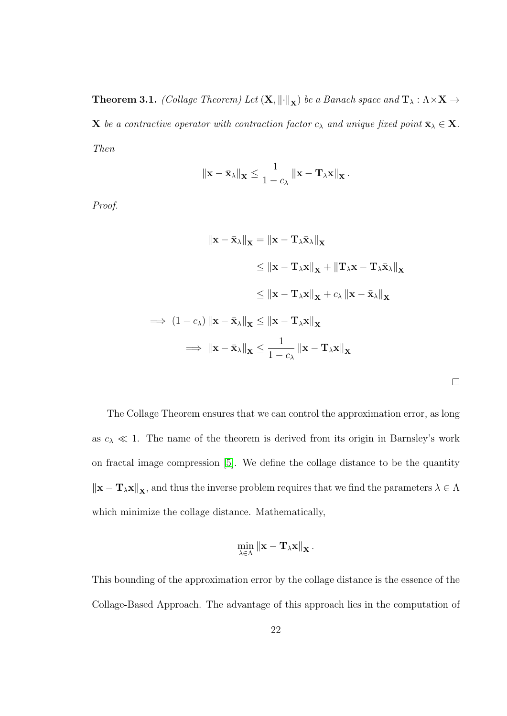**Theorem 3.1.** (Collage Theorem) Let  $(X, \|\cdot\|_X)$  be a Banach space and  $T_\lambda : \Lambda \times X \to$ **X** be a contractive operator with contraction factor  $c_{\lambda}$  and unique fixed point  $\bar{\mathbf{x}}_{\lambda} \in \mathbf{X}$ . Then

$$
\|\mathbf{x}-\bar{\mathbf{x}}_{\lambda}\|_{\mathbf{X}} \leq \frac{1}{1-c_{\lambda}}\left\|\mathbf{x}-\mathbf{T}_{\lambda}\mathbf{x}\right\|_{\mathbf{X}}.
$$

Proof.

$$
\|\mathbf{x} - \bar{\mathbf{x}}_{\lambda}\|_{\mathbf{X}} = \|\mathbf{x} - \mathbf{T}_{\lambda}\bar{\mathbf{x}}_{\lambda}\|_{\mathbf{X}}
$$
  
\n
$$
\leq \|\mathbf{x} - \mathbf{T}_{\lambda}\mathbf{x}\|_{\mathbf{X}} + \|\mathbf{T}_{\lambda}\mathbf{x} - \mathbf{T}_{\lambda}\bar{\mathbf{x}}_{\lambda}\|_{\mathbf{X}}
$$
  
\n
$$
\leq \|\mathbf{x} - \mathbf{T}_{\lambda}\mathbf{x}\|_{\mathbf{X}} + c_{\lambda} \|\mathbf{x} - \bar{\mathbf{x}}_{\lambda}\|_{\mathbf{X}}
$$
  
\n
$$
\implies (1 - c_{\lambda}) \|\mathbf{x} - \bar{\mathbf{x}}_{\lambda}\|_{\mathbf{X}} \leq \|\mathbf{x} - \mathbf{T}_{\lambda}\mathbf{x}\|_{\mathbf{X}}
$$
  
\n
$$
\implies \|\mathbf{x} - \bar{\mathbf{x}}_{\lambda}\|_{\mathbf{X}} \leq \frac{1}{1 - c_{\lambda}} \|\mathbf{x} - \mathbf{T}_{\lambda}\mathbf{x}\|_{\mathbf{X}}
$$

 $\overline{\phantom{a}}$ 

The Collage Theorem ensures that we can control the approximation error, as long as  $c_{\lambda} \ll 1$ . The name of the theorem is derived from its origin in Barnsley's work on fractal image compression [\[5\]](#page-92-1). We define the collage distance to be the quantity  $\|\mathbf{x} - \mathbf{T}_{\lambda}\mathbf{x}\|_{\mathbf{X}},$  and thus the inverse problem requires that we find the parameters  $\lambda \in \Lambda$ which minimize the collage distance. Mathematically,

$$
\min_{\lambda \in \Lambda} \left\| \mathbf{x} - \mathbf{T}_{\lambda} \mathbf{x} \right\|_{\mathbf{X}}.
$$

This bounding of the approximation error by the collage distance is the essence of the Collage-Based Approach. The advantage of this approach lies in the computation of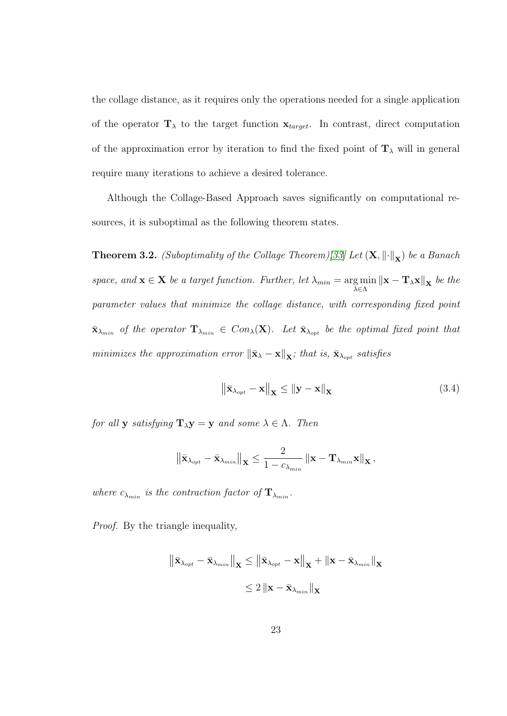the collage distance, as it requires only the operations needed for a single application of the operator  $\mathbf{T}_{\lambda}$  to the target function  $\mathbf{x}_{target}$ . In contrast, direct computation of the approximation error by iteration to find the fixed point of  $\mathbf{T}_{\lambda}$  will in general require many iterations to achieve a desired tolerance.

Although the Collage-Based Approach saves significantly on computational resources, it is suboptimal as the following theorem states.

**Theorem 3.2.** (Suboptimality of the Collage Theorem)[\[33\]](#page-96-1) Let  $(X, \|\cdot\|_X)$  be a Banach space, and  $\mathbf{x} \in \mathbf{X}$  be a target function. Further, let  $\lambda_{min} = \arg \min$  $\lim_{\lambda \in \Lambda} ||\mathbf{x} - \mathbf{T}_{\lambda} \mathbf{x}||_{\mathbf{X}}$  be the parameter values that minimize the collage distance, with corresponding fixed point  $\bar{\mathbf{x}}_{\lambda_{min}}$  of the operator  $\mathbf{T}_{\lambda_{min}} \in Con_{\lambda}(\mathbf{X})$ . Let  $\bar{\mathbf{x}}_{\lambda_{opt}}$  be the optimal fixed point that minimizes the approximation error  $\|\bar{\mathbf{x}}_{\lambda} - \mathbf{x}\|_{\mathbf{X}}$ ; that is,  $\bar{\mathbf{x}}_{\lambda_{opt}}$  satisfies

<span id="page-33-0"></span>
$$
\left\| \bar{\mathbf{x}}_{\lambda_{opt}} - \mathbf{x} \right\|_{\mathbf{X}} \le \left\| \mathbf{y} - \mathbf{x} \right\|_{\mathbf{X}} \tag{3.4}
$$

for all **y** satisfying  $\mathbf{T}_{\lambda} \mathbf{y} = \mathbf{y}$  and some  $\lambda \in \Lambda$ . Then

$$
\left\|\bar{\mathbf{x}}_{\lambda_{opt}} - \bar{\mathbf{x}}_{\lambda_{min}}\right\|_{\mathbf{X}} \leq \frac{2}{1 - c_{\lambda_{min}}}\left\|\mathbf{x} - \mathbf{T}_{\lambda_{min}}\mathbf{x}\right\|_{\mathbf{X}},
$$

where  $c_{\lambda_{min}}$  is the contraction factor of  $\mathbf{T}_{\lambda_{min}}$ .

Proof. By the triangle inequality,

$$
\begin{aligned} \left\| \bar{\mathbf{x}}_{\lambda_{opt}} - \bar{\mathbf{x}}_{\lambda_{min}} \right\|_{\mathbf{X}} &\leq \left\| \bar{\mathbf{x}}_{\lambda_{opt}} - \mathbf{x} \right\|_{\mathbf{X}} + \left\| \mathbf{x} - \bar{\mathbf{x}}_{\lambda_{min}} \right\|_{\mathbf{X}} \\ &\leq 2 \left\| \mathbf{x} - \bar{\mathbf{x}}_{\lambda_{min}} \right\|_{\mathbf{X}} \end{aligned}
$$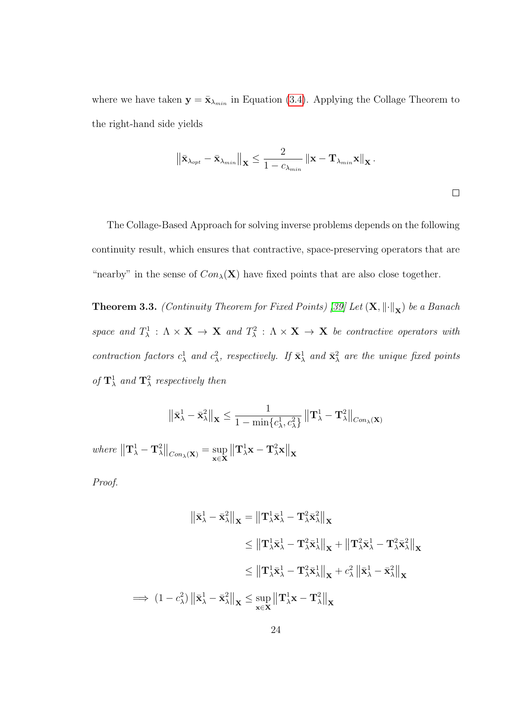where we have taken  $y = \bar{x}_{\lambda_{min}}$  in Equation [\(3.4\)](#page-33-0). Applying the Collage Theorem to the right-hand side yields

$$
\left\|\bar{\mathbf{x}}_{\lambda_{opt}} - \bar{\mathbf{x}}_{\lambda_{min}}\right\|_{\mathbf{X}} \le \frac{2}{1 - c_{\lambda_{min}}}\left\|\mathbf{x} - \mathbf{T}_{\lambda_{min}}\mathbf{x}\right\|_{\mathbf{X}}.
$$

The Collage-Based Approach for solving inverse problems depends on the following continuity result, which ensures that contractive, space-preserving operators that are "nearby" in the sense of  $Con_\lambda(\mathbf{X})$  have fixed points that are also close together.

**Theorem 3.3.** (Continuity Theorem for Fixed Points) [\[39\]](#page-97-0) Let  $(X, \|\cdot\|_X)$  be a Banach space and  $T^1_\lambda$  :  $\Lambda \times \mathbf{X} \to \mathbf{X}$  and  $T^2_\lambda$  :  $\Lambda \times \mathbf{X} \to \mathbf{X}$  be contractive operators with contraction factors  $c^1_\lambda$  and  $c^2_\lambda$ , respectively. If  $\bar{\mathbf{x}}^1_\lambda$  and  $\bar{\mathbf{x}}^2_\lambda$  are the unique fixed points of  $\mathbf{T}_{\lambda}^{1}$  and  $\mathbf{T}_{\lambda}^{2}$  respectively then

$$
\left\|\bar{\mathbf{x}}_{\lambda}^{1}-\bar{\mathbf{x}}_{\lambda}^{2}\right\|_{\mathbf{X}} \leq \frac{1}{1-\min\{c_{\lambda}^{1},c_{\lambda}^{2}\}}\left\|\mathbf{T}_{\lambda}^{1}-\mathbf{T}_{\lambda}^{2}\right\|_{Con_{\lambda}(\mathbf{X})}
$$

where  $\left\|\mathbf{T}_{\lambda}^1 - \mathbf{T}_{\lambda}^2\right\|_{Con_{\lambda}(\mathbf{X})} = \sup_{\mathbf{x} \in \mathbf{X}}$ x∈X  $\left\|\mathbf{T}^1_{\lambda}\mathbf{x}-\mathbf{T}^2_{\lambda}\mathbf{x}\right\|_{\mathbf{X}}$ 

Proof.

$$
\begin{aligned}\n\left\|\bar{\mathbf{x}}_{\lambda}^{1} - \bar{\mathbf{x}}_{\lambda}^{2}\right\|_{\mathbf{X}} &= \left\|\mathbf{T}_{\lambda}^{1} \bar{\mathbf{x}}_{\lambda}^{1} - \mathbf{T}_{\lambda}^{2} \bar{\mathbf{x}}_{\lambda}^{2}\right\|_{\mathbf{X}} \\
&\leq \left\|\mathbf{T}_{\lambda}^{1} \bar{\mathbf{x}}_{\lambda}^{1} - \mathbf{T}_{\lambda}^{2} \bar{\mathbf{x}}_{\lambda}^{1}\right\|_{\mathbf{X}} + \left\|\mathbf{T}_{\lambda}^{2} \bar{\mathbf{x}}_{\lambda}^{1} - \mathbf{T}_{\lambda}^{2} \bar{\mathbf{x}}_{\lambda}^{2}\right\|_{\mathbf{X}} \\
&\leq \left\|\mathbf{T}_{\lambda}^{1} \bar{\mathbf{x}}_{\lambda}^{1} - \mathbf{T}_{\lambda}^{2} \bar{\mathbf{x}}_{\lambda}^{1}\right\|_{\mathbf{X}} + c_{\lambda}^{2} \left\|\bar{\mathbf{x}}_{\lambda}^{1} - \bar{\mathbf{x}}_{\lambda}^{2}\right\|_{\mathbf{X}} \\
\implies (1 - c_{\lambda}^{2}) \left\|\bar{\mathbf{x}}_{\lambda}^{1} - \bar{\mathbf{x}}_{\lambda}^{2}\right\|_{\mathbf{X}} \leq \sup_{\mathbf{x} \in \mathbf{X}} \left\|\mathbf{T}_{\lambda}^{1} \mathbf{x} - \mathbf{T}_{\lambda}^{2}\right\|_{\mathbf{X}}\n\end{aligned}
$$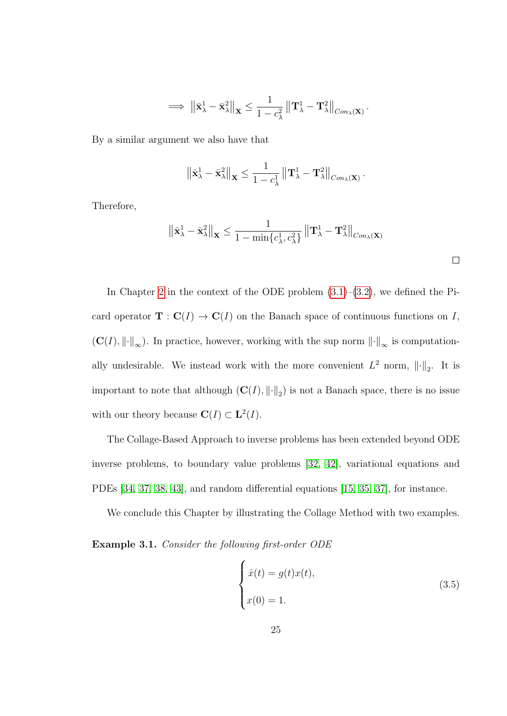$$
\implies \left\|\bar{\mathbf{x}}_{\lambda}^1 - \bar{\mathbf{x}}_{\lambda}^2\right\|_{\mathbf{X}} \leq \frac{1}{1 - c_{\lambda}^2} \left\|\mathbf{T}_{\lambda}^1 - \mathbf{T}_{\lambda}^2\right\|_{Con_{\lambda}(\mathbf{X})}.
$$

By a similar argument we also have that

$$
\left\|\bar{\mathbf{x}}_{\lambda}^1 - \bar{\mathbf{x}}_{\lambda}^2\right\|_{\mathbf{X}} \leq \frac{1}{1 - c_{\lambda}^1} \left\|\mathbf{T}_{\lambda}^1 - \mathbf{T}_{\lambda}^2\right\|_{Con_{\lambda}(\mathbf{X})}.
$$

Therefore,

$$
\left\|\bar{\mathbf{x}}_{\lambda}^{1}-\bar{\mathbf{x}}_{\lambda}^{2}\right\|_{\mathbf{X}} \leq \frac{1}{1-\min\{c_{\lambda}^{1},c_{\lambda}^{2}\}}\left\|\mathbf{T}_{\lambda}^{1}-\mathbf{T}_{\lambda}^{2}\right\|_{Con_{\lambda}(\mathbf{X})}\right\|
$$

In Chapter [2](#page-14-0) in the context of the ODE problem  $(3.1)$ – $(3.2)$ , we defined the Picard operator  $\mathbf{T} : \mathbf{C}(I) \to \mathbf{C}(I)$  on the Banach space of continuous functions on I,  $(C(I), \lVert \cdot \rVert_{\infty})$ . In practice, however, working with the sup norm  $\lVert \cdot \rVert_{\infty}$  is computationally undesirable. We instead work with the more convenient  $L^2$  norm,  $\|\cdot\|_2$ . It is important to note that although  $(C(I), \|\cdot\|_2)$  is not a Banach space, there is no issue with our theory because  $\mathbf{C}(I) \subset \mathbf{L}^2(I)$ .

The Collage-Based Approach to inverse problems has been extended beyond ODE inverse problems, to boundary value problems [\[32,](#page-96-2) [42\]](#page-97-4), variational equations and PDEs [\[34,](#page-96-3) [37,](#page-96-4) [38,](#page-96-5) [43\]](#page-97-5), and random differential equations [\[15,](#page-94-1) [35,](#page-96-6) [37\]](#page-96-4), for instance.

We conclude this Chapter by illustrating the Collage Method with two examples.

Example 3.1. Consider the following first-order ODE

<span id="page-35-0"></span>
$$
\begin{cases}\n\dot{x}(t) = g(t)x(t), \\
x(0) = 1.\n\end{cases}
$$
\n(3.5)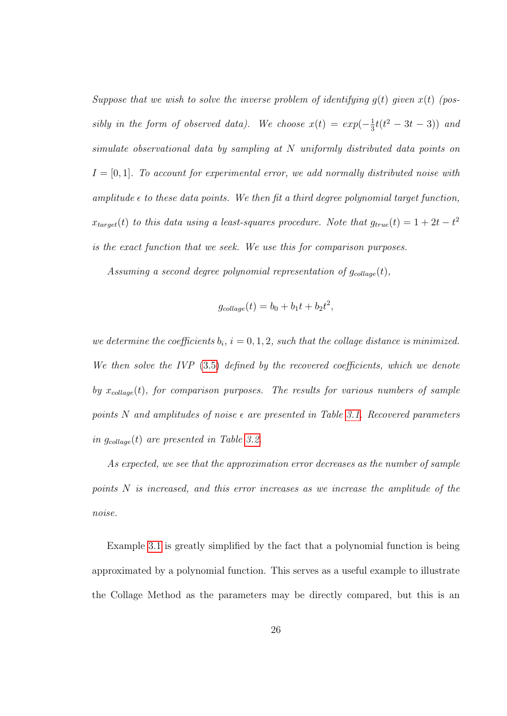Suppose that we wish to solve the inverse problem of identifying  $q(t)$  given  $x(t)$  (possibly in the form of observed data). We choose  $x(t) = exp(-\frac{1}{3}$  $\frac{1}{3}t(t^2-3t-3))$  and simulate observational data by sampling at N uniformly distributed data points on  $I = [0, 1]$ . To account for experimental error, we add normally distributed noise with amplitude  $\epsilon$  to these data points. We then fit a third degree polynomial target function,  $x_{target}(t)$  to this data using a least-squares procedure. Note that  $g_{true}(t) = 1 + 2t - t^2$ is the exact function that we seek. We use this for comparison purposes.

Assuming a second degree polynomial representation of  $g_{\text{collapse}}(t)$ ,

$$
g_{collapse}(t) = b_0 + b_1t + b_2t^2,
$$

we determine the coefficients  $b_i$ ,  $i = 0, 1, 2$ , such that the collage distance is minimized. We then solve the IVP [\(3.5\)](#page-35-0) defined by the recovered coefficients, which we denote by  $x_{\text{collage}}(t)$ , for comparison purposes. The results for various numbers of sample points N and amplitudes of noise  $\epsilon$  are presented in Table [3.1.](#page-37-0) Recovered parameters in  $g_{collapse}(t)$  are presented in Table [3.2.](#page-37-1)

As expected, we see that the approximation error decreases as the number of sample points N is increased, and this error increases as we increase the amplitude of the noise.

Example [3.1](#page-26-0) is greatly simplified by the fact that a polynomial function is being approximated by a polynomial function. This serves as a useful example to illustrate the Collage Method as the parameters may be directly compared, but this is an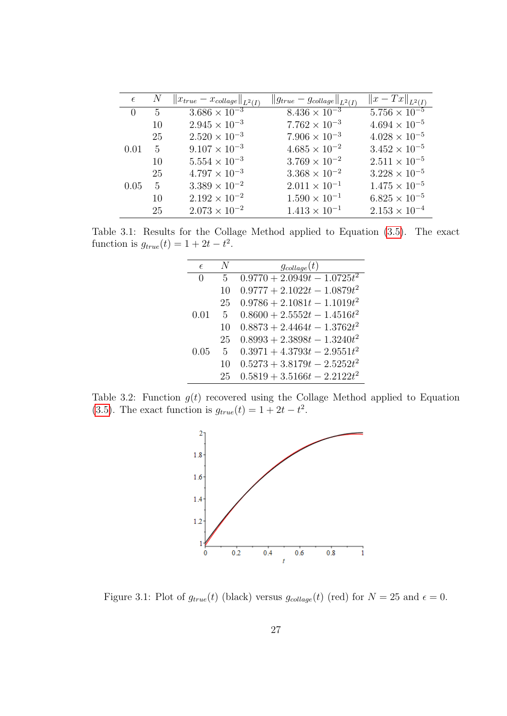| $\epsilon$       |     | $  x_{true} - x_{collapse}  _{L^2(I)}$ | $  g_{true} - g_{collapse}  _{L^2(I)}$ | $  x - Tx  _{L^2(I)}$  |
|------------------|-----|----------------------------------------|----------------------------------------|------------------------|
| $\left( \right)$ | - 5 | $3.686 \times 10^{-3}$                 | $8.436 \times 10^{-3}$                 | $5.756 \times 10^{-5}$ |
|                  | 10  | $2.945 \times 10^{-3}$                 | $7.762 \times 10^{-3}$                 | $4.694 \times 10^{-5}$ |
|                  | 25  | $2.520 \times 10^{-3}$                 | $7.906 \times 10^{-3}$                 | $4.028 \times 10^{-5}$ |
| 0.01             | 5   | $9.107 \times 10^{-3}$                 | $4.685 \times 10^{-2}$                 | $3.452 \times 10^{-5}$ |
|                  | 10  | $5.554 \times 10^{-3}$                 | $3.769 \times 10^{-2}$                 | $2.511 \times 10^{-5}$ |
|                  | 25  | $4.797 \times 10^{-3}$                 | $3.368 \times 10^{-2}$                 | $3.228 \times 10^{-5}$ |
| 0.05             | 5   | $3.389 \times 10^{-2}$                 | $2.011 \times 10^{-1}$                 | $1.475 \times 10^{-5}$ |
|                  | 10  | $2.192 \times 10^{-2}$                 | $1.590 \times 10^{-1}$                 | $6.825 \times 10^{-5}$ |
|                  | 25  | $2.073 \times 10^{-2}$                 | $1.413 \times 10^{-1}$                 | $2.153 \times 10^{-4}$ |

<span id="page-37-0"></span>Table 3.1: Results for the Collage Method applied to Equation [\(3.5\)](#page-35-0). The exact function is  $g_{true}(t) = 1 + 2t - t^2$ .

| $\epsilon$   | N  | $g_{collapse}(t)$              |
|--------------|----|--------------------------------|
| $\mathbf{0}$ | 5  | $0.9770 + 2.0949t - 1.0725t^2$ |
|              | 10 | $0.9777 + 2.1022t - 1.0879t^2$ |
|              | 25 | $0.9786 + 2.1081t - 1.1019t^2$ |
| 0.01         | 5  | $0.8600 + 2.5552t - 1.4516t^2$ |
|              | 10 | $0.8873 + 2.4464t - 1.3762t^2$ |
|              | 25 | $0.8993 + 2.3898t - 1.3240t^2$ |
| 0.05         | 5  | $0.3971 + 4.3793t - 2.9551t^2$ |
|              | 10 | $0.5273 + 3.8179t - 2.5252t^2$ |
|              | 25 | $0.5819 + 3.5166t - 2.2122t^2$ |

Table 3.2: Function  $g(t)$  recovered using the Collage Method applied to Equation [\(3.5\)](#page-35-0). The exact function is  $g_{true}(t) = 1 + 2t - t^2$ .

<span id="page-37-1"></span>

Figure 3.1: Plot of  $g_{true}(t)$  (black) versus  $g_{collapse}(t)$  (red) for  $N = 25$  and  $\epsilon = 0$ .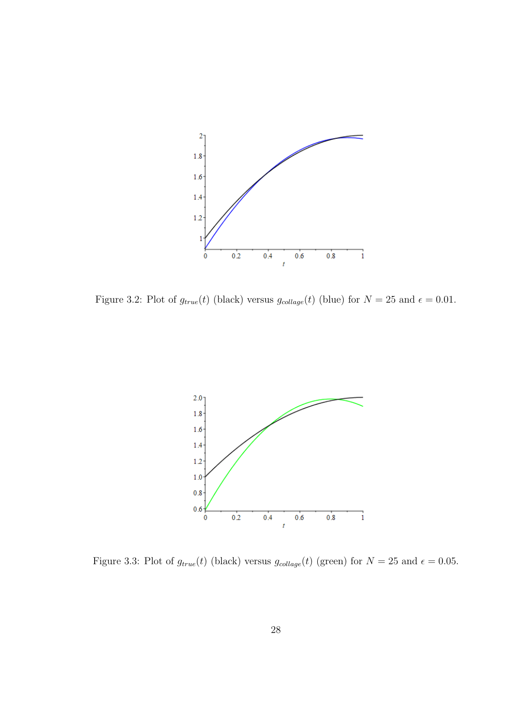

Figure 3.2: Plot of  $g_{true}(t)$  (black) versus  $g_{collapse}(t)$  (blue) for  $N = 25$  and  $\epsilon = 0.01$ .



Figure 3.3: Plot of  $g_{true}(t)$  (black) versus  $g_{collapse}(t)$  (green) for  $N = 25$  and  $\epsilon = 0.05$ .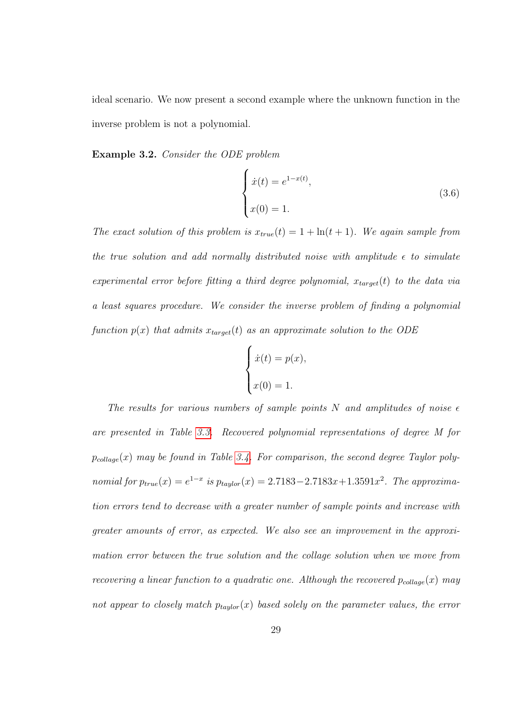ideal scenario. We now present a second example where the unknown function in the inverse problem is not a polynomial.

Example 3.2. Consider the ODE problem

<span id="page-39-0"></span>
$$
\begin{cases}\n\dot{x}(t) = e^{1-x(t)}, \\
x(0) = 1.\n\end{cases}
$$
\n(3.6)

The exact solution of this problem is  $x_{true}(t) = 1 + \ln(t + 1)$ . We again sample from the true solution and add normally distributed noise with amplitude  $\epsilon$  to simulate experimental error before fitting a third degree polynomial,  $x_{target}(t)$  to the data via a least squares procedure. We consider the inverse problem of finding a polynomial function  $p(x)$  that admits  $x_{target}(t)$  as an approximate solution to the ODE

$$
\begin{cases}\n\dot{x}(t) = p(x), \\
x(0) = 1.\n\end{cases}
$$

The results for various numbers of sample points N and amplitudes of noise  $\epsilon$ are presented in Table [3.3.](#page-40-0) Recovered polynomial representations of degree M for  $p_{collapse}(x)$  may be found in Table [3.4.](#page-42-0) For comparison, the second degree Taylor polynomial for  $p_{true}(x) = e^{1-x}$  is  $p_{taylor}(x) = 2.7183 - 2.7183x + 1.3591x^2$ . The approximation errors tend to decrease with a greater number of sample points and increase with greater amounts of error, as expected. We also see an improvement in the approximation error between the true solution and the collage solution when we move from recovering a linear function to a quadratic one. Although the recovered  $p_{collapse}(x)$  may not appear to closely match  $p_{taylor}(x)$  based solely on the parameter values, the error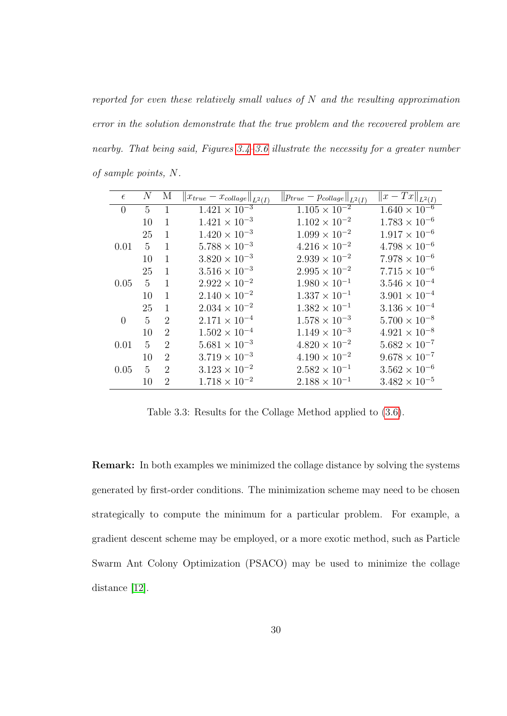reported for even these relatively small values of  $N$  and the resulting approximation error in the solution demonstrate that the true problem and the recovered problem are nearby. That being said, Figures [3.4](#page-41-0)-3.6 illustrate the necessity for a greater number of sample points, N.

| $\epsilon$     | $N_{\rm \scriptscriptstyle I}$ | М              | $  x_{true} - x_{collapse}  _{L^2(I)}$ | $  p_{true} - p_{collapse}  _{L^2(I)}$ | $  x - Tx  _{L^2(I)}$  |
|----------------|--------------------------------|----------------|----------------------------------------|----------------------------------------|------------------------|
| $\overline{0}$ | $5^{\circ}$                    | $\mathbf{1}$   | $1.421 \times 10^{-3}$                 | $1.105 \times 10^{-2}$                 | $1.640 \times 10^{-6}$ |
|                | 10                             | $\mathbf{1}$   | $1.421 \times 10^{-3}$                 | $1.102 \times 10^{-2}$                 | $1.783 \times 10^{-6}$ |
|                | 25                             | 1              | $1.420 \times 10^{-3}$                 | $1.099 \times 10^{-2}$                 | $1.917 \times 10^{-6}$ |
| 0.01           | $\mathbf{5}$                   | 1              | $5.788 \times 10^{-3}$                 | $4.216 \times 10^{-2}$                 | $4.798 \times 10^{-6}$ |
|                | 10                             | 1              | $3.820 \times 10^{-3}$                 | $2.939 \times 10^{-2}$                 | $7.978 \times 10^{-6}$ |
|                | 25                             | $\mathbf{1}$   | $3.516 \times 10^{-3}$                 | $2.995 \times 10^{-2}$                 | $7.715 \times 10^{-6}$ |
| 0.05           | $\mathbf{5}$                   | $\mathbf{1}$   | $2.922 \times 10^{-2}$                 | $1.980 \times 10^{-1}$                 | $3.546 \times 10^{-4}$ |
|                | 10                             | 1              | $2.140 \times 10^{-2}$                 | $1.337 \times 10^{-1}$                 | $3.901 \times 10^{-4}$ |
|                | 25                             | $\mathbf{1}$   | $2.034 \times 10^{-2}$                 | $1.382 \times 10^{-1}$                 | $3.136 \times 10^{-4}$ |
| $\overline{0}$ | 5                              | $\overline{2}$ | $2.171 \times 10^{-4}$                 | $1.578 \times 10^{-3}$                 | $5.700 \times 10^{-8}$ |
|                | 10                             | $\overline{2}$ | $1.502 \times 10^{-4}$                 | $1.149 \times 10^{-3}$                 | $4.921 \times 10^{-8}$ |
| 0.01           | $\mathbf{5}$                   | $\overline{2}$ | $5.681 \times 10^{-3}$                 | $4.820 \times 10^{-2}$                 | $5.682 \times 10^{-7}$ |
|                | 10                             | $\overline{2}$ | $3.719 \times 10^{-3}$                 | $4.190 \times 10^{-2}$                 | $9.678 \times 10^{-7}$ |
| 0.05           | 5                              | $\overline{2}$ | $3.123 \times 10^{-2}$                 | $2.582 \times 10^{-1}$                 | $3.562 \times 10^{-6}$ |
|                | 10                             | 2              | $1.718 \times 10^{-2}$                 | $2.188 \times 10^{-1}$                 | $3.482 \times 10^{-5}$ |

<span id="page-40-0"></span>Table 3.3: Results for the Collage Method applied to [\(3.6\)](#page-39-0).

Remark: In both examples we minimized the collage distance by solving the systems generated by first-order conditions. The minimization scheme may need to be chosen strategically to compute the minimum for a particular problem. For example, a gradient descent scheme may be employed, or a more exotic method, such as Particle Swarm Ant Colony Optimization (PSACO) may be used to minimize the collage distance [\[12\]](#page-93-0).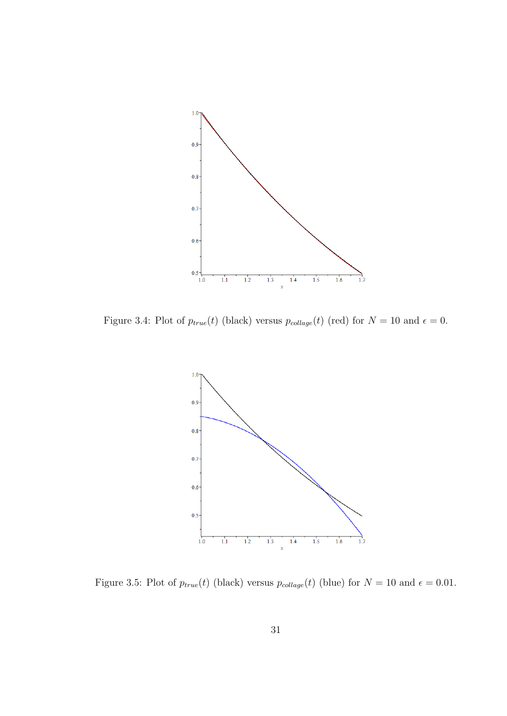

<span id="page-41-0"></span>Figure 3.4: Plot of  $p_{true}(t)$  (black) versus  $p_{collapse}(t)$  (red) for  $N = 10$  and  $\epsilon = 0$ .



Figure 3.5: Plot of  $p_{true}(t)$  (black) versus  $p_{collapse}(t)$  (blue) for  $N = 10$  and  $\epsilon = 0.01$ .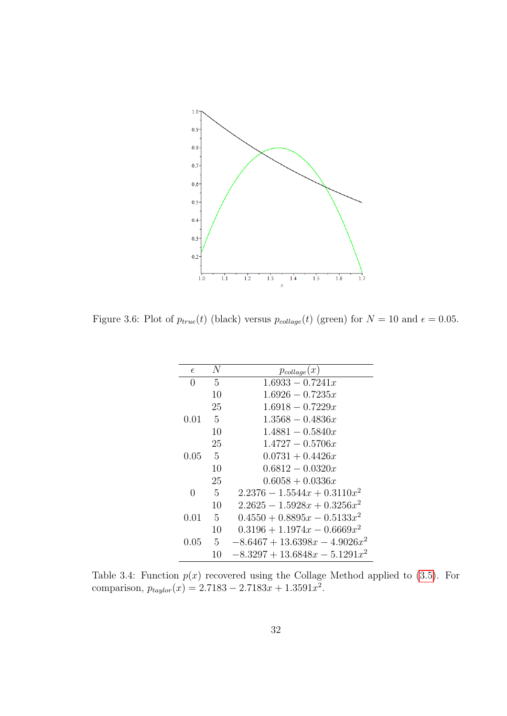

<span id="page-42-1"></span>Figure 3.6: Plot of  $p_{true}(t)$  (black) versus  $p_{collapse}(t)$  (green) for  $N = 10$  and  $\epsilon = 0.05$ .

| $\epsilon$   | N             | $p_{collapse}(x)$                |
|--------------|---------------|----------------------------------|
| $\mathbf{0}$ | 5             | $1.6933 - 0.7241x$               |
|              | 10            | $1.6926 - 0.7235x$               |
|              | 25            | $1.6918 - 0.7229x$               |
| 0.01         | - 5           | $1.3568 - 0.4836x$               |
|              | 10            | $1.4881 - 0.5840x$               |
|              | 25            | $1.4727 - 0.5706x$               |
| 0.05         | - 5           | $0.0731 + 0.4426x$               |
|              | 10            | $0.6812 - 0.0320x$               |
|              | 25            | $0.6058 + 0.0336x$               |
| 0            | -5            | $2.2376 - 1.5544x + 0.3110x^2$   |
|              | 10            | $2.2625 - 1.5928x + 0.3256x^2$   |
| $0.01\,$     | $\frac{5}{2}$ | $0.4550 + 0.8895x - 0.5133x^2$   |
|              | 10            | $0.3196 + 1.1974x - 0.6669x^2$   |
| $0.05\,$     | 5             | $-8.6467 + 13.6398x - 4.9026x^2$ |
|              | 10            | $-8.3297 + 13.6848x - 5.1291x^2$ |

<span id="page-42-0"></span>Table 3.4: Function  $p(x)$  recovered using the Collage Method applied to [\(3.5\)](#page-35-0). For comparison,  $p_{taylor}(x) = 2.7183 - 2.7183x + 1.3591x^2$ .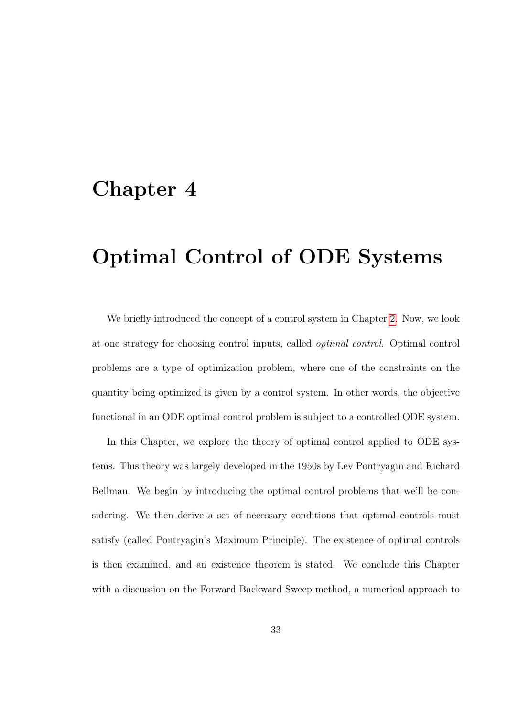## <span id="page-43-0"></span>Chapter 4

## Optimal Control of ODE Systems

We briefly introduced the concept of a control system in Chapter [2.](#page-14-0) Now, we look at one strategy for choosing control inputs, called optimal control. Optimal control problems are a type of optimization problem, where one of the constraints on the quantity being optimized is given by a control system. In other words, the objective functional in an ODE optimal control problem is subject to a controlled ODE system.

In this Chapter, we explore the theory of optimal control applied to ODE systems. This theory was largely developed in the 1950s by Lev Pontryagin and Richard Bellman. We begin by introducing the optimal control problems that we'll be considering. We then derive a set of necessary conditions that optimal controls must satisfy (called Pontryagin's Maximum Principle). The existence of optimal controls is then examined, and an existence theorem is stated. We conclude this Chapter with a discussion on the Forward Backward Sweep method, a numerical approach to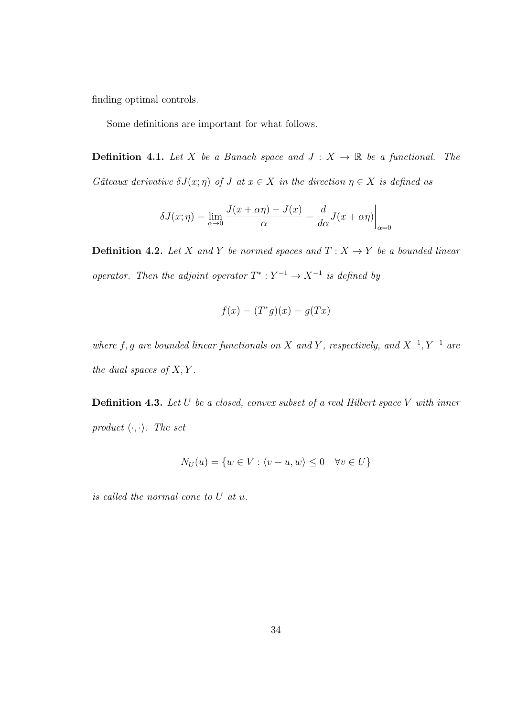finding optimal controls.

Some definitions are important for what follows.

**Definition 4.1.** Let X be a Banach space and  $J: X \rightarrow \mathbb{R}$  be a functional. The Gâteaux derivative  $\delta J(x; \eta)$  of J at  $x \in X$  in the direction  $\eta \in X$  is defined as

$$
\delta J(x;\eta) = \lim_{\alpha \to 0} \frac{J(x+\alpha \eta) - J(x)}{\alpha} = \frac{d}{d\alpha} J(x+\alpha \eta) \Big|_{\alpha=0}
$$

**Definition 4.2.** Let X and Y be normed spaces and  $T : X \rightarrow Y$  be a bounded linear operator. Then the adjoint operator  $T^*: Y^{-1} \to X^{-1}$  is defined by

$$
f(x) = (T^*g)(x) = g(Tx)
$$

where f, g are bounded linear functionals on X and Y, respectively, and  $X^{-1}$ ,  $Y^{-1}$  are the dual spaces of  $X, Y$ .

**Definition 4.3.** Let  $U$  be a closed, convex subset of a real Hilbert space  $V$  with inner product  $\langle \cdot, \cdot \rangle$ . The set

$$
N_U(u) = \{ w \in V : \langle v - u, w \rangle \le 0 \quad \forall v \in U \}
$$

is called the normal cone to U at u.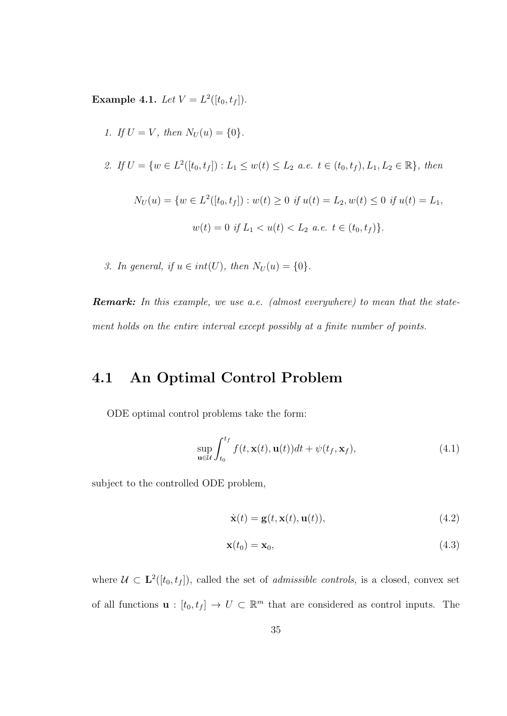**Example 4.1.** Let  $V = L^2([t_0, t_f]).$ 

\n- 1. If 
$$
U = V
$$
, then  $N_U(u) = \{0\}$ .
\n- 2. If  $U = \{w \in L^2([t_0, t_f]) : L_1 \leq w(t) \leq L_2 \text{ a.e. } t \in (t_0, t_f), L_1, L_2 \in \mathbb{R}\}$ , then  $N_U(u) = \{w \in L^2([t_0, t_f]) : w(t) \geq 0 \text{ if } u(t) = L_2, w(t) \leq 0 \text{ if } u(t) = L_1, w(t) = 0 \text{ if } L_1 < u(t) < L_2 \text{ a.e. } t \in (t_0, t_f)\}$ .
\n

3. In general, if  $u \in int(U)$ , then  $N_U(u) = \{0\}$ .

**Remark:** In this example, we use a.e. (almost everywhere) to mean that the statement holds on the entire interval except possibly at a finite number of points.

#### <span id="page-45-3"></span>4.1 An Optimal Control Problem

ODE optimal control problems take the form:

<span id="page-45-0"></span>
$$
\sup_{\mathbf{u}\in\mathcal{U}}\int_{t_0}^{t_f}f(t,\mathbf{x}(t),\mathbf{u}(t))dt+\psi(t_f,\mathbf{x}_f),\tag{4.1}
$$

subject to the controlled ODE problem,

<span id="page-45-2"></span><span id="page-45-1"></span>
$$
\dot{\mathbf{x}}(t) = \mathbf{g}(t, \mathbf{x}(t), \mathbf{u}(t)),\tag{4.2}
$$

$$
\mathbf{x}(t_0) = \mathbf{x}_0,\tag{4.3}
$$

where  $\mathcal{U} \subset \mathbf{L}^2([t_0, t_f])$ , called the set of *admissible controls*, is a closed, convex set of all functions  $\mathbf{u} : [t_0, t_f] \to U \subset \mathbb{R}^m$  that are considered as control inputs. The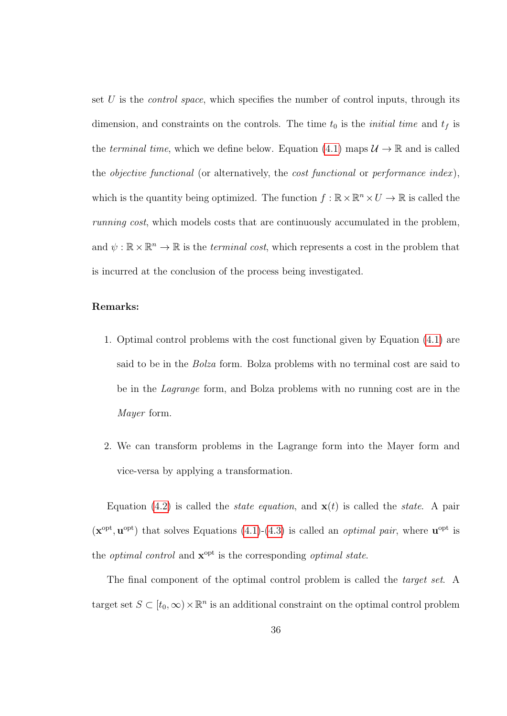set  $U$  is the *control space*, which specifies the number of control inputs, through its dimension, and constraints on the controls. The time  $t_0$  is the *initial time* and  $t_f$  is the terminal time, which we define below. Equation [\(4.1\)](#page-45-0) maps  $\mathcal{U} \to \mathbb{R}$  and is called the *objective functional* (or alternatively, the *cost functional* or *performance index*), which is the quantity being optimized. The function  $f : \mathbb{R} \times \mathbb{R}^n \times U \to \mathbb{R}$  is called the running cost, which models costs that are continuously accumulated in the problem, and  $\psi : \mathbb{R} \times \mathbb{R}^n \to \mathbb{R}$  is the *terminal cost*, which represents a cost in the problem that is incurred at the conclusion of the process being investigated.

#### Remarks:

- 1. Optimal control problems with the cost functional given by Equation [\(4.1\)](#page-45-0) are said to be in the Bolza form. Bolza problems with no terminal cost are said to be in the Lagrange form, and Bolza problems with no running cost are in the Mayer form.
- 2. We can transform problems in the Lagrange form into the Mayer form and vice-versa by applying a transformation.

Equation [\(4.2\)](#page-45-1) is called the *state equation*, and  $\mathbf{x}(t)$  is called the *state*. A pair  $(\mathbf{x}^{\text{opt}}, \mathbf{u}^{\text{opt}})$  that solves Equations [\(4.1\)](#page-45-0)-[\(4.3\)](#page-45-2) is called an *optimal pair*, where  $\mathbf{u}^{\text{opt}}$  is the *optimal control* and  $\mathbf{x}^{\text{opt}}$  is the corresponding *optimal state*.

The final component of the optimal control problem is called the *target set*. A target set  $S \subset [t_0, \infty) \times \mathbb{R}^n$  is an additional constraint on the optimal control problem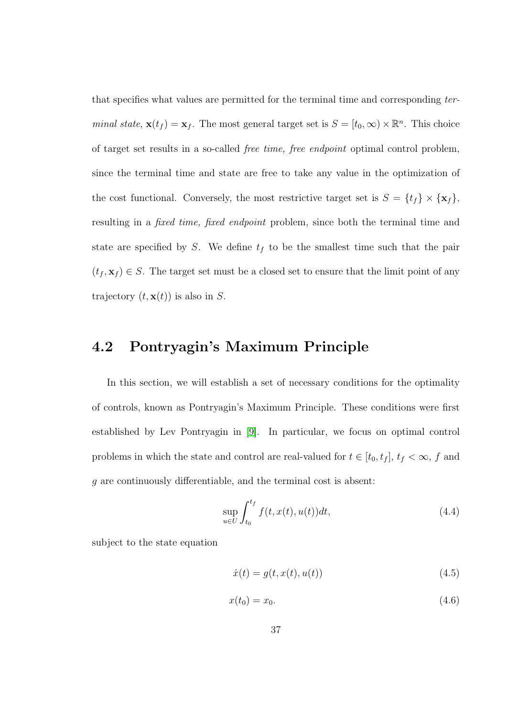that specifies what values are permitted for the terminal time and corresponding terminal state,  $\mathbf{x}(t_f) = \mathbf{x}_f$ . The most general target set is  $S = [t_0, \infty) \times \mathbb{R}^n$ . This choice of target set results in a so-called free time, free endpoint optimal control problem, since the terminal time and state are free to take any value in the optimization of the cost functional. Conversely, the most restrictive target set is  $S = \{t_f\} \times \{\mathbf{x}_f\}$ , resulting in a *fixed time, fixed endpoint* problem, since both the terminal time and state are specified by S. We define  $t_f$  to be the smallest time such that the pair  $(t_f, \mathbf{x}_f) \in S$ . The target set must be a closed set to ensure that the limit point of any trajectory  $(t, \mathbf{x}(t))$  is also in S.

#### <span id="page-47-2"></span>4.2 Pontryagin's Maximum Principle

In this section, we will establish a set of necessary conditions for the optimality of controls, known as Pontryagin's Maximum Principle. These conditions were first established by Lev Pontryagin in [\[9\]](#page-93-1). In particular, we focus on optimal control problems in which the state and control are real-valued for  $t \in [t_0, t_f]$ ,  $t_f < \infty$ , f and g are continuously differentiable, and the terminal cost is absent:

<span id="page-47-0"></span>
$$
\sup_{u \in U} \int_{t_0}^{t_f} f(t, x(t), u(t)) dt,
$$
\n(4.4)

subject to the state equation

<span id="page-47-3"></span><span id="page-47-1"></span>
$$
\dot{x}(t) = g(t, x(t), u(t))
$$
\n(4.5)

$$
x(t_0) = x_0. \t\t(4.6)
$$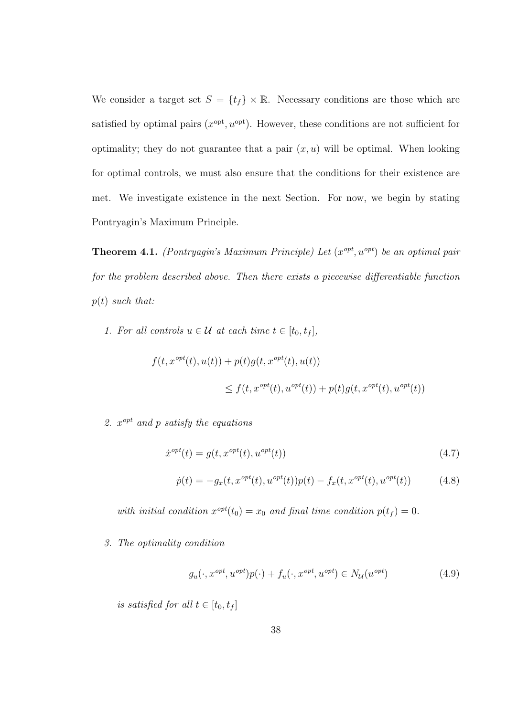We consider a target set  $S = \{t_f\} \times \mathbb{R}$ . Necessary conditions are those which are satisfied by optimal pairs  $(x^{opt}, u^{opt})$ . However, these conditions are not sufficient for optimality; they do not guarantee that a pair  $(x, u)$  will be optimal. When looking for optimal controls, we must also ensure that the conditions for their existence are met. We investigate existence in the next Section. For now, we begin by stating Pontryagin's Maximum Principle.

**Theorem 4.1.** (Pontryagin's Maximum Principle) Let  $(x^{opt}, u^{opt})$  be an optimal pair for the problem described above. Then there exists a piecewise differentiable function  $p(t)$  such that:

1. For all controls  $u \in \mathcal{U}$  at each time  $t \in [t_0, t_f]$ ,

$$
f(t, x^{opt}(t), u(t)) + p(t)g(t, x^{opt}(t), u(t))
$$
  

$$
\leq f(t, x^{opt}(t), u^{opt}(t)) + p(t)g(t, x^{opt}(t), u^{opt}(t))
$$

2.  $x^{opt}$  and p satisfy the equations

$$
\dot{x}^{opt}(t) = g(t, x^{opt}(t), u^{opt}(t))
$$
\n(4.7)

$$
\dot{p}(t) = -g_x(t, x^{opt}(t), u^{opt}(t))p(t) - f_x(t, x^{opt}(t), u^{opt}(t))
$$
\n(4.8)

with initial condition  $x^{opt}(t_0) = x_0$  and final time condition  $p(t_f) = 0$ .

3. The optimality condition

<span id="page-48-0"></span>
$$
g_u(\cdot, x^{opt}, u^{opt})p(\cdot) + f_u(\cdot, x^{opt}, u^{opt}) \in N_{\mathcal{U}}(u^{opt})
$$
\n
$$
(4.9)
$$

 $is\ satisfied\ for\ all\ t\in[t_0,t_f]$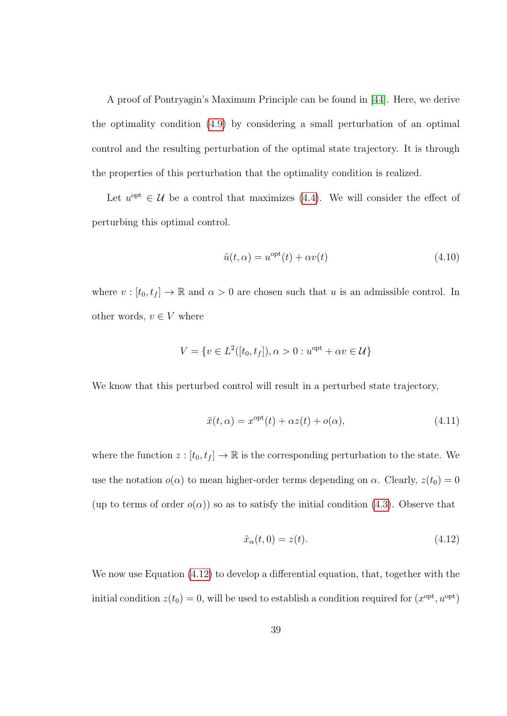A proof of Pontryagin's Maximum Principle can be found in [\[44\]](#page-97-0). Here, we derive the optimality condition [\(4.9\)](#page-48-0) by considering a small perturbation of an optimal control and the resulting perturbation of the optimal state trajectory. It is through the properties of this perturbation that the optimality condition is realized.

Let  $u^{\text{opt}} \in \mathcal{U}$  be a control that maximizes [\(4.4\)](#page-47-0). We will consider the effect of perturbing this optimal control.

<span id="page-49-1"></span>
$$
\tilde{u}(t,\alpha) = u^{\text{opt}}(t) + \alpha v(t) \tag{4.10}
$$

where  $v : [t_0, t_f] \to \mathbb{R}$  and  $\alpha > 0$  are chosen such that u is an admissible control. In other words,  $v \in V$  where

$$
V = \{ v \in L^2([t_0, t_f]), \alpha > 0 : u^{\text{opt}} + \alpha v \in \mathcal{U} \}
$$

We know that this perturbed control will result in a perturbed state trajectory,

<span id="page-49-2"></span>
$$
\tilde{x}(t,\alpha) = x^{\text{opt}}(t) + \alpha z(t) + o(\alpha),\tag{4.11}
$$

where the function  $z : [t_0, t_f] \to \mathbb{R}$  is the corresponding perturbation to the state. We use the notation  $o(\alpha)$  to mean higher-order terms depending on  $\alpha$ . Clearly,  $z(t_0) = 0$ (up to terms of order  $o(\alpha)$ ) so as to satisfy the initial condition [\(4.3\)](#page-45-2). Observe that

<span id="page-49-0"></span>
$$
\tilde{x}_{\alpha}(t,0) = z(t). \tag{4.12}
$$

We now use Equation  $(4.12)$  to develop a differential equation, that, together with the initial condition  $z(t_0) = 0$ , will be used to establish a condition required for  $(x^{\text{opt}}, u^{\text{opt}})$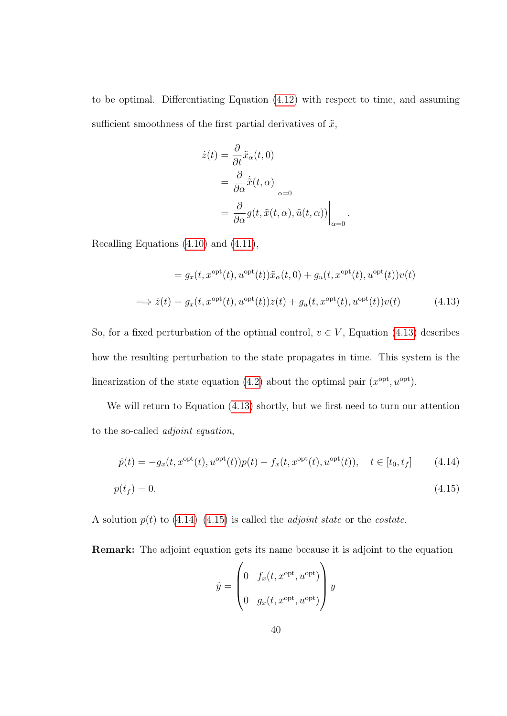to be optimal. Differentiating Equation [\(4.12\)](#page-49-0) with respect to time, and assuming sufficient smoothness of the first partial derivatives of  $\tilde{x}$ ,

<span id="page-50-0"></span>
$$
\dot{z}(t) = \frac{\partial}{\partial t} \tilde{x}_{\alpha}(t, 0)
$$
  
= 
$$
\frac{\partial}{\partial \alpha} \dot{\tilde{x}}(t, \alpha) \Big|_{\alpha=0}
$$
  
= 
$$
\frac{\partial}{\partial \alpha} g(t, \tilde{x}(t, \alpha), \tilde{u}(t, \alpha)) \Big|_{\alpha=0}.
$$

Recalling Equations [\(4.10\)](#page-49-1) and [\(4.11\)](#page-49-2),

$$
= g_x(t, x^{\text{opt}}(t), u^{\text{opt}}(t))\tilde{x}_{\alpha}(t, 0) + g_u(t, x^{\text{opt}}(t), u^{\text{opt}}(t))v(t)
$$
  

$$
\implies \dot{z}(t) = g_x(t, x^{\text{opt}}(t), u^{\text{opt}}(t))z(t) + g_u(t, x^{\text{opt}}(t), u^{\text{opt}}(t))v(t)
$$
(4.13)

So, for a fixed perturbation of the optimal control,  $v \in V$ , Equation [\(4.13\)](#page-50-0) describes how the resulting perturbation to the state propagates in time. This system is the linearization of the state equation [\(4.2\)](#page-45-1) about the optimal pair  $(x^{\text{opt}}, u^{\text{opt}})$ .

We will return to Equation [\(4.13\)](#page-50-0) shortly, but we first need to turn our attention to the so-called adjoint equation,

$$
\dot{p}(t) = -g_x(t, x^{\text{opt}}(t), u^{\text{opt}}(t))p(t) - f_x(t, x^{\text{opt}}(t), u^{\text{opt}}(t)), \quad t \in [t_0, t_f]
$$
(4.14)

$$
p(t_f) = 0.\tag{4.15}
$$

A solution  $p(t)$  to  $(4.14)$ – $(4.15)$  is called the *adjoint state* or the *costate*.

Remark: The adjoint equation gets its name because it is adjoint to the equation

<span id="page-50-2"></span><span id="page-50-1"></span>
$$
\dot{y} = \begin{pmatrix} 0 & f_x(t, x^{\text{opt}}, u^{\text{opt}}) \\ 0 & g_x(t, x^{\text{opt}}, u^{\text{opt}}) \end{pmatrix} y
$$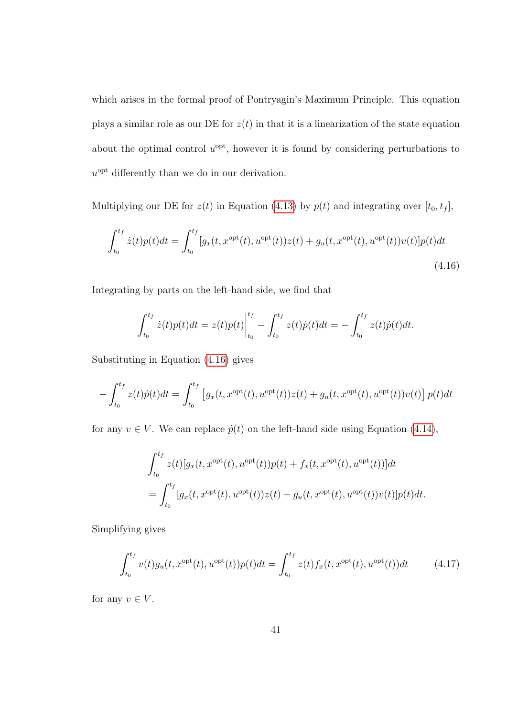which arises in the formal proof of Pontryagin's Maximum Principle. This equation plays a similar role as our DE for  $z(t)$  in that it is a linearization of the state equation about the optimal control  $u^{\text{opt}}$ , however it is found by considering perturbations to  $u^{\text{opt}}$  differently than we do in our derivation.

Multiplying our DE for  $z(t)$  in Equation [\(4.13\)](#page-50-0) by  $p(t)$  and integrating over  $[t_0, t_f]$ ,

<span id="page-51-0"></span>
$$
\int_{t_0}^{t_f} \dot{z}(t)p(t)dt = \int_{t_0}^{t_f} [g_x(t, x^{\text{opt}}(t), u^{\text{opt}}(t))z(t) + g_u(t, x^{\text{opt}}(t), u^{\text{opt}}(t))v(t)]p(t)dt
$$
\n(4.16)

Integrating by parts on the left-hand side, we find that

$$
\int_{t_0}^{t_f} \dot{z}(t)p(t)dt = z(t)p(t)\Big|_{t_0}^{t_f} - \int_{t_0}^{t_f} z(t)\dot{p}(t)dt = -\int_{t_0}^{t_f} z(t)\dot{p}(t)dt.
$$

Substituting in Equation [\(4.16\)](#page-51-0) gives

$$
- \int_{t_0}^{t_f} z(t) \dot{p}(t) dt = \int_{t_0}^{t_f} \left[ g_x(t, x^{\text{opt}}(t), u^{\text{opt}}(t)) z(t) + g_u(t, x^{\text{opt}}(t), u^{\text{opt}}(t)) v(t) \right] p(t) dt
$$

for any  $v \in V$ . We can replace  $\dot{p}(t)$  on the left-hand side using Equation [\(4.14\)](#page-50-1),

$$
\int_{t_0}^{t_f} z(t)[g_x(t, x^{\text{opt}}(t), u^{\text{opt}}(t))p(t) + f_x(t, x^{\text{opt}}(t), u^{\text{opt}}(t))]dt
$$
\n
$$
= \int_{t_0}^{t_f} [g_x(t, x^{\text{opt}}(t), u^{\text{opt}}(t))z(t) + g_u(t, x^{\text{opt}}(t), u^{\text{opt}}(t))v(t)]p(t)dt.
$$

Simplifying gives

<span id="page-51-1"></span>
$$
\int_{t_0}^{t_f} v(t)g_u(t, x^{\text{opt}}(t), u^{\text{opt}}(t))p(t)dt = \int_{t_0}^{t_f} z(t)f_x(t, x^{\text{opt}}(t), u^{\text{opt}}(t))dt \qquad (4.17)
$$

for any  $v \in V$ .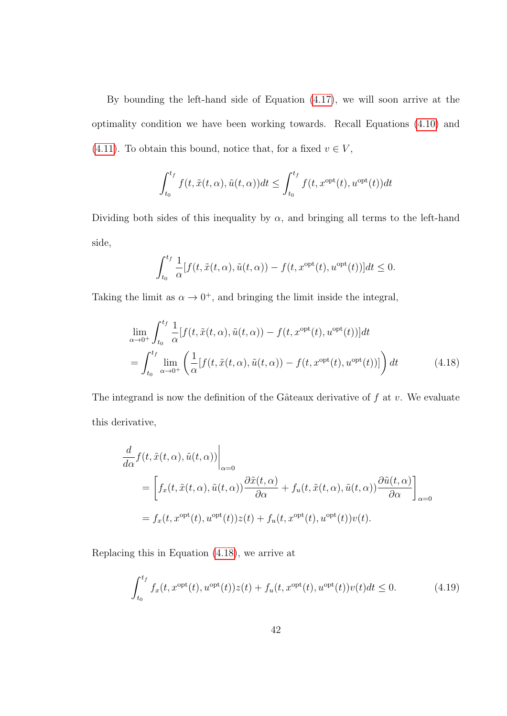By bounding the left-hand side of Equation [\(4.17\)](#page-51-1), we will soon arrive at the optimality condition we have been working towards. Recall Equations [\(4.10\)](#page-49-1) and [\(4.11\)](#page-49-2). To obtain this bound, notice that, for a fixed  $v \in V$ ,

$$
\int_{t_0}^{t_f} f(t, \tilde{x}(t, \alpha), \tilde{u}(t, \alpha)) dt \le \int_{t_0}^{t_f} f(t, x^{\text{opt}}(t), u^{\text{opt}}(t)) dt
$$

Dividing both sides of this inequality by  $\alpha$ , and bringing all terms to the left-hand side,

<span id="page-52-0"></span>
$$
\int_{t_0}^{t_f} \frac{1}{\alpha} [f(t, \tilde{x}(t, \alpha), \tilde{u}(t, \alpha)) - f(t, x^{\text{opt}}(t), u^{\text{opt}}(t))] dt \le 0.
$$

Taking the limit as  $\alpha \to 0^+$ , and bringing the limit inside the integral,

$$
\lim_{\alpha \to 0^+} \int_{t_0}^{t_f} \frac{1}{\alpha} [f(t, \tilde{x}(t, \alpha), \tilde{u}(t, \alpha)) - f(t, x^{\text{opt}}(t), u^{\text{opt}}(t))] dt \n= \int_{t_0}^{t_f} \lim_{\alpha \to 0^+} \left( \frac{1}{\alpha} [f(t, \tilde{x}(t, \alpha), \tilde{u}(t, \alpha)) - f(t, x^{\text{opt}}(t), u^{\text{opt}}(t))] \right) dt
$$
\n(4.18)

The integrand is now the definition of the Gâteaux derivative of  $f$  at  $v$ . We evaluate this derivative,

$$
\frac{d}{d\alpha} f(t, \tilde{x}(t, \alpha), \tilde{u}(t, \alpha))\Big|_{\alpha=0}
$$
\n
$$
= \left[ f_x(t, \tilde{x}(t, \alpha), \tilde{u}(t, \alpha)) \frac{\partial \tilde{x}(t, \alpha)}{\partial \alpha} + f_u(t, \tilde{x}(t, \alpha), \tilde{u}(t, \alpha)) \frac{\partial \tilde{u}(t, \alpha)}{\partial \alpha} \right]_{\alpha=0}
$$
\n
$$
= f_x(t, x^{\text{opt}}(t), u^{\text{opt}}(t)) z(t) + f_u(t, x^{\text{opt}}(t), u^{\text{opt}}(t)) v(t).
$$

Replacing this in Equation [\(4.18\)](#page-52-0), we arrive at

<span id="page-52-1"></span>
$$
\int_{t_0}^{t_f} f_x(t, x^{\text{opt}}(t), u^{\text{opt}}(t)) z(t) + f_u(t, x^{\text{opt}}(t), u^{\text{opt}}(t)) v(t) dt \le 0.
$$
 (4.19)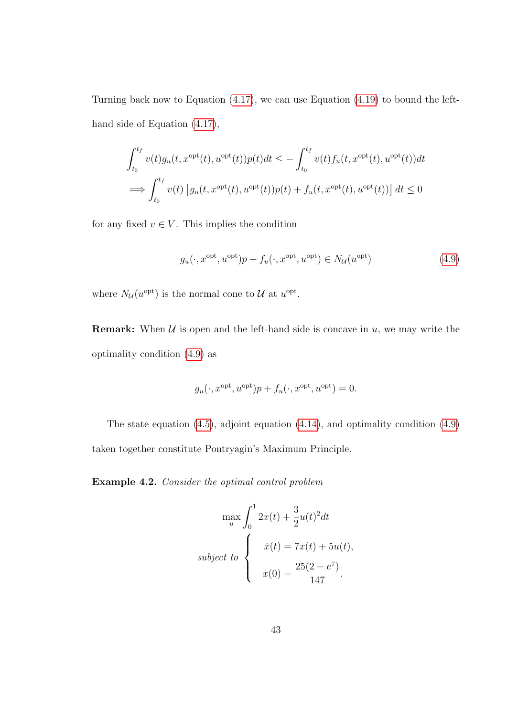Turning back now to Equation [\(4.17\)](#page-51-1), we can use Equation [\(4.19\)](#page-52-1) to bound the lefthand side of Equation [\(4.17\)](#page-51-1),

$$
\int_{t_0}^{t_f} v(t)g_u(t, x^{\text{opt}}(t), u^{\text{opt}}(t))p(t)dt \le -\int_{t_0}^{t_f} v(t)f_u(t, x^{\text{opt}}(t), u^{\text{opt}}(t))dt
$$
  

$$
\implies \int_{t_0}^{t_f} v(t) \left[g_u(t, x^{\text{opt}}(t), u^{\text{opt}}(t))p(t) + f_u(t, x^{\text{opt}}(t), u^{\text{opt}}(t))\right]dt \le 0
$$

for any fixed  $v \in V$ . This implies the condition

$$
g_u(\cdot, x^{\text{opt}}, u^{\text{opt}})p + f_u(\cdot, x^{\text{opt}}, u^{\text{opt}}) \in N_{\mathcal{U}}(u^{\text{opt}})
$$
(4.9)

where  $N_{\mathcal{U}}(u^{\text{opt}})$  is the normal cone to  $\mathcal{U}$  at  $u^{\text{opt}}$ .

**Remark:** When  $U$  is open and the left-hand side is concave in  $u$ , we may write the optimality condition [\(4.9\)](#page-48-0) as

$$
g_u(\cdot, x^{\text{opt}}, u^{\text{opt}})p + f_u(\cdot, x^{\text{opt}}, u^{\text{opt}}) = 0.
$$

The state equation [\(4.5\)](#page-47-1), adjoint equation [\(4.14\)](#page-50-1), and optimality condition [\(4.9\)](#page-48-0) taken together constitute Pontryagin's Maximum Principle.

Example 4.2. Consider the optimal control problem

$$
\begin{aligned}\n\max_{u} \int_{0}^{1} 2x(t) + \frac{3}{2}u(t)^{2}dt \\
\text{subject to} \quad \begin{cases}\n\dot{x}(t) &= 7x(t) + 5u(t), \\
x(0) &= \frac{25(2 - e^{7})}{147}.\n\end{cases}\n\end{aligned}
$$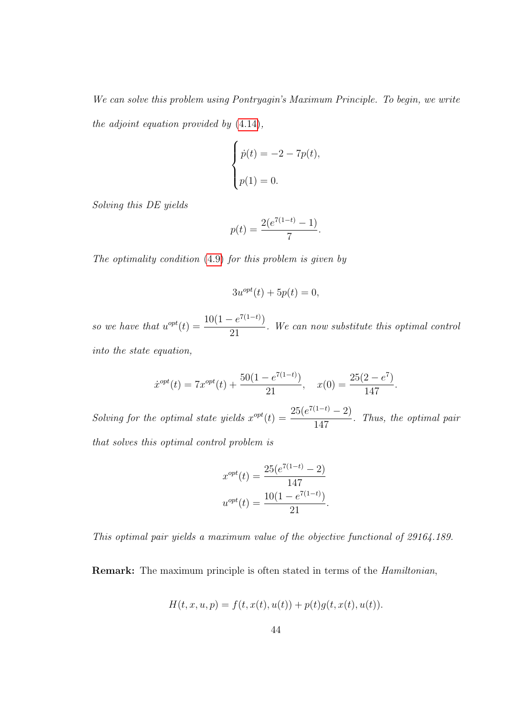We can solve this problem using Pontryagin's Maximum Principle. To begin, we write the adjoint equation provided by [\(4.14\)](#page-50-1),

$$
\begin{cases}\n\dot{p}(t) = -2 - 7p(t), \\
p(1) = 0.\n\end{cases}
$$

Solving this DE yields

$$
p(t) = \frac{2(e^{7(1-t)} - 1)}{7}.
$$

The optimality condition [\(4.9\)](#page-48-0) for this problem is given by

$$
3u^{opt}(t) + 5p(t) = 0,
$$

so we have that  $u^{opt}(t) = \frac{10(1 - e^{7(1-t)})}{21}$ 21 . We can now substitute this optimal control into the state equation,

$$
\dot{x}^{opt}(t) = 7x^{opt}(t) + \frac{50(1 - e^{7(1-t)})}{21}, \quad x(0) = \frac{25(2 - e^7)}{147}.
$$

Solving for the optimal state yields  $x^{opt}(t) = \frac{25(e^{7(1-t)} - 2)}{147}$ 147 . Thus, the optimal pair that solves this optimal control problem is

$$
x^{opt}(t) = \frac{25(e^{7(1-t)} - 2)}{147}
$$

$$
u^{opt}(t) = \frac{10(1 - e^{7(1-t)})}{21}.
$$

This optimal pair yields a maximum value of the objective functional of 29164.189.

Remark: The maximum principle is often stated in terms of the *Hamiltonian*,

$$
H(t, x, u, p) = f(t, x(t), u(t)) + p(t)g(t, x(t), u(t)).
$$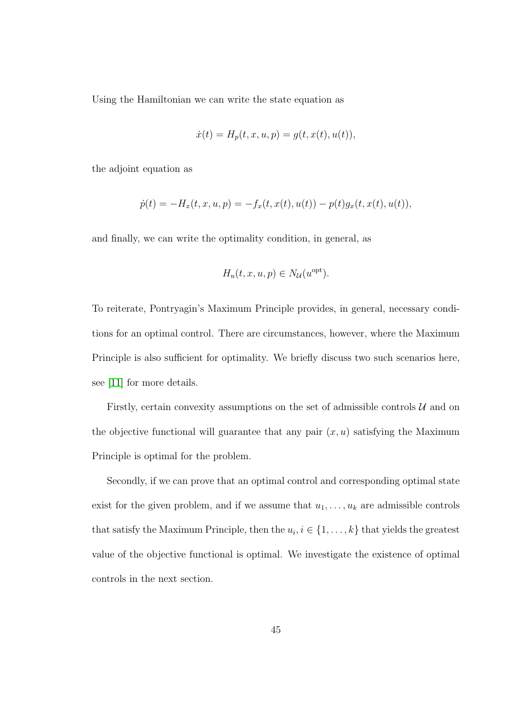Using the Hamiltonian we can write the state equation as

$$
\dot{x}(t) = H_p(t, x, u, p) = g(t, x(t), u(t)),
$$

the adjoint equation as

$$
\dot{p}(t) = -H_x(t, x, u, p) = -f_x(t, x(t), u(t)) - p(t)g_x(t, x(t), u(t)),
$$

and finally, we can write the optimality condition, in general, as

$$
H_u(t, x, u, p) \in N_{\mathcal{U}}(u^{\text{opt}}).
$$

To reiterate, Pontryagin's Maximum Principle provides, in general, necessary conditions for an optimal control. There are circumstances, however, where the Maximum Principle is also sufficient for optimality. We briefly discuss two such scenarios here, see [\[11\]](#page-93-2) for more details.

Firstly, certain convexity assumptions on the set of admissible controls  $\mathcal{U}$  and on the objective functional will guarantee that any pair  $(x, u)$  satisfying the Maximum Principle is optimal for the problem.

Secondly, if we can prove that an optimal control and corresponding optimal state exist for the given problem, and if we assume that  $u_1, \ldots, u_k$  are admissible controls that satisfy the Maximum Principle, then the  $u_i, i \in \{1, \ldots, k\}$  that yields the greatest value of the objective functional is optimal. We investigate the existence of optimal controls in the next section.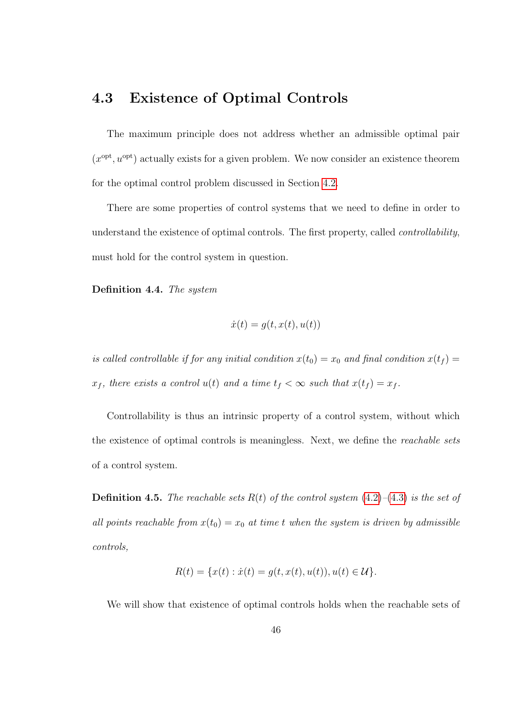#### 4.3 Existence of Optimal Controls

The maximum principle does not address whether an admissible optimal pair  $(x<sup>opt</sup>, u<sup>opt</sup>)$  actually exists for a given problem. We now consider an existence theorem for the optimal control problem discussed in Section [4.2.](#page-47-2)

There are some properties of control systems that we need to define in order to understand the existence of optimal controls. The first property, called controllability, must hold for the control system in question.

Definition 4.4. The system

$$
\dot{x}(t) = g(t, x(t), u(t))
$$

is called controllable if for any initial condition  $x(t_0) = x_0$  and final condition  $x(t_f) =$  $x_f$ , there exists a control  $u(t)$  and a time  $t_f < \infty$  such that  $x(t_f) = x_f$ .

Controllability is thus an intrinsic property of a control system, without which the existence of optimal controls is meaningless. Next, we define the reachable sets of a control system.

**Definition 4.5.** The reachable sets  $R(t)$  of the control system  $(4.2)$ – $(4.3)$  is the set of all points reachable from  $x(t_0) = x_0$  at time t when the system is driven by admissible controls,

$$
R(t) = \{x(t) : \dot{x}(t) = g(t, x(t), u(t)), u(t) \in \mathcal{U}\}.
$$

We will show that existence of optimal controls holds when the reachable sets of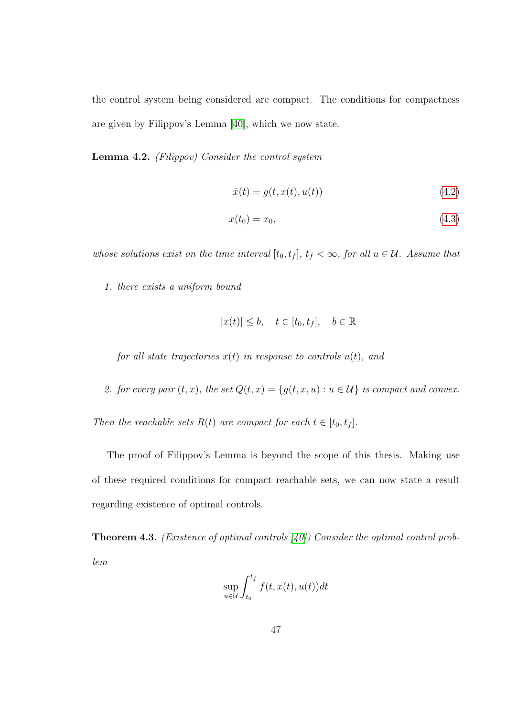the control system being considered are compact. The conditions for compactness are given by Filippov's Lemma [\[40\]](#page-97-1), which we now state.

Lemma 4.2. (Filippov) Consider the control system

$$
\dot{x}(t) = g(t, x(t), u(t))
$$
\n(4.2)

$$
x(t_0) = x_0,\tag{4.3}
$$

whose solutions exist on the time interval  $[t_0, t_f]$ ,  $t_f < \infty$ , for all  $u \in \mathcal{U}$ . Assume that

1. there exists a uniform bound

$$
|x(t)| \le b, \quad t \in [t_0, t_f], \quad b \in \mathbb{R}
$$

for all state trajectories  $x(t)$  in response to controls  $u(t)$ , and

2. for every pair  $(t, x)$ , the set  $Q(t, x) = \{g(t, x, u) : u \in \mathcal{U}\}\$ is compact and convex.

Then the reachable sets  $R(t)$  are compact for each  $t \in [t_0, t_f]$ .

The proof of Filippov's Lemma is beyond the scope of this thesis. Making use of these required conditions for compact reachable sets, we can now state a result regarding existence of optimal controls.

**Theorem 4.3.** (*Existence of optimal controls [\[40\]](#page-97-1)*) Consider the optimal control problem

$$
\sup_{u \in \mathcal{U}} \int_{t_0}^{t_f} f(t, x(t), u(t)) dt
$$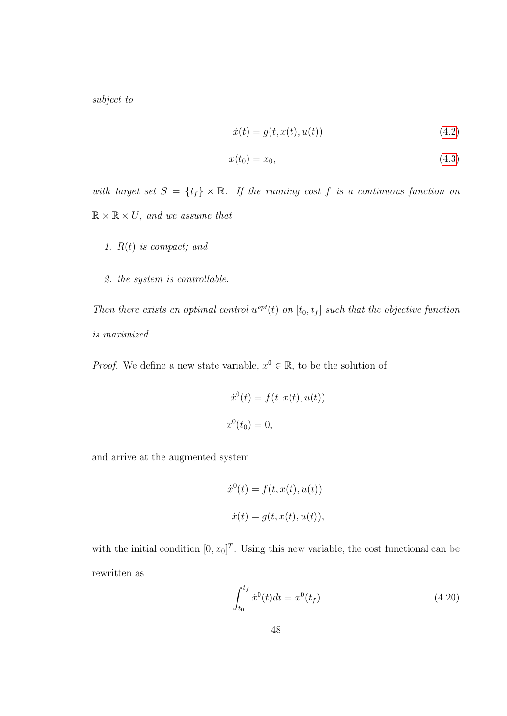subject to

$$
\dot{x}(t) = g(t, x(t), u(t))
$$
\n(4.2)

$$
x(t_0) = x_0,
$$
\n(4.3)

with target set  $S = \{t_f\} \times \mathbb{R}$ . If the running cost f is a continuous function on  $\mathbb{R} \times \mathbb{R} \times U$ , and we assume that

- 1.  $R(t)$  is compact; and
- 2. the system is controllable.

Then there exists an optimal control  $u^{opt}(t)$  on  $[t_0, t_f]$  such that the objective function is maximized.

*Proof.* We define a new state variable,  $x^0 \in \mathbb{R}$ , to be the solution of

$$
\dot{x}^{0}(t) = f(t, x(t), u(t))
$$
  

$$
x^{0}(t_{0}) = 0,
$$

and arrive at the augmented system

$$
\dot{x}^{0}(t) = f(t, x(t), u(t))
$$
  

$$
\dot{x}(t) = g(t, x(t), u(t)),
$$

with the initial condition  $[0, x_0]^T$ . Using this new variable, the cost functional can be rewritten as

<span id="page-58-0"></span>
$$
\int_{t_0}^{t_f} \dot{x}^0(t)dt = x^0(t_f) \tag{4.20}
$$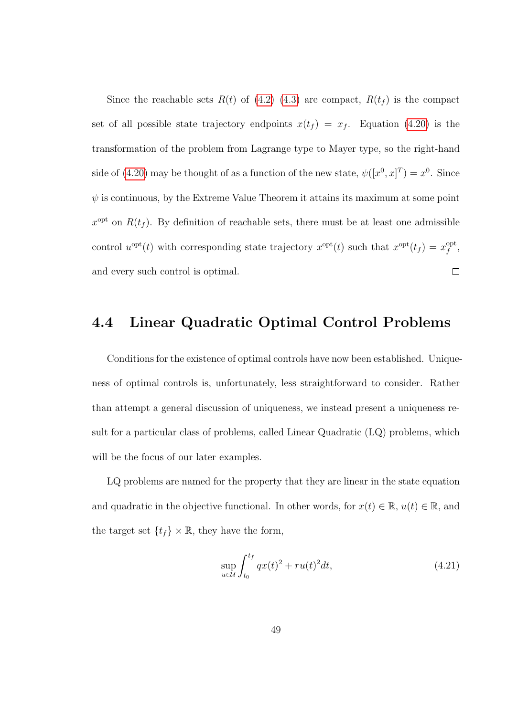Since the reachable sets  $R(t)$  of  $(4.2)$ – $(4.3)$  are compact,  $R(t_f)$  is the compact set of all possible state trajectory endpoints  $x(t_f) = x_f$ . Equation [\(4.20\)](#page-58-0) is the transformation of the problem from Lagrange type to Mayer type, so the right-hand side of [\(4.20\)](#page-58-0) may be thought of as a function of the new state,  $\psi([x^0, x]^T) = x^0$ . Since  $\psi$  is continuous, by the Extreme Value Theorem it attains its maximum at some point  $x^{\text{opt}}$  on  $R(t_f)$ . By definition of reachable sets, there must be at least one admissible control  $u^{\text{opt}}(t)$  with corresponding state trajectory  $x^{\text{opt}}(t)$  such that  $x^{\text{opt}}(t_f) = x_f^{\text{opt}}(t_f)$  $\mathop{f}\limits^{\rm opt},$ and every such control is optimal.  $\Box$ 

#### 4.4 Linear Quadratic Optimal Control Problems

Conditions for the existence of optimal controls have now been established. Uniqueness of optimal controls is, unfortunately, less straightforward to consider. Rather than attempt a general discussion of uniqueness, we instead present a uniqueness result for a particular class of problems, called Linear Quadratic (LQ) problems, which will be the focus of our later examples.

LQ problems are named for the property that they are linear in the state equation and quadratic in the objective functional. In other words, for  $x(t) \in \mathbb{R}$ ,  $u(t) \in \mathbb{R}$ , and the target set  $\{t_f\} \times \mathbb{R}$ , they have the form,

<span id="page-59-0"></span>
$$
\sup_{u \in \mathcal{U}} \int_{t_0}^{t_f} qx(t)^2 + ru(t)^2 dt,
$$
\n(4.21)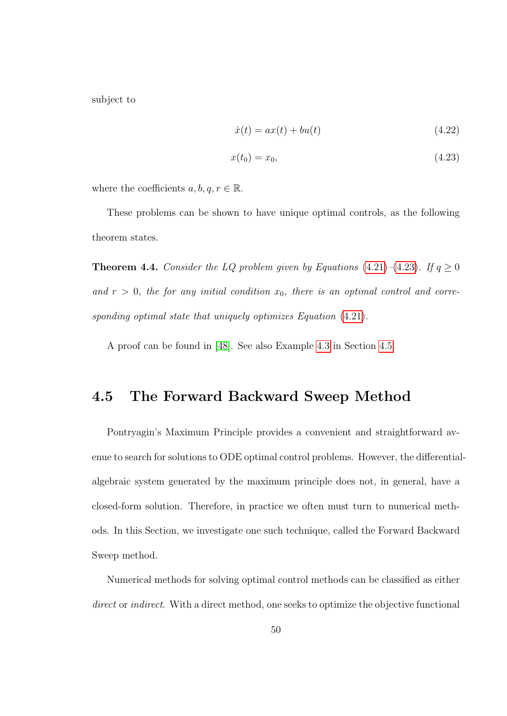subject to

<span id="page-60-0"></span>
$$
\dot{x}(t) = ax(t) + bu(t) \tag{4.22}
$$

$$
x(t_0) = x_0,\t(4.23)
$$

where the coefficients  $a, b, q, r \in \mathbb{R}$ .

These problems can be shown to have unique optimal controls, as the following theorem states.

**Theorem 4.4.** Consider the LQ problem given by Equations [\(4.21\)](#page-59-0)–[\(4.23\)](#page-60-0). If  $q \ge 0$ and  $r > 0$ , the for any initial condition  $x_0$ , there is an optimal control and corresponding optimal state that uniquely optimizes Equation  $(4.21)$ .

A proof can be found in [\[48\]](#page-98-0). See also Example [4.3](#page-63-0) in Section [4.5.](#page-60-1)

#### <span id="page-60-1"></span>4.5 The Forward Backward Sweep Method

Pontryagin's Maximum Principle provides a convenient and straightforward avenue to search for solutions to ODE optimal control problems. However, the differentialalgebraic system generated by the maximum principle does not, in general, have a closed-form solution. Therefore, in practice we often must turn to numerical methods. In this Section, we investigate one such technique, called the Forward Backward Sweep method.

Numerical methods for solving optimal control methods can be classified as either direct or indirect. With a direct method, one seeks to optimize the objective functional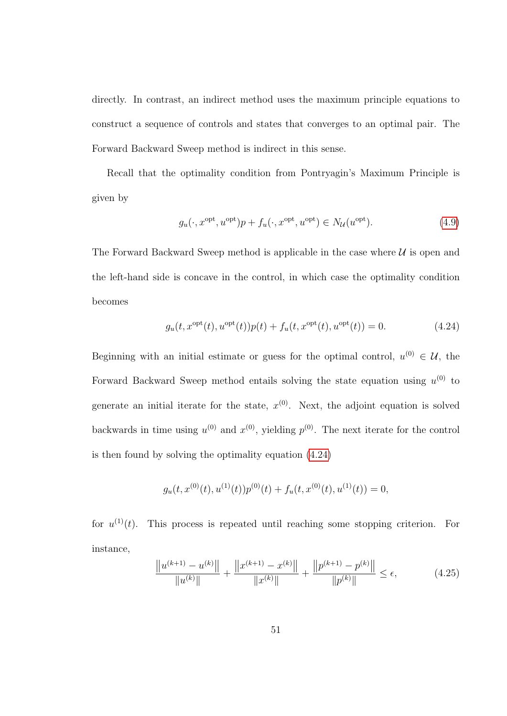directly. In contrast, an indirect method uses the maximum principle equations to construct a sequence of controls and states that converges to an optimal pair. The Forward Backward Sweep method is indirect in this sense.

Recall that the optimality condition from Pontryagin's Maximum Principle is given by

<span id="page-61-0"></span>
$$
g_u(\cdot, x^{\text{opt}}, u^{\text{opt}})p + f_u(\cdot, x^{\text{opt}}, u^{\text{opt}}) \in N_{\mathcal{U}}(u^{\text{opt}}). \tag{4.9}
$$

The Forward Backward Sweep method is applicable in the case where  $\mathcal U$  is open and the left-hand side is concave in the control, in which case the optimality condition becomes

$$
g_u(t, x^{\text{opt}}(t), u^{\text{opt}}(t))p(t) + f_u(t, x^{\text{opt}}(t), u^{\text{opt}}(t)) = 0.
$$
 (4.24)

Beginning with an initial estimate or guess for the optimal control,  $u^{(0)} \in \mathcal{U}$ , the Forward Backward Sweep method entails solving the state equation using  $u^{(0)}$  to generate an initial iterate for the state,  $x^{(0)}$ . Next, the adjoint equation is solved backwards in time using  $u^{(0)}$  and  $x^{(0)}$ , yielding  $p^{(0)}$ . The next iterate for the control is then found by solving the optimality equation [\(4.24\)](#page-61-0)

$$
g_u(t, x^{(0)}(t), u^{(1)}(t))p^{(0)}(t) + f_u(t, x^{(0)}(t), u^{(1)}(t)) = 0,
$$

for  $u^{(1)}(t)$ . This process is repeated until reaching some stopping criterion. For instance,

<span id="page-61-1"></span>
$$
\frac{\|u^{(k+1)} - u^{(k)}\|}{\|u^{(k)}\|} + \frac{\|x^{(k+1)} - x^{(k)}\|}{\|x^{(k)}\|} + \frac{\|p^{(k+1)} - p^{(k)}\|}{\|p^{(k)}\|} \le \epsilon,
$$
\n(4.25)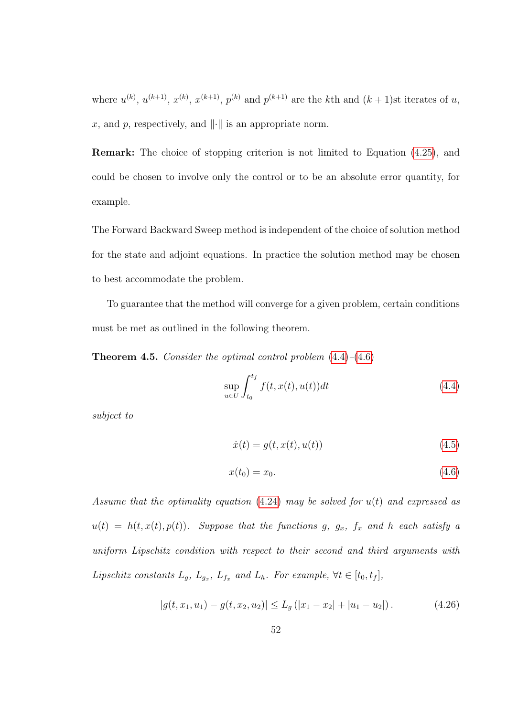where  $u^{(k)}$ ,  $u^{(k+1)}$ ,  $x^{(k)}$ ,  $x^{(k+1)}$ ,  $p^{(k)}$  and  $p^{(k+1)}$  are the kth and  $(k+1)$ st iterates of u, x, and p, respectively, and  $\|\cdot\|$  is an appropriate norm.

Remark: The choice of stopping criterion is not limited to Equation [\(4.25\)](#page-61-1), and could be chosen to involve only the control or to be an absolute error quantity, for example.

The Forward Backward Sweep method is independent of the choice of solution method for the state and adjoint equations. In practice the solution method may be chosen to best accommodate the problem.

To guarantee that the method will converge for a given problem, certain conditions must be met as outlined in the following theorem.

**Theorem 4.5.** Consider the optimal control problem  $(4.4)$ – $(4.6)$ 

$$
\sup_{u \in U} \int_{t_0}^{t_f} f(t, x(t), u(t)) dt
$$
\n(4.4)

subject to

$$
\dot{x}(t) = g(t, x(t), u(t))
$$
\n(4.5)

$$
x(t_0) = x_0. \t\t(4.6)
$$

Assume that the optimality equation  $(4.24)$  may be solved for  $u(t)$  and expressed as  $u(t) = h(t, x(t), p(t))$ . Suppose that the functions g,  $g_x$ ,  $f_x$  and h each satisfy a uniform Lipschitz condition with respect to their second and third arguments with Lipschitz constants  $L_g$ ,  $L_{g_x}$ ,  $L_{f_x}$  and  $L_h$ . For example,  $\forall t \in [t_0, t_f]$ ,

$$
|g(t, x_1, u_1) - g(t, x_2, u_2)| \le L_g (|x_1 - x_2| + |u_1 - u_2|).
$$
 (4.26)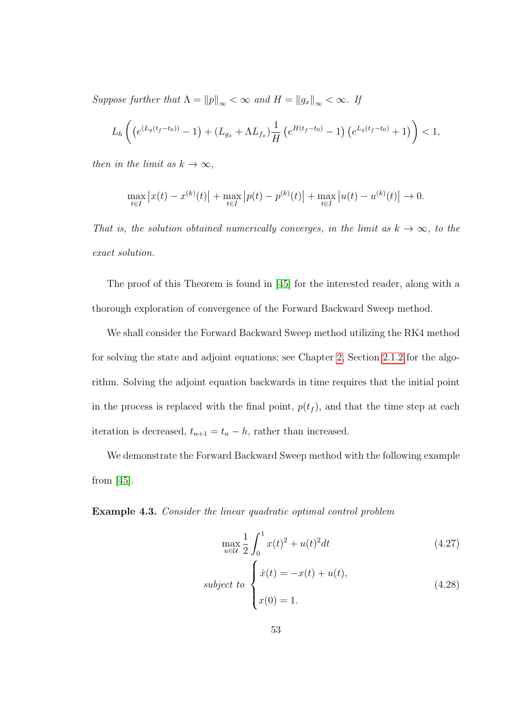Suppose further that  $\Lambda = ||p||_{\infty} < \infty$  and  $H = ||g_x||_{\infty} < \infty$ . If

$$
L_h\left(\left(e^{(L_g(t_f-t_0))}-1\right)+(L_{g_x}+\Lambda L_{f_x})\frac{1}{H}\left(e^{H(t_f-t_0)}-1\right)\left(e^{L_g(t_f-t_0)}+1\right)\right)<1,
$$

then in the limit as  $k \to \infty$ ,

$$
\max_{t \in I} |x(t) - x^{(k)}(t)| + \max_{t \in I} |p(t) - p^{(k)}(t)| + \max_{t \in I} |u(t) - u^{(k)}(t)| \to 0.
$$

That is, the solution obtained numerically converges, in the limit as  $k \to \infty$ , to the exact solution.

The proof of this Theorem is found in [\[45\]](#page-98-1) for the interested reader, along with a thorough exploration of convergence of the Forward Backward Sweep method.

We shall consider the Forward Backward Sweep method utilizing the RK4 method for solving the state and adjoint equations; see Chapter [2,](#page-14-0) Section [2.1.2](#page-23-0) for the algorithm. Solving the adjoint equation backwards in time requires that the initial point in the process is replaced with the final point,  $p(t_f)$ , and that the time step at each iteration is decreased,  $t_{n+1} = t_n - h$ , rather than increased.

We demonstrate the Forward Backward Sweep method with the following example from [\[45\]](#page-98-1).

<span id="page-63-0"></span>Example 4.3. Consider the linear quadratic optimal control problem

<span id="page-63-2"></span><span id="page-63-1"></span>
$$
\max_{u \in \mathcal{U}} \frac{1}{2} \int_0^1 x(t)^2 + u(t)^2 dt
$$
\n(4.27)  
\nsubject to\n
$$
\begin{cases}\n\dot{x}(t) = -x(t) + u(t), \\
x(0) = 1.\n\end{cases}
$$
\n(4.28)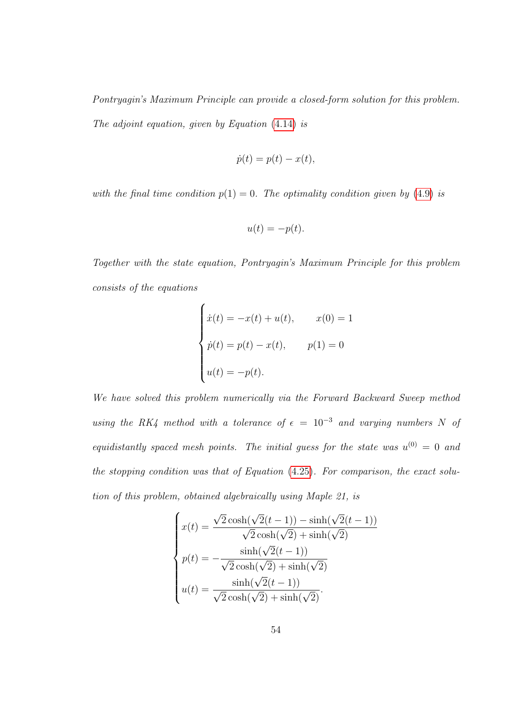Pontryagin's Maximum Principle can provide a closed-form solution for this problem. The adjoint equation, given by Equation [\(4.14\)](#page-50-1) is

$$
\dot{p}(t) = p(t) - x(t),
$$

with the final time condition  $p(1) = 0$ . The optimality condition given by [\(4.9\)](#page-48-0) is

$$
u(t) = -p(t).
$$

Together with the state equation, Pontryagin's Maximum Principle for this problem consists of the equations

$$
\begin{cases}\n\dot{x}(t) = -x(t) + u(t), & x(0) = 1 \\
\dot{p}(t) = p(t) - x(t), & p(1) = 0 \\
u(t) = -p(t).\n\end{cases}
$$

We have solved this problem numerically via the Forward Backward Sweep method using the RK4 method with a tolerance of  $\epsilon = 10^{-3}$  and varying numbers N of equidistantly spaced mesh points. The initial guess for the state was  $u^{(0)} = 0$  and the stopping condition was that of Equation [\(4.25\)](#page-61-1). For comparison, the exact solution of this problem, obtained algebraically using Maple 21, is

$$
\begin{cases}\nx(t) = \frac{\sqrt{2}\cosh(\sqrt{2}(t-1)) - \sinh(\sqrt{2}(t-1))}{\sqrt{2}\cosh(\sqrt{2}) + \sinh(\sqrt{2})} \\
p(t) = -\frac{\sinh(\sqrt{2}(t-1))}{\sqrt{2}\cosh(\sqrt{2}) + \sinh(\sqrt{2})} \\
u(t) = \frac{\sinh(\sqrt{2}(t-1))}{\sqrt{2}\cosh(\sqrt{2}) + \sinh(\sqrt{2})}.\n\end{cases}
$$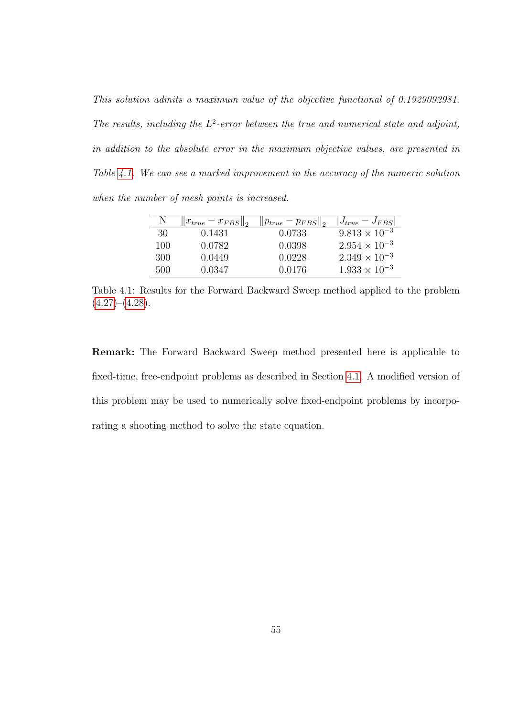This solution admits a maximum value of the objective functional of 0.1929092981. The results, including the  $L^2$ -error between the true and numerical state and adjoint, in addition to the absolute error in the maximum objective values, are presented in Table [4.1.](#page-65-0) We can see a marked improvement in the accuracy of the numeric solution when the number of mesh points is increased.

|     | $  x_{true} - x_{FBS}  _2$ | $  p_{true}-p_{FBS}  _2$ | $ J_{true} - J_{FBS} $ |
|-----|----------------------------|--------------------------|------------------------|
| 30  | 0.1431                     | 0.0733                   | $9.813 \times 10^{-3}$ |
| 100 | 0.0782                     | 0.0398                   | $2.954 \times 10^{-3}$ |
| 300 | 0.0449                     | 0.0228                   | $2.349 \times 10^{-3}$ |
| 500 | 0.0347                     | 0.0176                   | $1.933 \times 10^{-3}$ |

<span id="page-65-0"></span>Table 4.1: Results for the Forward Backward Sweep method applied to the problem  $(4.27)$ – $(4.28)$ .

Remark: The Forward Backward Sweep method presented here is applicable to fixed-time, free-endpoint problems as described in Section [4.1.](#page-45-3) A modified version of this problem may be used to numerically solve fixed-endpoint problems by incorporating a shooting method to solve the state equation.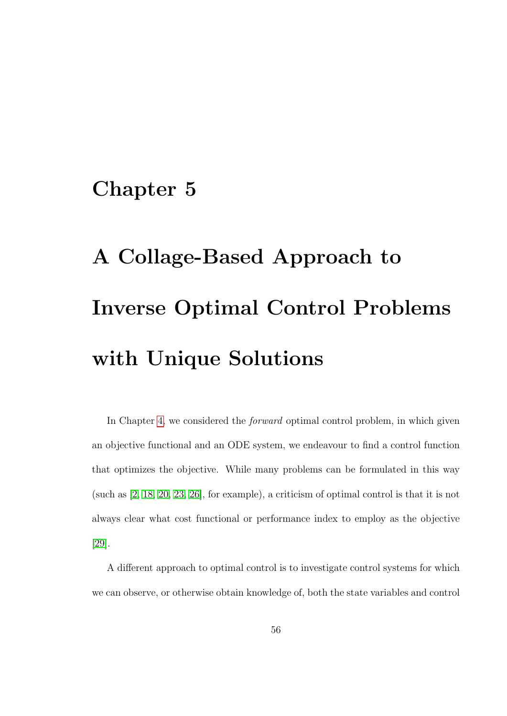### Chapter 5

# A Collage-Based Approach to Inverse Optimal Control Problems with Unique Solutions

In Chapter [4,](#page-43-0) we considered the forward optimal control problem, in which given an objective functional and an ODE system, we endeavour to find a control function that optimizes the objective. While many problems can be formulated in this way (such as [\[2,](#page-92-0) [18,](#page-94-0) [20,](#page-94-1) [23,](#page-95-0) [26\]](#page-95-1), for example), a criticism of optimal control is that it is not always clear what cost functional or performance index to employ as the objective [\[29\]](#page-95-2).

A different approach to optimal control is to investigate control systems for which we can observe, or otherwise obtain knowledge of, both the state variables and control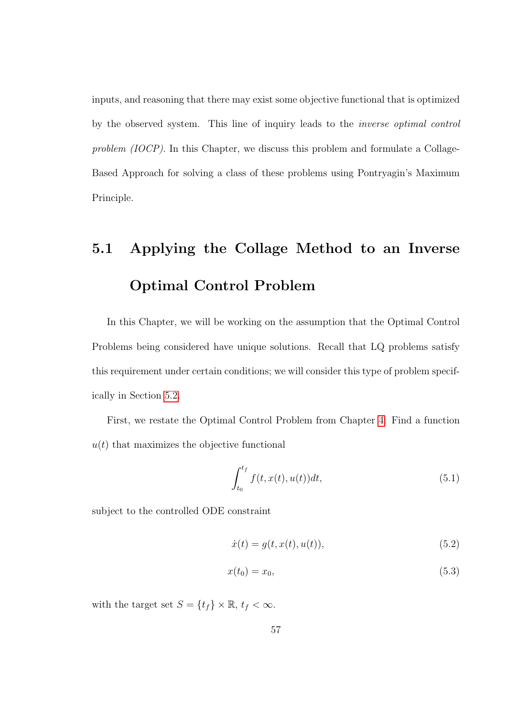inputs, and reasoning that there may exist some objective functional that is optimized by the observed system. This line of inquiry leads to the inverse optimal control problem (IOCP). In this Chapter, we discuss this problem and formulate a Collage-Based Approach for solving a class of these problems using Pontryagin's Maximum Principle.

## 5.1 Applying the Collage Method to an Inverse Optimal Control Problem

In this Chapter, we will be working on the assumption that the Optimal Control Problems being considered have unique solutions. Recall that LQ problems satisfy this requirement under certain conditions; we will consider this type of problem specifically in Section [5.2.](#page-75-0)

First, we restate the Optimal Control Problem from Chapter [4:](#page-43-0) Find a function  $u(t)$  that maximizes the objective functional

<span id="page-67-0"></span>
$$
\int_{t_0}^{t_f} f(t, x(t), u(t))dt,
$$
\n(5.1)

subject to the controlled ODE constraint

$$
\dot{x}(t) = g(t, x(t), u(t)),
$$
\n(5.2)

$$
x(t_0) = x_0,\tag{5.3}
$$

with the target set  $S = \{t_f\} \times \mathbb{R}, t_f < \infty$ .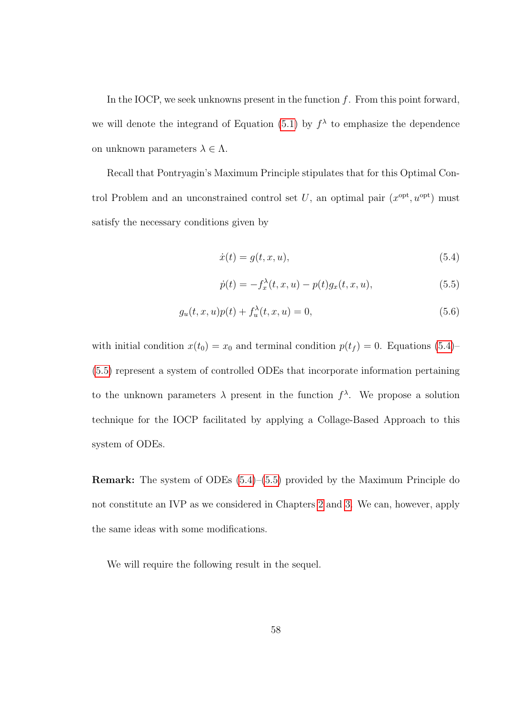In the IOCP, we seek unknowns present in the function  $f$ . From this point forward, we will denote the integrand of Equation [\(5.1\)](#page-67-0) by  $f^{\lambda}$  to emphasize the dependence on unknown parameters  $\lambda \in \Lambda$ .

Recall that Pontryagin's Maximum Principle stipulates that for this Optimal Control Problem and an unconstrained control set U, an optimal pair  $(x<sup>opt</sup>, u<sup>opt</sup>)$  must satisfy the necessary conditions given by

<span id="page-68-0"></span>
$$
\dot{x}(t) = g(t, x, u),\tag{5.4}
$$

<span id="page-68-2"></span><span id="page-68-1"></span>
$$
\dot{p}(t) = -f_x^{\lambda}(t, x, u) - p(t)g_x(t, x, u), \qquad (5.5)
$$

$$
g_u(t, x, u)p(t) + f_u^{\lambda}(t, x, u) = 0,
$$
\n(5.6)

with initial condition  $x(t_0) = x_0$  and terminal condition  $p(t_f) = 0$ . Equations [\(5.4\)](#page-68-0)– [\(5.5\)](#page-68-1) represent a system of controlled ODEs that incorporate information pertaining to the unknown parameters  $\lambda$  present in the function  $f^{\lambda}$ . We propose a solution technique for the IOCP facilitated by applying a Collage-Based Approach to this system of ODEs.

Remark: The system of ODEs [\(5.4\)](#page-68-0)–[\(5.5\)](#page-68-1) provided by the Maximum Principle do not constitute an IVP as we considered in Chapters [2](#page-14-0) and [3.](#page-29-0) We can, however, apply the same ideas with some modifications.

We will require the following result in the sequel.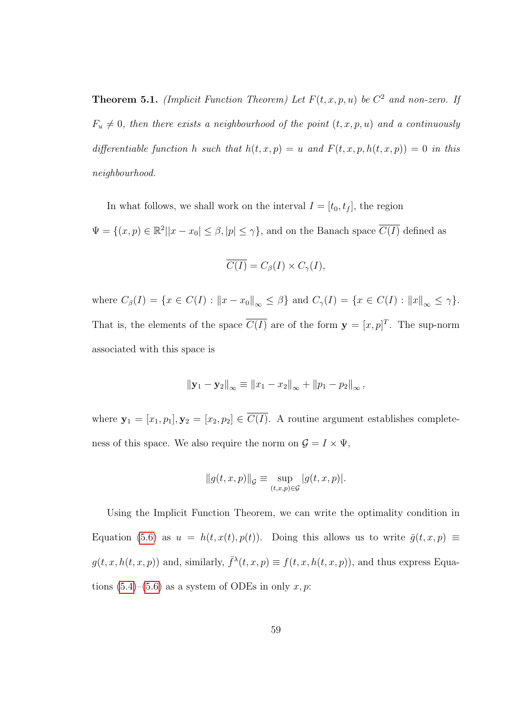**Theorem 5.1.** (Implicit Function Theorem) Let  $F(t, x, p, u)$  be  $C^2$  and non-zero. If  $F_u \neq 0$ , then there exists a neighbourhood of the point  $(t, x, p, u)$  and a continuously differentiable function h such that  $h(t, x, p) = u$  and  $F(t, x, p, h(t, x, p)) = 0$  in this neighbourhood.

In what follows, we shall work on the interval  $I = [t_0, t_f]$ , the region  $\Psi = \{(x, p) \in \mathbb{R}^2 | |x - x_0| \leq \beta, |p| \leq \gamma\}$ , and on the Banach space  $\overline{C(I)}$  defined as

$$
\overline{C(I)} = C_{\beta}(I) \times C_{\gamma}(I),
$$

where  $C_{\beta}(I) = \{x \in C(I) : ||x - x_0||_{\infty} \leq \beta\}$  and  $C_{\gamma}(I) = \{x \in C(I) : ||x||_{\infty} \leq \gamma\}.$ That is, the elements of the space  $\overline{C(I)}$  are of the form  $\mathbf{y} = [x, p]^T$ . The sup-norm associated with this space is

$$
\|\mathbf{y}_1 - \mathbf{y}_2\|_{\infty} \equiv \|x_1 - x_2\|_{\infty} + \|p_1 - p_2\|_{\infty},
$$

where  $\mathbf{y}_1 = [x_1, p_1], \mathbf{y}_2 = [x_2, p_2] \in \overline{C(I)}$ . A routine argument establishes completeness of this space. We also require the norm on  $\mathcal{G}=I\times\Psi,$ 

$$
||g(t, x, p)||_{\mathcal{G}} \equiv \sup_{(t, x, p) \in \mathcal{G}} |g(t, x, p)|.
$$

Using the Implicit Function Theorem, we can write the optimality condition in Equation [\(5.6\)](#page-68-2) as  $u = h(t, x(t), p(t))$ . Doing this allows us to write  $\bar{g}(t, x, p) \equiv$  $g(t, x, h(t, x, p))$  and, similarly,  $\bar{f}^{\lambda}(t, x, p) \equiv f(t, x, h(t, x, p))$ , and thus express Equations  $(5.4)$ – $(5.6)$  as a system of ODEs in only x, p: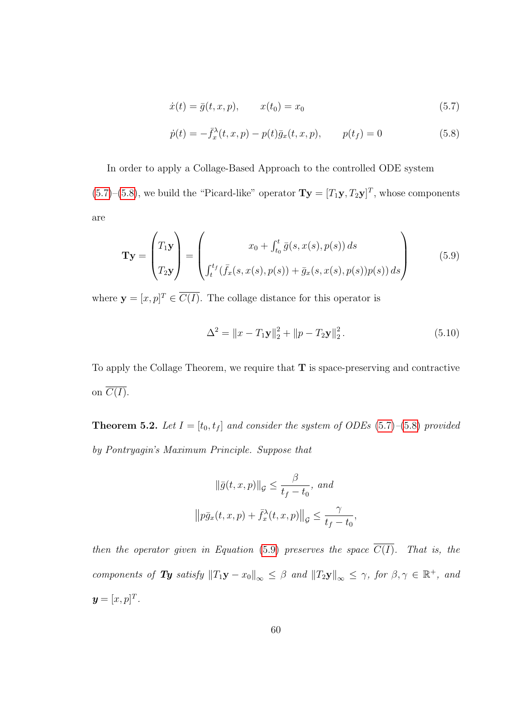<span id="page-70-1"></span><span id="page-70-0"></span>
$$
\dot{x}(t) = \bar{g}(t, x, p), \qquad x(t_0) = x_0 \tag{5.7}
$$

$$
\dot{p}(t) = -\bar{f}_x^{\lambda}(t, x, p) - p(t)\bar{g}_x(t, x, p), \qquad p(t_f) = 0 \tag{5.8}
$$

In order to apply a Collage-Based Approach to the controlled ODE system  $(5.7)$ – $(5.8)$ , we build the "Picard-like" operator  $\mathbf{Ty} = [T_1\mathbf{y}, T_2\mathbf{y}]^T$ , whose components are

<span id="page-70-2"></span>
$$
\mathbf{Ty} = \begin{pmatrix} T_1 \mathbf{y} \\ T_2 \mathbf{y} \end{pmatrix} = \begin{pmatrix} x_0 + \int_{t_0}^t \bar{g}(s, x(s), p(s)) ds \\ \int_{t}^{t_f} (\bar{f}_x(s, x(s), p(s)) + \bar{g}_x(s, x(s), p(s)) p(s)) ds \end{pmatrix}
$$
(5.9)

where  $\mathbf{y} = [x, p]^T \in \overline{C(I)}$ . The collage distance for this operator is

$$
\Delta^{2} = \|x - T_{1}\mathbf{y}\|_{2}^{2} + \|p - T_{2}\mathbf{y}\|_{2}^{2}.
$$
 (5.10)

To apply the Collage Theorem, we require that T is space-preserving and contractive on  $\overline{C(I)}$ .

**Theorem 5.2.** Let  $I = [t_0, t_f]$  and consider the system of ODEs [\(5.7\)](#page-70-0)–[\(5.8\)](#page-70-1) provided by Pontryagin's Maximum Principle. Suppose that

$$
\|\bar{g}(t, x, p)\|_{\mathcal{G}} \le \frac{\beta}{t_f - t_0}, \text{ and}
$$

$$
\|p\bar{g}_x(t, x, p) + \bar{f}_x^{\lambda}(t, x, p)\|_{\mathcal{G}} \le \frac{\gamma}{t_f - t_0},
$$

then the operator given in Equation [\(5.9\)](#page-70-2) preserves the space  $\overline{C(I)}$ . That is, the components of Ty satisfy  $||T_1y - x_0||_{\infty} \leq \beta$  and  $||T_2y||_{\infty} \leq \gamma$ , for  $\beta, \gamma \in \mathbb{R}^+$ , and  $y=[x,p]^T$ .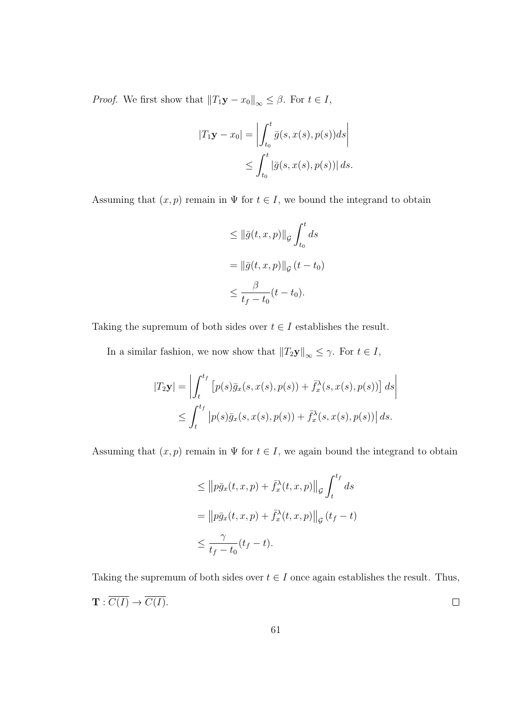*Proof.* We first show that  $||T_1y - x_0||_{\infty} \leq \beta$ . For  $t \in I$ ,

$$
|T_1 \mathbf{y} - x_0| = \left| \int_{t_0}^t \bar{g}(s, x(s), p(s)) ds \right|
$$
  

$$
\leq \int_{t_0}^t |\bar{g}(s, x(s), p(s))| ds.
$$

Assuming that  $(x, p)$  remain in  $\Psi$  for  $t \in I$ , we bound the integrand to obtain

$$
\leq \|\bar{g}(t, x, p)\|_{\mathcal{G}} \int_{t_0}^t ds
$$

$$
= \|\bar{g}(t, x, p)\|_{\mathcal{G}} (t - t_0)
$$

$$
\leq \frac{\beta}{t_f - t_0} (t - t_0).
$$

Taking the supremum of both sides over  $t \in I$  establishes the result.

In a similar fashion, we now show that  $||T_2y||_{\infty} \leq \gamma$ . For  $t \in I$ ,

$$
|T_2\mathbf{y}| = \left| \int_t^{t_f} \left[ p(s)\bar{g}_x(s, x(s), p(s)) + \bar{f}_x^{\lambda}(s, x(s), p(s)) \right] ds \right|
$$
  

$$
\leq \int_t^{t_f} \left| p(s)\bar{g}_x(s, x(s), p(s)) + \bar{f}_x^{\lambda}(s, x(s), p(s)) \right| ds.
$$

Assuming that  $(x, p)$  remain in  $\Psi$  for  $t \in I$ , we again bound the integrand to obtain

$$
\leq \left\|p\bar{g}_x(t, x, p) + \bar{f}_x^{\lambda}(t, x, p)\right\|_{\mathcal{G}} \int_t^{t_f} ds
$$
  

$$
= \left\|p\bar{g}_x(t, x, p) + \bar{f}_x^{\lambda}(t, x, p)\right\|_{\mathcal{G}} (t_f - t)
$$
  

$$
\leq \frac{\gamma}{t_f - t_0}(t_f - t).
$$

Taking the supremum of both sides over  $t \in I$  once again establishes the result. Thus,  $\mathbf{T}: \overline{C(I)} \to \overline{C(I)}.$  $\Box$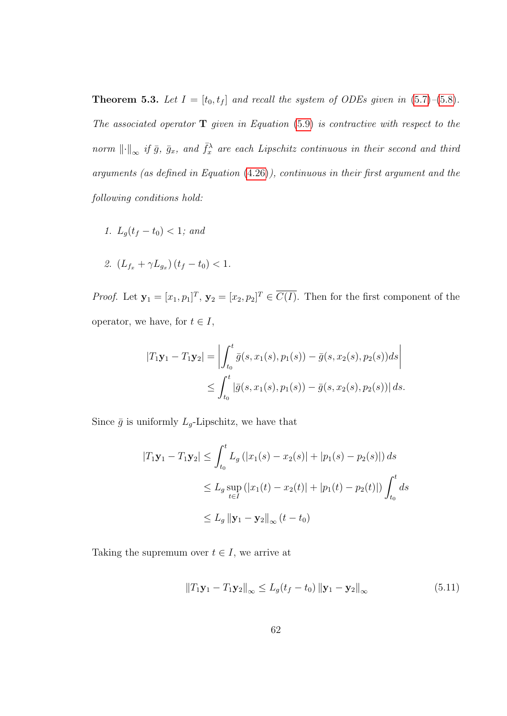**Theorem 5.3.** Let  $I = [t_0, t_f]$  and recall the system of ODEs given in [\(5.7\)](#page-70-0)–[\(5.8\)](#page-70-1). The associated operator  $\bf{T}$  given in Equation [\(5.9\)](#page-70-2) is contractive with respect to the norm  $\lVert \cdot \rVert_{\infty}$  if  $\bar{g}$ ,  $\bar{g}_x$ , and  $\bar{f}_x^{\lambda}$  are each Lipschitz continuous in their second and third arguments (as defined in Equation [\(4.26\)](#page-62-0)), continuous in their first argument and the following conditions hold:

1.  $L_q(t_f - t_0) < 1$ ; and

2. 
$$
(L_{f_x} + \gamma L_{g_x})(t_f - t_0) < 1.
$$

*Proof.* Let  $\mathbf{y}_1 = [x_1, p_1]^T$ ,  $\mathbf{y}_2 = [x_2, p_2]^T \in \overline{C(I)}$ . Then for the first component of the operator, we have, for  $t \in I$ ,

$$
|T_1\mathbf{y}_1 - T_1\mathbf{y}_2| = \left| \int_{t_0}^t \bar{g}(s, x_1(s), p_1(s)) - \bar{g}(s, x_2(s), p_2(s))ds \right|
$$
  

$$
\leq \int_{t_0}^t |\bar{g}(s, x_1(s), p_1(s)) - \bar{g}(s, x_2(s), p_2(s))| ds.
$$

Since  $\bar{g}$  is uniformly  $L_g$ -Lipschitz, we have that

$$
|T_1\mathbf{y}_1 - T_1\mathbf{y}_2| \le \int_{t_0}^t L_g(|x_1(s) - x_2(s)| + |p_1(s) - p_2(s)|) ds
$$
  
\n
$$
\le L_g \sup_{t \in I} (|x_1(t) - x_2(t)| + |p_1(t) - p_2(t)|) \int_{t_0}^t ds
$$
  
\n
$$
\le L_g \|\mathbf{y}_1 - \mathbf{y}_2\|_{\infty} (t - t_0)
$$

Taking the supremum over  $t \in I$ , we arrive at

<span id="page-72-0"></span>
$$
||T_1\mathbf{y}_1 - T_1\mathbf{y}_2||_{\infty} \le L_g(t_f - t_0) ||\mathbf{y}_1 - \mathbf{y}_2||_{\infty}
$$
\n(5.11)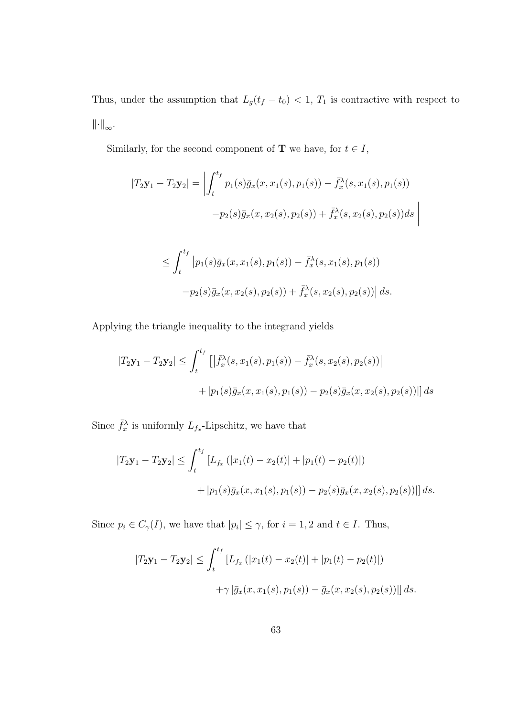Thus, under the assumption that  $L_g(t_f - t_0) < 1$ ,  $T_1$  is contractive with respect to  $\left\Vert \cdot\right\Vert _{\infty}.$ 

Similarly, for the second component of  ${\bf T}$  we have, for  $t\in I,$ 

$$
|T_2\mathbf{y}_1 - T_2\mathbf{y}_2| = \left| \int_t^{t_f} p_1(s)\bar{g}_x(x, x_1(s), p_1(s)) - \bar{f}_x^{\lambda}(s, x_1(s), p_1(s)) -p_2(s)\bar{g}_x(x, x_2(s), p_2(s)) + \bar{f}_x^{\lambda}(s, x_2(s), p_2(s))ds \right|
$$

$$
\leq \int_t^{\infty} \left| p_1(s) \bar{g}_x(x, x_1(s), p_1(s)) - \bar{f}_x^{\lambda}(s, x_1(s), p_1(s)) \right|
$$
  
-  $p_2(s) \bar{g}_x(x, x_2(s), p_2(s)) + \bar{f}_x^{\lambda}(s, x_2(s), p_2(s)) \right| ds.$ 

Applying the triangle inequality to the integrand yields

$$
|T_2\mathbf{y}_1 - T_2\mathbf{y}_2| \le \int_t^{t_f} \left[ \left| \bar{f}_x^\lambda(s, x_1(s), p_1(s)) - \bar{f}_x^\lambda(s, x_2(s), p_2(s)) \right| + |p_1(s)\bar{g}_x(x, x_1(s), p_1(s)) - p_2(s)\bar{g}_x(x, x_2(s), p_2(s))| \right] ds
$$

Since  $\bar{f}_x^{\lambda}$  is uniformly  $L_{f_x}$ -Lipschitz, we have that

$$
|T_2\mathbf{y}_1 - T_2\mathbf{y}_2| \le \int_t^{t_f} [L_{f_x}(|x_1(t) - x_2(t)| + |p_1(t) - p_2(t)|)
$$
  
+ |p\_1(s)\bar{g}\_x(x, x\_1(s), p\_1(s)) - p\_2(s)\bar{g}\_x(x, x\_2(s), p\_2(s))|] ds.

Since  $p_i \in C_{\gamma}(I)$ , we have that  $|p_i| \leq \gamma$ , for  $i = 1, 2$  and  $t \in I$ . Thus,

$$
|T_2\mathbf{y}_1 - T_2\mathbf{y}_2| \le \int_t^{t_f} [L_{f_x}(|x_1(t) - x_2(t)| + |p_1(t) - p_2(t)|) + \gamma |\bar{g}_x(x, x_1(s), p_1(s)) - \bar{g}_x(x, x_2(s), p_2(s))|] ds.
$$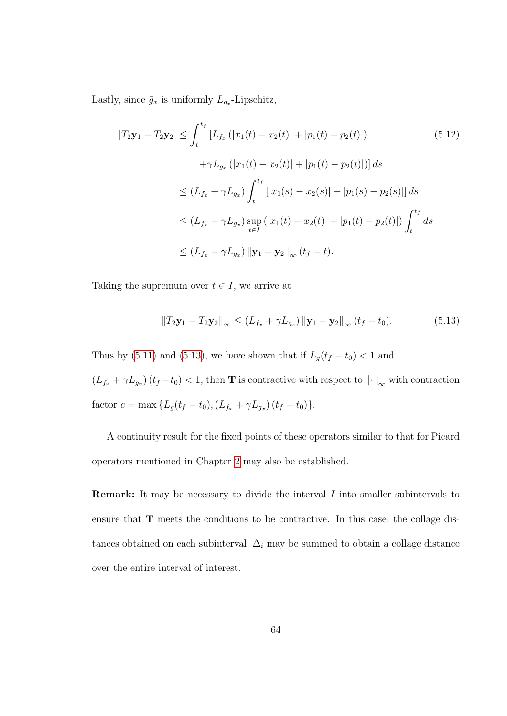Lastly, since  $\bar{g}_x$  is uniformly  $L_{g_x}$ -Lipschitz,

$$
|T_2 \mathbf{y}_1 - T_2 \mathbf{y}_2| \le \int_t^{t_f} [L_{f_x} (|x_1(t) - x_2(t)| + |p_1(t) - p_2(t)|)
$$
(5.12)  
 
$$
+ \gamma L_{g_x} (|x_1(t) - x_2(t)| + |p_1(t) - p_2(t)|)] ds
$$
  

$$
\le (L_{f_x} + \gamma L_{g_x}) \int_t^{t_f} [|x_1(s) - x_2(s)| + |p_1(s) - p_2(s)|] ds
$$
  

$$
\le (L_{f_x} + \gamma L_{g_x}) \sup_{t \in I} (|x_1(t) - x_2(t)| + |p_1(t) - p_2(t)|) \int_t^{t_f} ds
$$
  

$$
\le (L_{f_x} + \gamma L_{g_x}) ||\mathbf{y}_1 - \mathbf{y}_2||_{\infty} (t_f - t).
$$

Taking the supremum over  $t \in I$ , we arrive at

<span id="page-74-0"></span>
$$
||T_2\mathbf{y}_1 - T_2\mathbf{y}_2||_{\infty} \le (L_{f_x} + \gamma L_{g_x}) ||\mathbf{y}_1 - \mathbf{y}_2||_{\infty} (t_f - t_0).
$$
 (5.13)

Thus by [\(5.11\)](#page-72-0) and [\(5.13\)](#page-74-0), we have shown that if  $L_g(t_f - t_0) < 1$  and  $(L_{f_x} + \gamma L_{g_x})(t_f - t_0) < 1$ , then **T** is contractive with respect to  $\left\| \cdot \right\|_{\infty}$  with contraction  $\Box$ factor  $c = \max \{ L_g(t_f - t_0), (L_{f_x} + \gamma L_{g_x}) (t_f - t_0) \}.$ 

A continuity result for the fixed points of these operators similar to that for Picard operators mentioned in Chapter [2](#page-14-0) may also be established.

Remark: It may be necessary to divide the interval I into smaller subintervals to ensure that T meets the conditions to be contractive. In this case, the collage distances obtained on each subinterval,  $\Delta_i$  may be summed to obtain a collage distance over the entire interval of interest.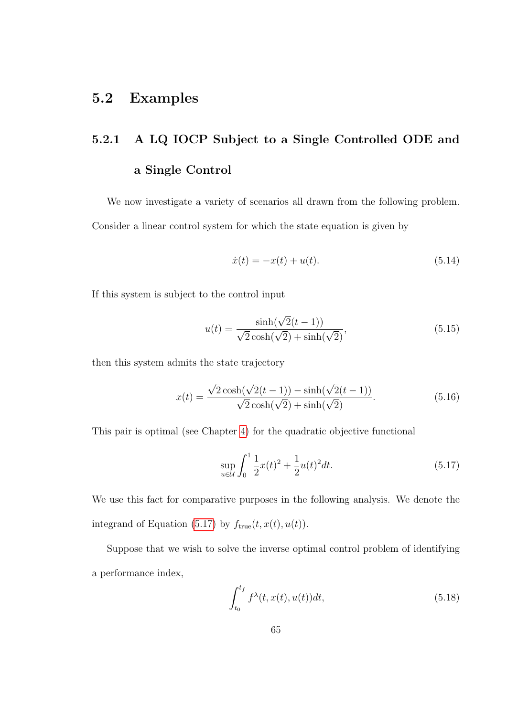### 5.2 Examples

# 5.2.1 A LQ IOCP Subject to a Single Controlled ODE and a Single Control

We now investigate a variety of scenarios all drawn from the following problem. Consider a linear control system for which the state equation is given by

<span id="page-75-3"></span>
$$
\dot{x}(t) = -x(t) + u(t). \tag{5.14}
$$

If this system is subject to the control input

<span id="page-75-1"></span>
$$
u(t) = \frac{\sinh(\sqrt{2}(t-1))}{\sqrt{2}\cosh(\sqrt{2}) + \sinh(\sqrt{2})},
$$
\n(5.15)

then this system admits the state trajectory

<span id="page-75-2"></span>
$$
x(t) = \frac{\sqrt{2}\cosh(\sqrt{2}(t-1)) - \sinh(\sqrt{2}(t-1))}{\sqrt{2}\cosh(\sqrt{2}) + \sinh(\sqrt{2})}.
$$
 (5.16)

This pair is optimal (see Chapter [4\)](#page-43-0) for the quadratic objective functional

<span id="page-75-0"></span>
$$
\sup_{u \in \mathcal{U}} \int_0^1 \frac{1}{2} x(t)^2 + \frac{1}{2} u(t)^2 dt.
$$
\n(5.17)

We use this fact for comparative purposes in the following analysis. We denote the integrand of Equation [\(5.17\)](#page-75-0) by  $f_{true}(t, x(t), u(t))$ .

Suppose that we wish to solve the inverse optimal control problem of identifying a performance index,

<span id="page-75-4"></span>
$$
\int_{t_0}^{t_f} f^{\lambda}(t, x(t), u(t))dt,
$$
\n(5.18)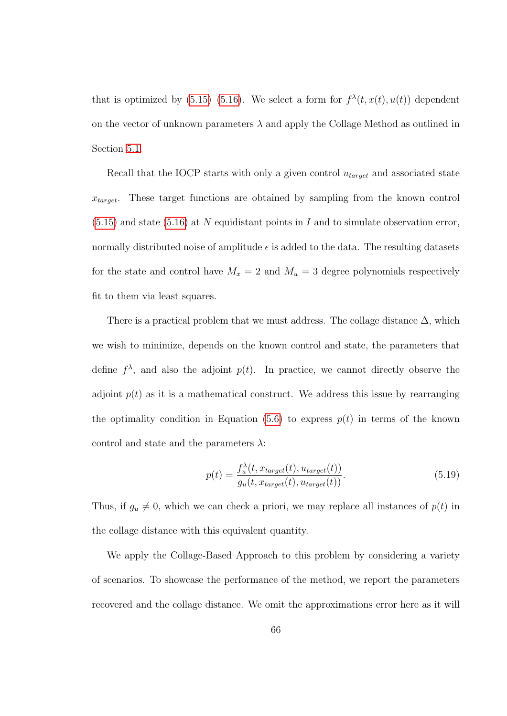that is optimized by  $(5.15)$ – $(5.16)$ . We select a form for  $f^{\lambda}(t, x(t), u(t))$  dependent on the vector of unknown parameters  $\lambda$  and apply the Collage Method as outlined in Section [5.1.](#page-67-0)

Recall that the IOCP starts with only a given control  $u_{target}$  and associated state  $x_{target}$ . These target functions are obtained by sampling from the known control  $(5.15)$  and state  $(5.16)$  at N equidistant points in I and to simulate observation error, normally distributed noise of amplitude  $\epsilon$  is added to the data. The resulting datasets for the state and control have  $M_x = 2$  and  $M_u = 3$  degree polynomials respectively fit to them via least squares.

There is a practical problem that we must address. The collage distance  $\Delta$ , which we wish to minimize, depends on the known control and state, the parameters that define  $f^{\lambda}$ , and also the adjoint  $p(t)$ . In practice, we cannot directly observe the adjoint  $p(t)$  as it is a mathematical construct. We address this issue by rearranging the optimality condition in Equation [\(5.6\)](#page-68-0) to express  $p(t)$  in terms of the known control and state and the parameters  $\lambda$ :

$$
p(t) = \frac{f_u^{\lambda}(t, x_{target}(t), u_{target}(t))}{g_u(t, x_{target}(t), u_{target}(t))}.
$$
\n(5.19)

Thus, if  $g_u \neq 0$ , which we can check a priori, we may replace all instances of  $p(t)$  in the collage distance with this equivalent quantity.

We apply the Collage-Based Approach to this problem by considering a variety of scenarios. To showcase the performance of the method, we report the parameters recovered and the collage distance. We omit the approximations error here as it will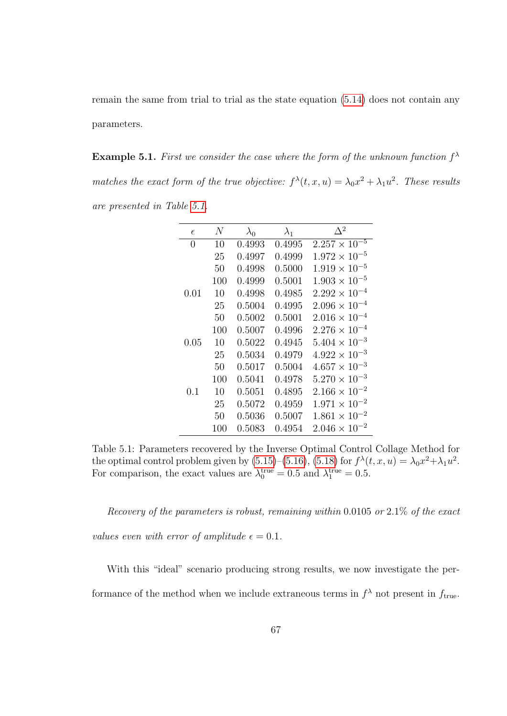remain the same from trial to trial as the state equation [\(5.14\)](#page-75-3) does not contain any parameters.

**Example 5.1.** First we consider the case where the form of the unknown function  $f^{\lambda}$ matches the exact form of the true objective:  $f^{\lambda}(t, x, u) = \lambda_0 x^2 + \lambda_1 u^2$ . These results are presented in Table [5.1.](#page-77-0)

| $\epsilon$ | N   | $\lambda_0$ | $\lambda_1$ | $\Delta^2$             |
|------------|-----|-------------|-------------|------------------------|
| 0          | 10  | 0.4993      | 0.4995      | $2.257 \times 10^{-5}$ |
|            | 25  | 0.4997      | 0.4999      | $1.972 \times 10^{-5}$ |
|            | 50  | 0.4998      | 0.5000      | $1.919 \times 10^{-5}$ |
|            | 100 | 0.4999      | 0.5001      | $1.903 \times 10^{-5}$ |
| 0.01       | 10  | 0.4998      | 0.4985      | $2.292 \times 10^{-4}$ |
|            | 25  | 0.5004      | 0.4995      | $2.096 \times 10^{-4}$ |
|            | 50  | 0.5002      | 0.5001      | $2.016 \times 10^{-4}$ |
|            | 100 | 0.5007      | 0.4996      | $2.276 \times 10^{-4}$ |
| 0.05       | 10  | 0.5022      | 0.4945      | $5.404 \times 10^{-3}$ |
|            | 25  | 0.5034      | 0.4979      | $4.922 \times 10^{-3}$ |
|            | 50  | 0.5017      | 0.5004      | $4.657 \times 10^{-3}$ |
|            | 100 | 0.5041      | 0.4978      | $5.270 \times 10^{-3}$ |
| 0.1        | 10  | 0.5051      | 0.4895      | $2.166 \times 10^{-2}$ |
|            | 25  | 0.5072      | 0.4959      | $1.971 \times 10^{-2}$ |
|            | 50  | 0.5036      | 0.5007      | $1.861 \times 10^{-2}$ |
|            | 100 | 0.5083      | 0.4954      | $2.046 \times 10^{-2}$ |

<span id="page-77-0"></span>Table 5.1: Parameters recovered by the Inverse Optimal Control Collage Method for the optimal control problem given by  $(5.15)$ – $(5.16)$ ,  $(5.18)$  for  $f^{\lambda}(t, x, u) = \lambda_0 x^2 + \lambda_1 u^2$ . For comparison, the exact values are  $\lambda_0^{\text{true}} = 0.5$  and  $\lambda_1^{\text{true}} = 0.5$ .

Recovery of the parameters is robust, remaining within 0.0105 or 2.1% of the exact values even with error of amplitude  $\epsilon = 0.1$ .

With this "ideal" scenario producing strong results, we now investigate the performance of the method when we include extraneous terms in  $f^{\lambda}$  not present in  $f_{true}$ .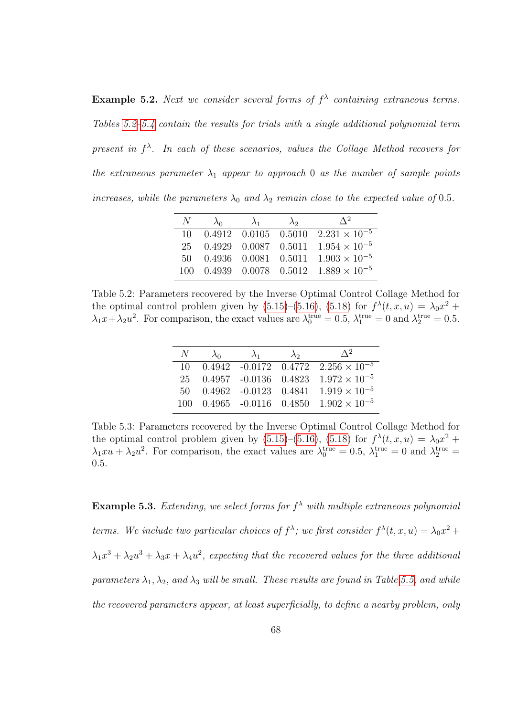**Example 5.2.** Next we consider several forms of  $f^{\lambda}$  containing extraneous terms. Tables [5.2–](#page-78-0)[5.4](#page-79-0) contain the results for trials with a single additional polynomial term present in  $f^{\lambda}$ . In each of these scenarios, values the Collage Method recovers for the extraneous parameter  $\lambda_1$  appear to approach 0 as the number of sample points increases, while the parameters  $\lambda_0$  and  $\lambda_2$  remain close to the expected value of 0.5.

| $N_{-}$ | $\lambda_0$ | $\lambda_1$ | $\lambda_2$ | $\Delta^2$                                                   |
|---------|-------------|-------------|-------------|--------------------------------------------------------------|
|         |             |             |             | 10 $0.4912$ $0.0105$ $0.5010$ $2.231 \times 10^{-5}$         |
|         |             |             |             | 25 0.4929 0.0087 0.5011 $1.954 \times 10^{-5}$               |
|         |             |             |             | 50  0.4936  0.0081  0.5011 $1.903 \times 10^{-5}$            |
|         |             |             |             | 100  0.4939  0.0078  0.5012  1.889 $\times$ 10 <sup>-5</sup> |

<span id="page-78-0"></span>Table 5.2: Parameters recovered by the Inverse Optimal Control Collage Method for the optimal control problem given by  $(5.15)$ – $(5.16)$ ,  $(5.18)$  for  $f^{\lambda}(t, x, u) = \lambda_0 x^2 +$  $\lambda_1 x + \lambda_2 u^2$ . For comparison, the exact values are  $\lambda_0^{\text{true}} = 0.5$ ,  $\lambda_1^{\text{true}} = 0$  and  $\lambda_2^{\text{true}} = 0.5$ .

| $N_{-}$ | $\lambda_0$ | $\lambda_1$ | $\lambda_2$ | $\Lambda^2$                                                |
|---------|-------------|-------------|-------------|------------------------------------------------------------|
|         |             |             |             | 10 $0.4942 -0.0172$ $0.4772$ $2.256 \times 10^{-5}$        |
|         |             |             |             | 25 0.4957 -0.0136 0.4823 $1.972 \times 10^{-5}$            |
|         |             |             |             | $50$ 0.4962 -0.0123 0.4841 1.919 $\times$ 10 <sup>-5</sup> |
|         |             |             |             | 100  0.4965  -0.0116  0.4850 $1.902 \times 10^{-5}$        |

Table 5.3: Parameters recovered by the Inverse Optimal Control Collage Method for the optimal control problem given by  $(5.15)$ – $(5.16)$ ,  $(5.18)$  for  $f^{\lambda}(t, x, u) = \lambda_0 x^2 +$  $\lambda_1 x u + \lambda_2 u^2$ . For comparison, the exact values are  $\lambda_0^{\text{true}} = 0.5$ ,  $\lambda_1^{\text{true}} = 0$  and  $\lambda_2^{\text{true}} =$ 0.5.

**Example 5.3.** Extending, we select forms for  $f^{\lambda}$  with multiple extraneous polynomial terms. We include two particular choices of  $f^{\lambda}$ ; we first consider  $f^{\lambda}(t, x, u) = \lambda_0 x^2 +$  $\lambda_1 x^3 + \lambda_2 u^3 + \lambda_3 x + \lambda_4 u^2$ , expecting that the recovered values for the three additional parameters  $\lambda_1, \lambda_2$ , and  $\lambda_3$  will be small. These results are found in Table [5.5,](#page-79-1) and while the recovered parameters appear, at least superficially, to define a nearby problem, only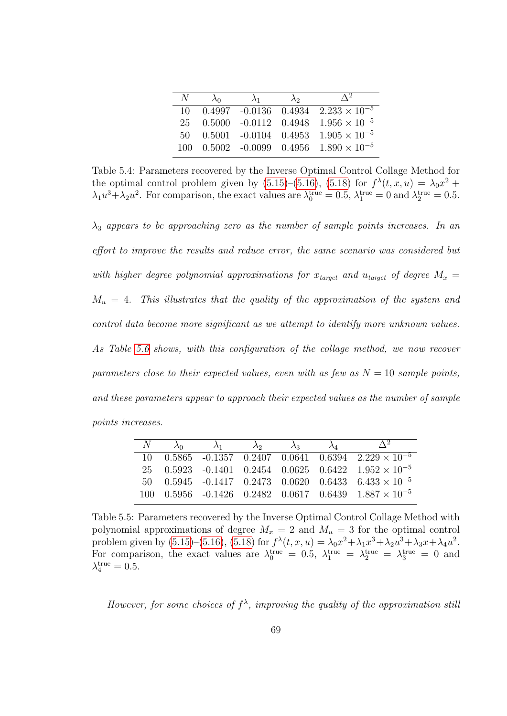| N    | $\lambda_0$ | $\lambda_1$ | $\lambda$ <sup>2</sup> | $\Lambda^2$                                             |
|------|-------------|-------------|------------------------|---------------------------------------------------------|
| 10   |             |             |                        | $0.4997$ -0.0136 0.4934 2.233 $\times$ 10 <sup>-5</sup> |
| 25   |             |             |                        | $0.5000 -0.0112 - 0.4948 - 1.956 \times 10^{-5}$        |
| 50.  |             |             |                        | $0.5001 - 0.0104 - 0.4953 - 1.905 \times 10^{-5}$       |
| 100. |             |             |                        | $0.5002$ -0.0099 0.4956 1.890 $\times$ 10 <sup>-5</sup> |

<span id="page-79-0"></span>Table 5.4: Parameters recovered by the Inverse Optimal Control Collage Method for the optimal control problem given by  $(5.15)$ – $(5.16)$ ,  $(5.18)$  for  $f^{\lambda}(t, x, u) = \lambda_0 x^2 +$  $\lambda_1 u^3 + \lambda_2 u^2$ . For comparison, the exact values are  $\lambda_0^{\text{true}} = 0.5$ ,  $\lambda_1^{\text{true}} = 0$  and  $\lambda_2^{\text{true}} = 0.5$ .

 $\lambda_3$  appears to be approaching zero as the number of sample points increases. In an effort to improve the results and reduce error, the same scenario was considered but with higher degree polynomial approximations for  $x_{target}$  and  $u_{target}$  of degree  $M_x =$  $M_u = 4$ . This illustrates that the quality of the approximation of the system and control data become more significant as we attempt to identify more unknown values. As Table [5.6](#page-80-0) shows, with this configuration of the collage method, we now recover parameters close to their expected values, even with as few as  $N = 10$  sample points, and these parameters appear to approach their expected values as the number of sample points increases.

| $N = \lambda_0$ | $\lambda_1$ | $\lambda_2$ | $\lambda_2$ | $\lambda_{4}$ |                                                                                  |
|-----------------|-------------|-------------|-------------|---------------|----------------------------------------------------------------------------------|
|                 |             |             |             |               | 10  0.5865  -0.1357  0.2407  0.0641  0.6394  2.229 $\times$ $\overline{10^{-5}}$ |
|                 |             |             |             |               | 25 0.5923 -0.1401 0.2454 0.0625 0.6422 $1.952 \times 10^{-5}$                    |
|                 |             |             |             |               | $50$ $0.5945$ $-0.1417$ $0.2473$ $0.0620$ $0.6433$ $6.433 \times 10^{-5}$        |
|                 |             |             |             |               | $100$ $0.5956$ $-0.1426$ $0.2482$ $0.0617$ $0.6439$ $1.887 \times 10^{-5}$       |

<span id="page-79-1"></span>Table 5.5: Parameters recovered by the Inverse Optimal Control Collage Method with polynomial approximations of degree  $M_x = 2$  and  $M_u = 3$  for the optimal control problem given by [\(5.15\)](#page-75-1)–[\(5.16\)](#page-75-2), [\(5.18\)](#page-75-4) for  $f^{\lambda}(t, x, u) = \lambda_0 x^2 + \lambda_1 x^3 + \lambda_2 u^3 + \lambda_3 x + \lambda_4 u^2$ . For comparison, the exact values are  $\lambda_0^{\text{true}} = 0.5$ ,  $\lambda_1^{\text{true}} = \lambda_2^{\text{true}} = \lambda_3^{\text{true}} = 0$  and  $\lambda_4^{\text{true}} = 0.5.$ 

However, for some choices of  $f^{\lambda}$ , improving the quality of the approximation still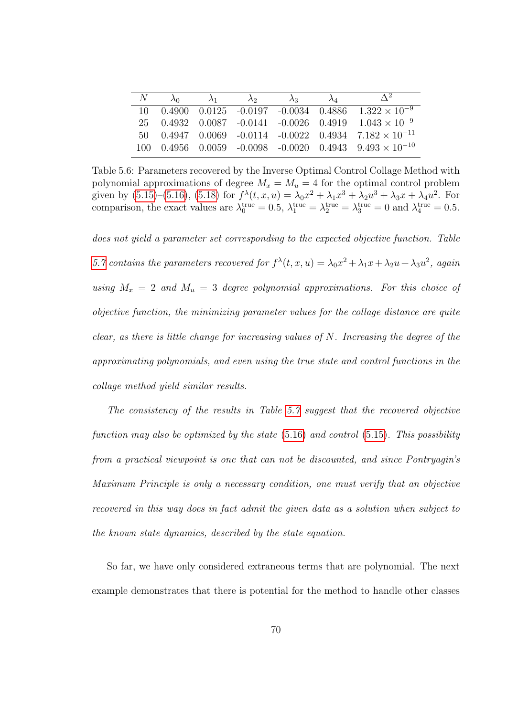| N |  | $\lambda_0$ $\lambda_1$ $\lambda_2$ $\lambda_3$ $\lambda_4$ |  | $\Delta^2$                                                                                  |
|---|--|-------------------------------------------------------------|--|---------------------------------------------------------------------------------------------|
|   |  |                                                             |  | $10\quad 0.4900\quad 0.0125\quad -0.0197\quad -0.0034\quad 0.4886\quad 1.322\times 10^{-9}$ |
|   |  |                                                             |  | $25$ 0.4932 0.0087 -0.0141 -0.0026 0.4919 1.043 × 10 <sup>-9</sup>                          |
|   |  |                                                             |  | $50$ $0.4947$ $0.0069$ $-0.0114$ $-0.0022$ $0.4934$ $7.182 \times 10^{-11}$                 |
|   |  |                                                             |  | 100  0.4956  0.0059  -0.0098  -0.0020  0.4943 $9.493 \times 10^{-10}$                       |

<span id="page-80-0"></span>Table 5.6: Parameters recovered by the Inverse Optimal Control Collage Method with polynomial approximations of degree  $M_x = M_u = 4$  for the optimal control problem given by [\(5.15\)](#page-75-1)–[\(5.16\)](#page-75-2), [\(5.18\)](#page-75-4) for  $f^{\lambda}(t, x, u) = \lambda_0 x^2 + \lambda_1 x^3 + \lambda_2 u^3 + \lambda_3 x + \lambda_4 u^2$ . For comparison, the exact values are  $\lambda_0^{\text{true}} = 0.5$ ,  $\lambda_1^{\text{true}} = \lambda_2^{\text{true}} = \lambda_3^{\text{true}} = 0$  and  $\lambda_4^{\text{true}} = 0.5$ .

does not yield a parameter set corresponding to the expected objective function. Table [5.7](#page-81-0) contains the parameters recovered for  $f^{\lambda}(t, x, u) = \lambda_0 x^2 + \lambda_1 x + \lambda_2 u + \lambda_3 u^2$ , again using  $M_x = 2$  and  $M_u = 3$  degree polynomial approximations. For this choice of objective function, the minimizing parameter values for the collage distance are quite clear, as there is little change for increasing values of  $N$ . Increasing the degree of the approximating polynomials, and even using the true state and control functions in the collage method yield similar results.

The consistency of the results in Table [5.7](#page-81-0) suggest that the recovered objective function may also be optimized by the state  $(5.16)$  and control  $(5.15)$ . This possibility from a practical viewpoint is one that can not be discounted, and since Pontryagin's Maximum Principle is only a necessary condition, one must verify that an objective recovered in this way does in fact admit the given data as a solution when subject to the known state dynamics, described by the state equation.

So far, we have only considered extraneous terms that are polynomial. The next example demonstrates that there is potential for the method to handle other classes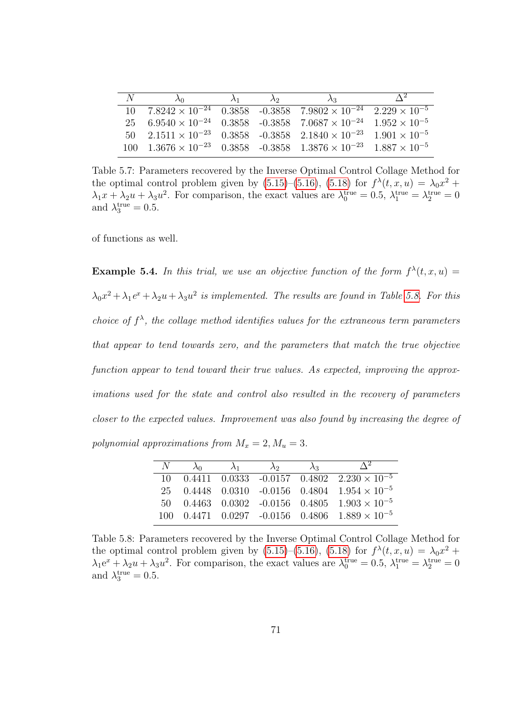| N |                                                                                                                      | $\lambda_1$ | $\lambda_2$ | $\Delta^2$ |
|---|----------------------------------------------------------------------------------------------------------------------|-------------|-------------|------------|
|   | $10\quad 7.8242 \times 10^{-24}$ $0.3858$ $-0.3858$ $7.9802 \times 10^{-24}$ $2.229 \times 10^{-5}$                  |             |             |            |
|   | $25 \quad 6.9540 \times 10^{-24} \quad 0.3858 \quad 0.3858 \quad 7.0687 \times 10^{-24} \quad 1.952 \times 10^{-5}$  |             |             |            |
|   | $50 \quad 2.1511 \times 10^{-23} \quad 0.3858 \quad -0.3858 \quad 2.1840 \times 10^{-23} \quad 1.901 \times 10^{-5}$ |             |             |            |
|   | $100 \quad 1.3676 \times 10^{-23} \quad 0.3858 \quad 0.3858 \quad 1.3876 \times 10^{-23} \quad 1.887 \times 10^{-5}$ |             |             |            |

<span id="page-81-0"></span>Table 5.7: Parameters recovered by the Inverse Optimal Control Collage Method for the optimal control problem given by  $(5.15)$ – $(5.16)$ ,  $(5.18)$  for  $f^{\lambda}(t, x, u) = \lambda_0 x^2 +$  $\lambda_1 x + \lambda_2 u + \lambda_3 u^2$ . For comparison, the exact values are  $\lambda_0^{\text{true}} = 0.5$ ,  $\lambda_1^{\text{true}} = \lambda_2^{\text{true}} = 0$ and  $\lambda_3^{\text{true}} = 0.5$ .

of functions as well.

**Example 5.4.** In this trial, we use an objective function of the form  $f^{\lambda}(t, x, u) =$  $\lambda_0 x^2 + \lambda_1 e^x + \lambda_2 u + \lambda_3 u^2$  is implemented. The results are found in Table [5.8.](#page-81-1) For this choice of  $f^{\lambda}$ , the collage method identifies values for the extraneous term parameters that appear to tend towards zero, and the parameters that match the true objective function appear to tend toward their true values. As expected, improving the approximations used for the state and control also resulted in the recovery of parameters closer to the expected values. Improvement was also found by increasing the degree of polynomial approximations from  $M_x = 2, M_u = 3$ .

| $N_{-}$ | $\lambda_0$ | $\lambda_1$ | $\lambda_2$ | $\lambda_2$ | $\Delta^2$                                                        |
|---------|-------------|-------------|-------------|-------------|-------------------------------------------------------------------|
|         |             |             |             |             | $10$ 0.4411 0.0333 -0.0157 0.4802 2.230 $\times$ 10 <sup>-5</sup> |
|         |             |             |             |             | 25 0.4448 0.0310 -0.0156 0.4804 $1.954 \times 10^{-5}$            |
|         |             |             |             |             | 50 0.4463 0.0302 -0.0156 0.4805 $1.903 \times 10^{-5}$            |
|         |             |             |             |             | $100$ $0.4471$ $0.0297$ $-0.0156$ $0.4806$ $1.889 \times 10^{-5}$ |

<span id="page-81-1"></span>Table 5.8: Parameters recovered by the Inverse Optimal Control Collage Method for the optimal control problem given by  $(5.15)$ – $(5.16)$ ,  $(5.18)$  for  $f^{\lambda}(t, x, u) = \lambda_0 x^2 +$  $\lambda_1 e^x + \lambda_2 u + \lambda_3 u^2$ . For comparison, the exact values are  $\lambda_0^{\text{true}} = 0.5$ ,  $\lambda_1^{\text{true}} = \lambda_2^{\text{true}} = 0$ and  $\lambda_3^{\text{true}} = 0.5$ .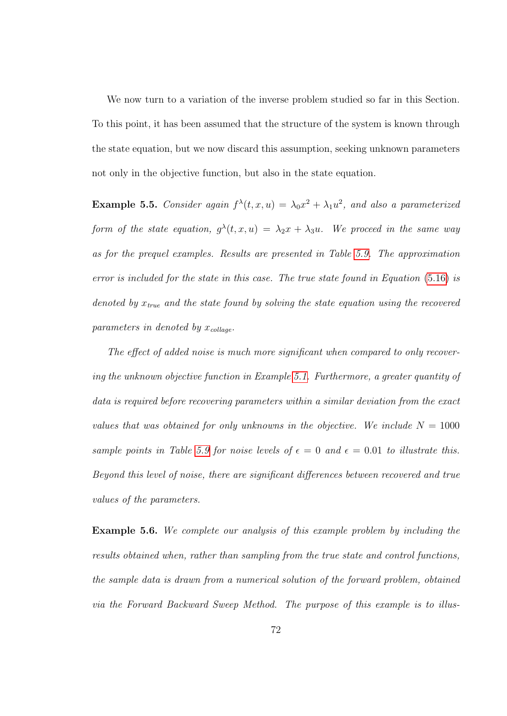We now turn to a variation of the inverse problem studied so far in this Section. To this point, it has been assumed that the structure of the system is known through the state equation, but we now discard this assumption, seeking unknown parameters not only in the objective function, but also in the state equation.

**Example 5.5.** Consider again  $f^{\lambda}(t, x, u) = \lambda_0 x^2 + \lambda_1 u^2$ , and also a parameterized form of the state equation,  $g^{\lambda}(t,x,u) = \lambda_2 x + \lambda_3 u$ . We proceed in the same way as for the prequel examples. Results are presented in Table [5.9.](#page-83-0) The approximation error is included for the state in this case. The true state found in Equation [\(5.16\)](#page-75-2) is denoted by  $x_{true}$  and the state found by solving the state equation using the recovered parameters in denoted by  $x_{\text{collapse}}$ .

The effect of added noise is much more significant when compared to only recovering the unknown objective function in Example [5.1.](#page-26-0) Furthermore, a greater quantity of data is required before recovering parameters within a similar deviation from the exact values that was obtained for only unknowns in the objective. We include  $N = 1000$ sample points in Table [5.9](#page-83-0) for noise levels of  $\epsilon = 0$  and  $\epsilon = 0.01$  to illustrate this. Beyond this level of noise, there are significant differences between recovered and true values of the parameters.

Example 5.6. We complete our analysis of this example problem by including the results obtained when, rather than sampling from the true state and control functions, the sample data is drawn from a numerical solution of the forward problem, obtained via the Forward Backward Sweep Method. The purpose of this example is to illus-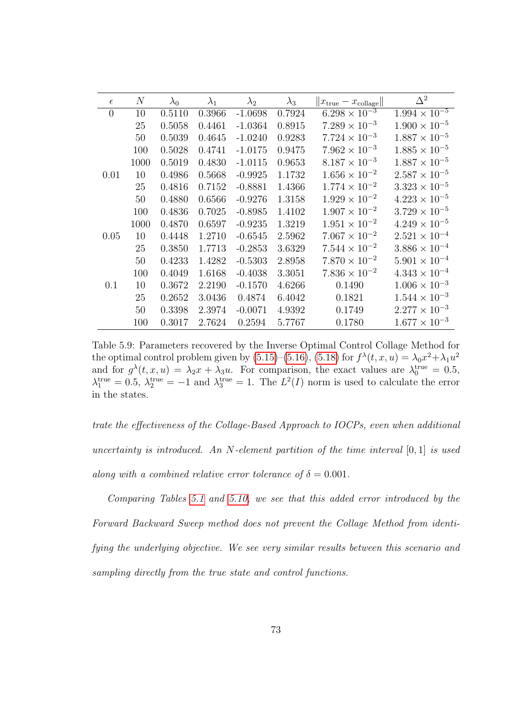| $\epsilon$     | $\boldsymbol{N}$ | $\lambda_0$ | $\lambda_1$ | $\lambda_2$ | $\lambda_3$ | $  x_{\text{true}} - x_{\text{collapse}}  $ | $\Delta^2$             |
|----------------|------------------|-------------|-------------|-------------|-------------|---------------------------------------------|------------------------|
| $\overline{0}$ | 10               | 0.5110      | 0.3966      | $-1.0698$   | 0.7924      | $6.298 \times 10^{-3}$                      | $1.994 \times 10^{-5}$ |
|                | 25               | 0.5058      | 0.4461      | $-1.0364$   | 0.8915      | $7.289 \times 10^{-3}$                      | $1.900 \times 10^{-5}$ |
|                | 50               | 0.5039      | 0.4645      | $-1.0240$   | 0.9283      | $7.724 \times 10^{-3}$                      | $1.887 \times 10^{-5}$ |
|                | 100              | 0.5028      | 0.4741      | $-1.0175$   | 0.9475      | $7.962 \times 10^{-3}$                      | $1.885 \times 10^{-5}$ |
|                | 1000             | 0.5019      | 0.4830      | $-1.0115$   | 0.9653      | $8.187 \times 10^{-3}$                      | $1.887 \times 10^{-5}$ |
| 0.01           | 10               | 0.4986      | 0.5668      | $-0.9925$   | 1.1732      | $1.656 \times 10^{-2}$                      | $2.587 \times 10^{-5}$ |
|                | 25               | 0.4816      | 0.7152      | $-0.8881$   | 1.4366      | $1.774 \times 10^{-2}$                      | $3.323 \times 10^{-5}$ |
|                | 50               | 0.4880      | 0.6566      | $-0.9276$   | 1.3158      | $1.929 \times 10^{-2}$                      | $4.223 \times 10^{-5}$ |
|                | 100              | 0.4836      | 0.7025      | $-0.8985$   | 1.4102      | $1.907 \times 10^{-2}$                      | $3.729 \times 10^{-5}$ |
|                | 1000             | 0.4870      | 0.6597      | $-0.9235$   | 1.3219      | $1.951 \times 10^{-2}$                      | $4.249 \times 10^{-5}$ |
| 0.05           | 10               | 0.4448      | 1.2710      | $-0.6545$   | 2.5962      | $7.067 \times 10^{-2}$                      | $2.521 \times 10^{-4}$ |
|                | 25               | 0.3850      | 1.7713      | $-0.2853$   | 3.6329      | $7.544 \times 10^{-2}$                      | $3.886 \times 10^{-4}$ |
|                | 50               | 0.4233      | 1.4282      | $-0.5303$   | 2.8958      | $7.870 \times 10^{-2}$                      | $5.901 \times 10^{-4}$ |
|                | 100              | 0.4049      | 1.6168      | $-0.4038$   | 3.3051      | $7.836 \times 10^{-2}$                      | $4.343 \times 10^{-4}$ |
| 0.1            | 10               | 0.3672      | 2.2190      | $-0.1570$   | 4.6266      | 0.1490                                      | $1.006 \times 10^{-3}$ |
|                | 25               | 0.2652      | 3.0436      | 0.4874      | 6.4042      | 0.1821                                      | $1.544 \times 10^{-3}$ |
|                | 50               | 0.3398      | 2.3974      | $-0.0071$   | 4.9392      | 0.1749                                      | $2.277 \times 10^{-3}$ |
|                | 100              | 0.3017      | 2.7624      | 0.2594      | 5.7767      | 0.1780                                      | $1.677 \times 10^{-3}$ |

<span id="page-83-0"></span>Table 5.9: Parameters recovered by the Inverse Optimal Control Collage Method for the optimal control problem given by [\(5.15\)](#page-75-1)–[\(5.16\)](#page-75-2), [\(5.18\)](#page-75-4) for  $f^{\lambda}(t, x, u) = \lambda_0 x^2 + \lambda_1 u^2$ and for  $g^{\lambda}(t, x, u) = \lambda_2 x + \lambda_3 u$ . For comparison, the exact values are  $\lambda_0^{\text{true}} = 0.5$ ,  $\lambda_1^{\text{true}} = 0.5, \lambda_2^{\text{true}} = -1$  and  $\lambda_3^{\text{true}} = 1$ . The  $L^2(I)$  norm is used to calculate the error in the states.

trate the effectiveness of the Collage-Based Approach to IOCPs, even when additional uncertainty is introduced. An N-element partition of the time interval  $[0,1]$  is used along with a combined relative error tolerance of  $\delta = 0.001$ .

Comparing Tables [5.1](#page-77-0) and [5.10,](#page-84-0) we see that this added error introduced by the Forward Backward Sweep method does not prevent the Collage Method from identifying the underlying objective. We see very similar results between this scenario and sampling directly from the true state and control functions.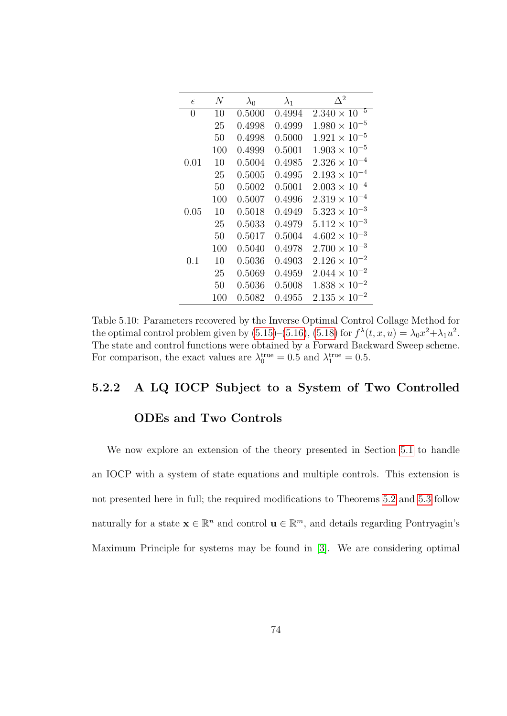| $\epsilon$ | N   | $\lambda_0$ | $\lambda_1$ | $\Delta^2$             |
|------------|-----|-------------|-------------|------------------------|
| 0          | 10  | 0.5000      | 0.4994      | $2.340 \times 10^{-5}$ |
|            | 25  | 0.4998      | 0.4999      | $1.980 \times 10^{-5}$ |
|            | 50  | 0.4998      | 0.5000      | $1.921 \times 10^{-5}$ |
|            | 100 | 0.4999      | 0.5001      | $1.903 \times 10^{-5}$ |
| 0.01       | 10  | 0.5004      | 0.4985      | $2.326 \times 10^{-4}$ |
|            | 25  | 0.5005      | 0.4995      | $2.193 \times 10^{-4}$ |
|            | 50  | 0.5002      | 0.5001      | $2.003 \times 10^{-4}$ |
|            | 100 | 0.5007      | 0.4996      | $2.319 \times 10^{-4}$ |
| 0.05       | 10  | 0.5018      | 0.4949      | $5.323 \times 10^{-3}$ |
|            | 25  | 0.5033      | 0.4979      | $5.112 \times 10^{-3}$ |
|            | 50  | 0.5017      | 0.5004      | $4.602 \times 10^{-3}$ |
|            | 100 | 0.5040      | 0.4978      | $2.700 \times 10^{-3}$ |
| 0.1        | 10  | 0.5036      | 0.4903      | $2.126 \times 10^{-2}$ |
|            | 25  | 0.5069      | 0.4959      | $2.044 \times 10^{-2}$ |
|            | 50  | 0.5036      | 0.5008      | $1.838 \times 10^{-2}$ |
|            | 100 | 0.5082      | 0.4955      | $2.135 \times 10^{-2}$ |

<span id="page-84-0"></span>Table 5.10: Parameters recovered by the Inverse Optimal Control Collage Method for the optimal control problem given by  $(5.15)$ – $(5.16)$ ,  $(5.18)$  for  $f^{\lambda}(t, x, u) = \lambda_0 x^2 + \lambda_1 u^2$ . The state and control functions were obtained by a Forward Backward Sweep scheme. For comparison, the exact values are  $\lambda_0^{\text{true}} = 0.5$  and  $\lambda_1^{\text{true}} = 0.5$ .

#### 5.2.2 A LQ IOCP Subject to a System of Two Controlled

#### ODEs and Two Controls

We now explore an extension of the theory presented in Section [5.1](#page-67-0) to handle an IOCP with a system of state equations and multiple controls. This extension is not presented here in full; the required modifications to Theorems [5.2](#page-18-0) and [5.3](#page-21-0) follow naturally for a state  $\mathbf{x} \in \mathbb{R}^n$  and control  $\mathbf{u} \in \mathbb{R}^m$ , and details regarding Pontryagin's Maximum Principle for systems may be found in [\[3\]](#page-92-0). We are considering optimal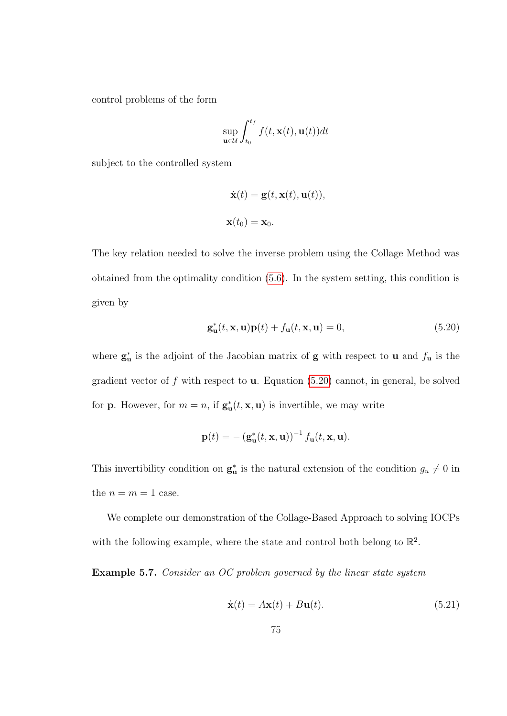control problems of the form

$$
\sup_{\mathbf{u}\in\mathcal{U}}\int_{t_0}^{t_f}f(t,\mathbf{x}(t),\mathbf{u}(t))dt
$$

subject to the controlled system

$$
\dot{\mathbf{x}}(t) = \mathbf{g}(t, \mathbf{x}(t), \mathbf{u}(t)),
$$
  

$$
\mathbf{x}(t_0) = \mathbf{x}_0.
$$

The key relation needed to solve the inverse problem using the Collage Method was obtained from the optimality condition [\(5.6\)](#page-68-0). In the system setting, this condition is given by

<span id="page-85-0"></span>
$$
\mathbf{g}_{\mathbf{u}}^{*}(t, \mathbf{x}, \mathbf{u})\mathbf{p}(t) + f_{\mathbf{u}}(t, \mathbf{x}, \mathbf{u}) = 0, \qquad (5.20)
$$

where  $\mathbf{g}_{\mathbf{u}}^*$  is the adjoint of the Jacobian matrix of  $\mathbf{g}$  with respect to **u** and  $f_{\mathbf{u}}$  is the gradient vector of  $f$  with respect to **u**. Equation [\(5.20\)](#page-85-0) cannot, in general, be solved for **p**. However, for  $m = n$ , if  $\mathbf{g}_{\mathbf{u}}^*(t, \mathbf{x}, \mathbf{u})$  is invertible, we may write

$$
\mathbf{p}(t) = -(\mathbf{g}_{\mathbf{u}}^*(t, \mathbf{x}, \mathbf{u}))^{-1} f_{\mathbf{u}}(t, \mathbf{x}, \mathbf{u}).
$$

This invertibility condition on  $\mathbf{g}_{\mathbf{u}}^*$  is the natural extension of the condition  $g_u \neq 0$  in the  $n = m = 1$  case.

We complete our demonstration of the Collage-Based Approach to solving IOCPs with the following example, where the state and control both belong to  $\mathbb{R}^2$ .

Example 5.7. Consider an OC problem governed by the linear state system

<span id="page-85-1"></span>
$$
\dot{\mathbf{x}}(t) = A\mathbf{x}(t) + B\mathbf{u}(t). \tag{5.21}
$$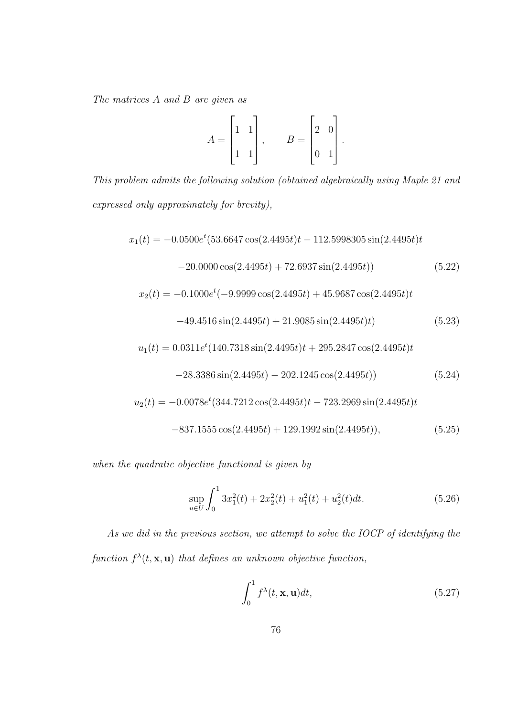The matrices A and B are given as

<span id="page-86-0"></span>
$$
A = \begin{bmatrix} 1 & 1 \\ 1 & 1 \\ 1 & 1 \end{bmatrix}, \qquad B = \begin{bmatrix} 2 & 0 \\ 0 & 1 \end{bmatrix}.
$$

This problem admits the following solution (obtained algebraically using Maple 21 and expressed only approximately for brevity),

$$
x_1(t) = -0.0500e^{t}(53.6647\cos(2.4495t)t - 112.5998305\sin(2.4495t)t
$$

$$
-20.0000\cos(2.4495t) + 72.6937\sin(2.4495t))
$$
(5.22)

$$
x_2(t) = -0.1000e^t(-9.9999\cos(2.4495t) + 45.9687\cos(2.4495t)t
$$

<span id="page-86-1"></span>
$$
-49.4516\sin(2.4495t) + 21.9085\sin(2.4495t)t)
$$
\n(5.23)

$$
u_1(t) = 0.0311e^t(140.7318\sin(2.4495t)t + 295.2847\cos(2.4495t)t
$$

<span id="page-86-2"></span>
$$
-28.3386\sin(2.4495t) - 202.1245\cos(2.4495t))
$$
\n(5.24)

$$
u_2(t) = -0.0078e^t(344.7212\cos(2.4495t)t - 723.2969\sin(2.4495t)t
$$
  

$$
-837.1555\cos(2.4495t) + 129.1992\sin(2.4495t)),
$$
 (5.25)

when the quadratic objective functional is given by

<span id="page-86-4"></span><span id="page-86-3"></span>
$$
\sup_{u \in U} \int_0^1 3x_1^2(t) + 2x_2^2(t) + u_1^2(t) + u_2^2(t)dt.
$$
\n(5.26)

As we did in the previous section, we attempt to solve the IOCP of identifying the function  $f^{\lambda}(t, \mathbf{x}, \mathbf{u})$  that defines an unknown objective function,

<span id="page-86-5"></span>
$$
\int_0^1 f^{\lambda}(t, \mathbf{x}, \mathbf{u}) dt,
$$
\n(5.27)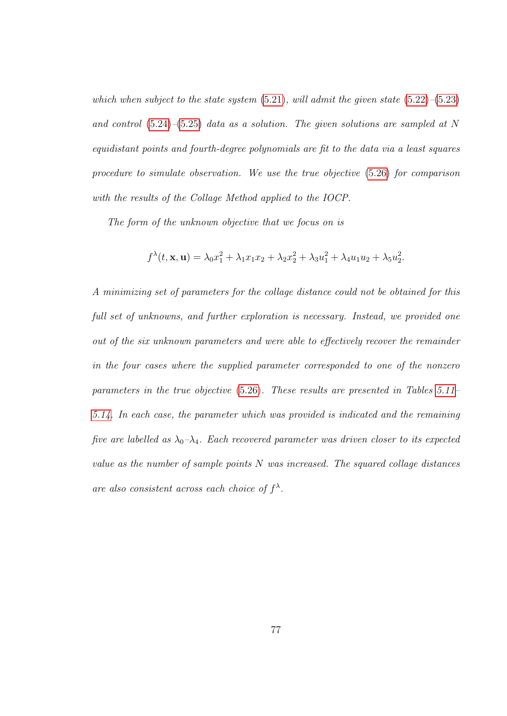which when subject to the state system  $(5.21)$ , will admit the given state  $(5.22)$ – $(5.23)$ and control  $(5.24)$ – $(5.25)$  data as a solution. The given solutions are sampled at N equidistant points and fourth-degree polynomials are fit to the data via a least squares procedure to simulate observation. We use the true objective [\(5.26\)](#page-86-4) for comparison with the results of the Collage Method applied to the IOCP.

The form of the unknown objective that we focus on is

$$
f^{\lambda}(t, \mathbf{x}, \mathbf{u}) = \lambda_0 x_1^2 + \lambda_1 x_1 x_2 + \lambda_2 x_2^2 + \lambda_3 u_1^2 + \lambda_4 u_1 u_2 + \lambda_5 u_2^2.
$$

A minimizing set of parameters for the collage distance could not be obtained for this full set of unknowns, and further exploration is necessary. Instead, we provided one out of the six unknown parameters and were able to effectively recover the remainder in the four cases where the supplied parameter corresponded to one of the nonzero parameters in the true objective [\(5.26\)](#page-86-4). These results are presented in Tables [5.11–](#page-88-0) [5.14.](#page-88-1) In each case, the parameter which was provided is indicated and the remaining five are labelled as  $\lambda_0 - \lambda_4$ . Each recovered parameter was driven closer to its expected value as the number of sample points N was increased. The squared collage distances are also consistent across each choice of  $f^{\lambda}$ .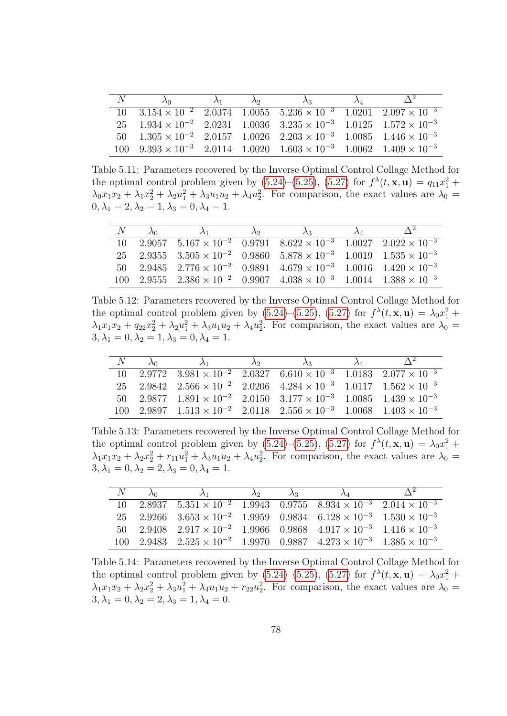| N |                                                                                                                               | $\lambda_1$ $\lambda_2$ | $\lambda_A$ |  |
|---|-------------------------------------------------------------------------------------------------------------------------------|-------------------------|-------------|--|
|   | $10\quad 3.154 \times 10^{-2}$ $2.0374$ $1.0055$ $5.236 \times 10^{-3}$ $1.0201$ $2.097 \times 10^{-3}$                       |                         |             |  |
|   | $25 \quad 1.934 \times 10^{-2} \quad 2.0231 \quad 1.0036 \quad 3.235 \times 10^{-3} \quad 1.0125 \quad 1.572 \times 10^{-3}$  |                         |             |  |
|   | $50 \quad 1.305 \times 10^{-2} \quad 2.0157 \quad 1.0026 \quad 2.203 \times 10^{-3} \quad 1.0085 \quad 1.446 \times 10^{-3}$  |                         |             |  |
|   | $100 \quad 9.393 \times 10^{-3} \quad 2.0114 \quad 1.0020 \quad 1.603 \times 10^{-3} \quad 1.0062 \quad 1.409 \times 10^{-3}$ |                         |             |  |

<span id="page-88-0"></span>Table 5.11: Parameters recovered by the Inverse Optimal Control Collage Method for the optimal control problem given by  $(5.24)$ – $(5.25)$ ,  $(5.27)$  for  $f^{\lambda}(t, \mathbf{x}, \mathbf{u}) = q_{11}x_1^2 +$  $\lambda_0 x_1 x_2 + \lambda_1 x_2^2 + \lambda_2 u_1^2 + \lambda_3 u_1 u_2 + \lambda_4 u_2^2$ . For comparison, the exact values are  $\lambda_0 =$  $0, \lambda_1 = 2, \lambda_2 = 1, \lambda_3 = 0, \lambda_4 = 1.$ 

|  | $N \lambda_0 \lambda_1 \lambda_2$                                                                                        | $\lambda_3$ | $\lambda_{\scriptscriptstyle{A}}$ | $\Delta^2$ |
|--|--------------------------------------------------------------------------------------------------------------------------|-------------|-----------------------------------|------------|
|  | $10\quad 2.9057\quad 5.167 \times 10^{-2} \quad 0.9791\quad 8.622 \times 10^{-3} \quad 1.0027\quad 2.022 \times 10^{-3}$ |             |                                   |            |
|  | $25\quad 2.9355\quad 3.505\times 10^{-2} \quad 0.9860\quad 5.878\times 10^{-3} \quad 1.0019\quad 1.535\times 10^{-3}$    |             |                                   |            |
|  | 50 2.9485 $2.776 \times 10^{-2}$ 0.9891 $4.679 \times 10^{-3}$ 1.0016 $1.420 \times 10^{-3}$                             |             |                                   |            |
|  | $100\quad 2.9555\quad 2.386\times 10^{-2} \quad 0.9907\quad 4.038\times 10^{-3} \quad 1.0014\quad 1.388\times 10^{-3}$   |             |                                   |            |

Table 5.12: Parameters recovered by the Inverse Optimal Control Collage Method for the optimal control problem given by  $(5.24)$ – $(5.25)$ ,  $(5.27)$  for  $f^{\lambda}(t, \mathbf{x}, \mathbf{u}) = \lambda_0 x_1^2 +$  $\lambda_1 x_1 x_2 + q_{22} x_2^2 + \lambda_2 u_1^2 + \lambda_3 u_1 u_2 + \lambda_4 u_2^2$ . For comparison, the exact values are  $\lambda_0 =$  $3, \lambda_1 = 0, \lambda_2 = 1, \lambda_3 = 0, \lambda_4 = 1.$ 

| $N \lambda_0$ | $\lambda_2$ |                                                                                                                            |  |
|---------------|-------------|----------------------------------------------------------------------------------------------------------------------------|--|
|               |             | $10\quad 2.9772\quad 3.981 \times 10^{-2} \quad 2.0327 \quad 6.610 \times 10^{-3} \quad 1.0183 \quad 2.077 \times 10^{-3}$ |  |
|               |             | 2.5 2.9842 2.566 $\times$ 10 <sup>-2</sup> 2.0206 4.284 $\times$ 10 <sup>-3</sup> 1.0117 1.562 $\times$ 10 <sup>-3</sup>   |  |
|               |             | 50 2.9877 $1.891 \times 10^{-2}$ 2.0150 $3.177 \times 10^{-3}$ 1.0085 $1.439 \times 10^{-3}$                               |  |
|               |             | $100\quad 2.9897\quad 1.513 \times 10^{-2} \quad 2.0118\quad 2.556 \times 10^{-3} \quad 1.0068\quad 1.403 \times 10^{-3}$  |  |

Table 5.13: Parameters recovered by the Inverse Optimal Control Collage Method for the optimal control problem given by  $(5.24)$ – $(5.25)$ ,  $(5.27)$  for  $f^{\lambda}(t, \mathbf{x}, \mathbf{u}) = \lambda_0 x_1^2 +$  $\lambda_1 x_1 x_2 + \lambda_2 x_2^2 + r_{11} u_1^2 + \lambda_3 u_1 u_2 + \lambda_4 u_2^2$ . For comparison, the exact values are  $\lambda_0 =$  $3, \lambda_1 = 0, \lambda_2 = 2, \lambda_3 = 0, \lambda_4 = 1.$ 

| N | $\lambda_0$ | $\lambda_1$                                                                                                              | $\lambda_2$ $\lambda_3$ |  |  |
|---|-------------|--------------------------------------------------------------------------------------------------------------------------|-------------------------|--|--|
|   |             | $10\quad 2.8937\quad 5.351 \times 10^{-2} \quad 1.9943\quad 0.9755\quad 8.934 \times 10^{-3} \quad 2.014 \times 10^{-3}$ |                         |  |  |
|   |             | $25\quad 2.9266\quad 3.653 \times 10^{-2} \quad 1.9959\quad 0.9834\quad 6.128 \times 10^{-3} \quad 1.530 \times 10^{-3}$ |                         |  |  |
|   |             | $50\quad 2.9408\quad 2.917 \times 10^{-2} \quad 1.9966\quad 0.9868\quad 4.917 \times 10^{-3} \quad 1.416 \times 10^{-3}$ |                         |  |  |
|   |             | $100\quad 2.9483\quad 2.525\times 10^{-2}\quad 1.9970\quad 0.9887\quad 4.273\times 10^{-3}\quad 1.385\times 10^{-3}$     |                         |  |  |

<span id="page-88-1"></span>Table 5.14: Parameters recovered by the Inverse Optimal Control Collage Method for the optimal control problem given by [\(5.24\)](#page-86-2)–[\(5.25\)](#page-86-3), [\(5.27\)](#page-86-5) for  $f^{\lambda}(t, \mathbf{x}, \mathbf{u}) = \lambda_0 x_1^2 +$  $\lambda_1 x_1 x_2 + \lambda_2 x_2^2 + \lambda_3 u_1^2 + \lambda_4 u_1 u_2 + r_{22} u_2^2$ . For comparison, the exact values are  $\lambda_0 =$  $3, \lambda_1 = 0, \lambda_2 = 2, \lambda_3 = 1, \lambda_4 = 0.$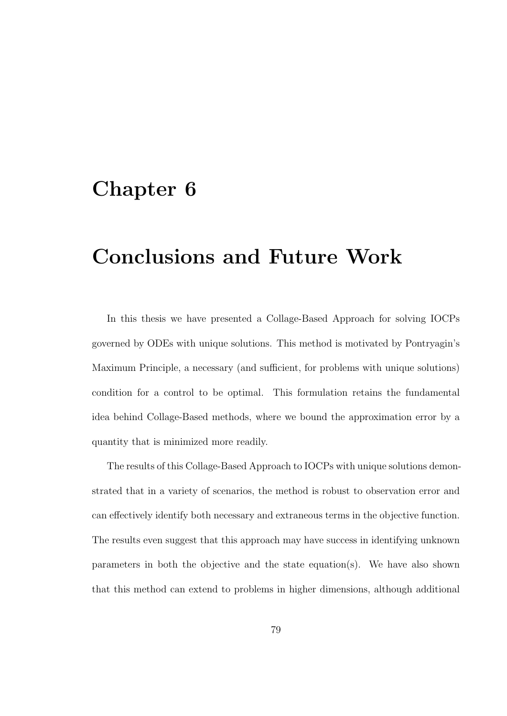### Chapter 6

## Conclusions and Future Work

In this thesis we have presented a Collage-Based Approach for solving IOCPs governed by ODEs with unique solutions. This method is motivated by Pontryagin's Maximum Principle, a necessary (and sufficient, for problems with unique solutions) condition for a control to be optimal. This formulation retains the fundamental idea behind Collage-Based methods, where we bound the approximation error by a quantity that is minimized more readily.

The results of this Collage-Based Approach to IOCPs with unique solutions demonstrated that in a variety of scenarios, the method is robust to observation error and can effectively identify both necessary and extraneous terms in the objective function. The results even suggest that this approach may have success in identifying unknown parameters in both the objective and the state equation(s). We have also shown that this method can extend to problems in higher dimensions, although additional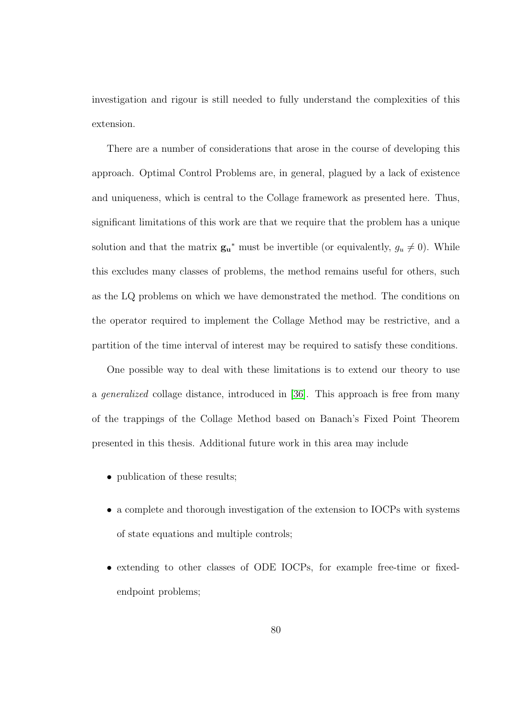investigation and rigour is still needed to fully understand the complexities of this extension.

There are a number of considerations that arose in the course of developing this approach. Optimal Control Problems are, in general, plagued by a lack of existence and uniqueness, which is central to the Collage framework as presented here. Thus, significant limitations of this work are that we require that the problem has a unique solution and that the matrix  $\mathbf{g}_{u}^{*}$  must be invertible (or equivalently,  $g_{u} \neq 0$ ). While this excludes many classes of problems, the method remains useful for others, such as the LQ problems on which we have demonstrated the method. The conditions on the operator required to implement the Collage Method may be restrictive, and a partition of the time interval of interest may be required to satisfy these conditions.

One possible way to deal with these limitations is to extend our theory to use a generalized collage distance, introduced in [\[36\]](#page-96-0). This approach is free from many of the trappings of the Collage Method based on Banach's Fixed Point Theorem presented in this thesis. Additional future work in this area may include

- publication of these results;
- a complete and thorough investigation of the extension to IOCPs with systems of state equations and multiple controls;
- extending to other classes of ODE IOCPs, for example free-time or fixedendpoint problems;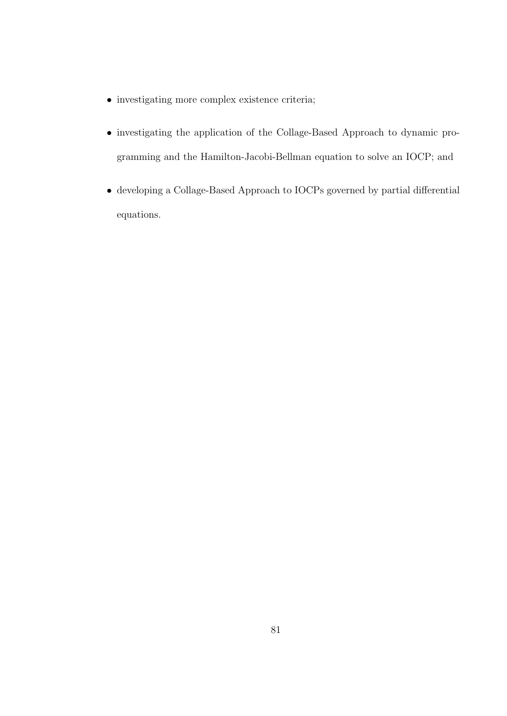- investigating more complex existence criteria;
- investigating the application of the Collage-Based Approach to dynamic programming and the Hamilton-Jacobi-Bellman equation to solve an IOCP; and
- developing a Collage-Based Approach to IOCPs governed by partial differential equations.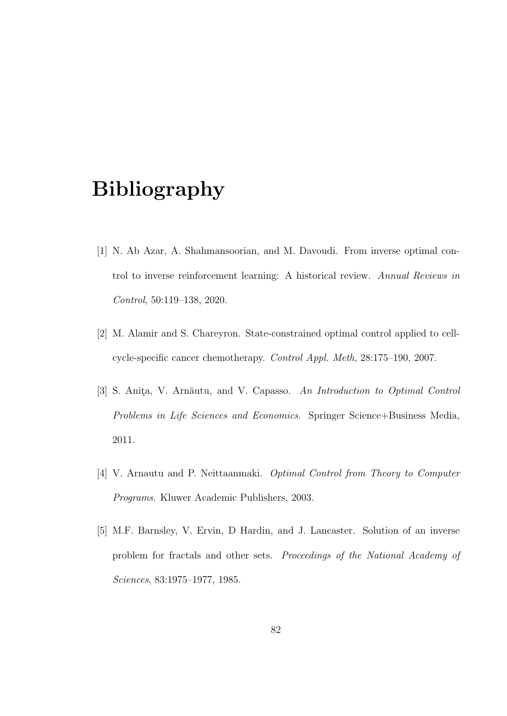# Bibliography

- [1] N. Ab Azar, A. Shahmansoorian, and M. Davoudi. From inverse optimal control to inverse reinforcement learning: A historical review. Annual Reviews in Control, 50:119–138, 2020.
- [2] M. Alamir and S. Chareyron. State-constrained optimal control applied to cellcycle-specific cancer chemotherapy. Control Appl. Meth, 28:175–190, 2007.
- <span id="page-92-0"></span>[3] S. Anita, V. Arnăutu, and V. Capasso. An Introduction to Optimal Control Problems in Life Sciences and Economics. Springer Science+Business Media, 2011.
- [4] V. Arnautu and P. Neittaanmaki. Optimal Control from Theory to Computer Programs. Kluwer Academic Publishers, 2003.
- [5] M.F. Barnsley, V. Ervin, D Hardin, and J. Lancaster. Solution of an inverse problem for fractals and other sets. Proceedings of the National Academy of Sciences, 83:1975–1977, 1985.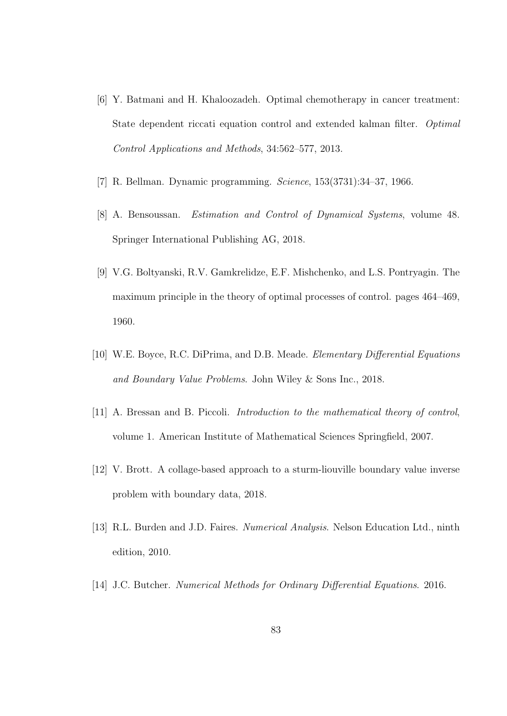- [6] Y. Batmani and H. Khaloozadeh. Optimal chemotherapy in cancer treatment: State dependent riccati equation control and extended kalman filter. Optimal Control Applications and Methods, 34:562–577, 2013.
- [7] R. Bellman. Dynamic programming. Science, 153(3731):34–37, 1966.
- [8] A. Bensoussan. Estimation and Control of Dynamical Systems, volume 48. Springer International Publishing AG, 2018.
- [9] V.G. Boltyanski, R.V. Gamkrelidze, E.F. Mishchenko, and L.S. Pontryagin. The maximum principle in the theory of optimal processes of control. pages 464–469, 1960.
- [10] W.E. Boyce, R.C. DiPrima, and D.B. Meade. Elementary Differential Equations and Boundary Value Problems. John Wiley & Sons Inc., 2018.
- [11] A. Bressan and B. Piccoli. Introduction to the mathematical theory of control, volume 1. American Institute of Mathematical Sciences Springfield, 2007.
- [12] V. Brott. A collage-based approach to a sturm-liouville boundary value inverse problem with boundary data, 2018.
- [13] R.L. Burden and J.D. Faires. Numerical Analysis. Nelson Education Ltd., ninth edition, 2010.
- [14] J.C. Butcher. Numerical Methods for Ordinary Differential Equations. 2016.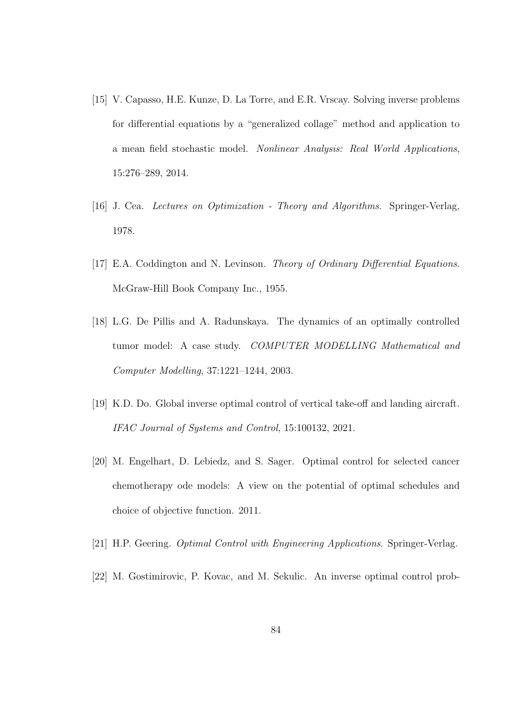- [15] V. Capasso, H.E. Kunze, D. La Torre, and E.R. Vrscay. Solving inverse problems for differential equations by a "generalized collage" method and application to a mean field stochastic model. Nonlinear Analysis: Real World Applications, 15:276–289, 2014.
- [16] J. Cea. Lectures on Optimization Theory and Algorithms. Springer-Verlag, 1978.
- [17] E.A. Coddington and N. Levinson. Theory of Ordinary Differential Equations. McGraw-Hill Book Company Inc., 1955.
- [18] L.G. De Pillis and A. Radunskaya. The dynamics of an optimally controlled tumor model: A case study. COMPUTER MODELLING Mathematical and Computer Modelling, 37:1221–1244, 2003.
- [19] K.D. Do. Global inverse optimal control of vertical take-off and landing aircraft. IFAC Journal of Systems and Control, 15:100132, 2021.
- [20] M. Engelhart, D. Lebiedz, and S. Sager. Optimal control for selected cancer chemotherapy ode models: A view on the potential of optimal schedules and choice of objective function. 2011.
- [21] H.P. Geering. Optimal Control with Engineering Applications. Springer-Verlag.
- [22] M. Gostimirovic, P. Kovac, and M. Sekulic. An inverse optimal control prob-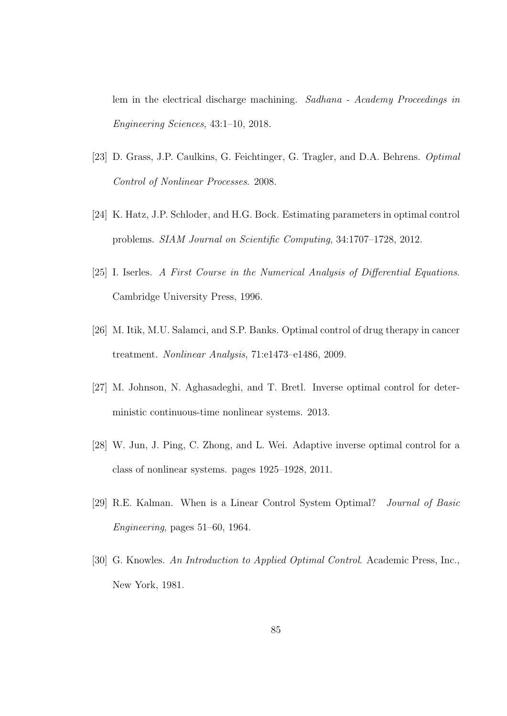lem in the electrical discharge machining. Sadhana - Academy Proceedings in Engineering Sciences, 43:1–10, 2018.

- [23] D. Grass, J.P. Caulkins, G. Feichtinger, G. Tragler, and D.A. Behrens. Optimal Control of Nonlinear Processes. 2008.
- [24] K. Hatz, J.P. Schloder, and H.G. Bock. Estimating parameters in optimal control problems. SIAM Journal on Scientific Computing, 34:1707–1728, 2012.
- [25] I. Iserles. A First Course in the Numerical Analysis of Differential Equations. Cambridge University Press, 1996.
- [26] M. Itik, M.U. Salamci, and S.P. Banks. Optimal control of drug therapy in cancer treatment. Nonlinear Analysis, 71:e1473–e1486, 2009.
- [27] M. Johnson, N. Aghasadeghi, and T. Bretl. Inverse optimal control for deterministic continuous-time nonlinear systems. 2013.
- [28] W. Jun, J. Ping, C. Zhong, and L. Wei. Adaptive inverse optimal control for a class of nonlinear systems. pages 1925–1928, 2011.
- [29] R.E. Kalman. When is a Linear Control System Optimal? Journal of Basic Engineering, pages 51–60, 1964.
- [30] G. Knowles. An Introduction to Applied Optimal Control. Academic Press, Inc., New York, 1981.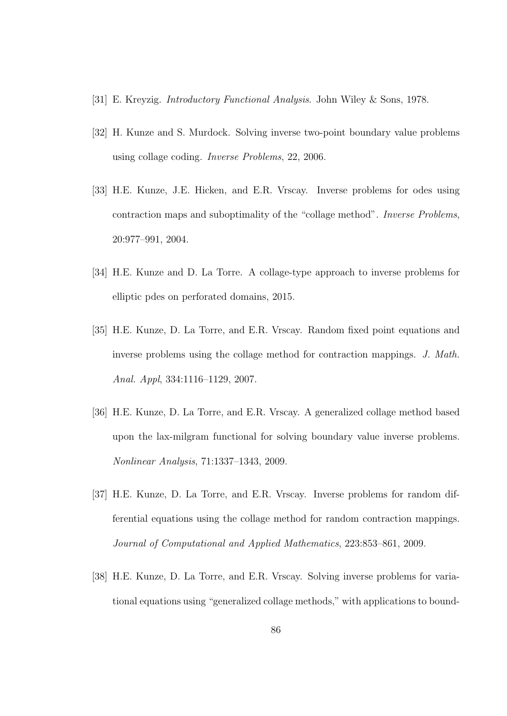- [31] E. Kreyzig. Introductory Functional Analysis. John Wiley & Sons, 1978.
- [32] H. Kunze and S. Murdock. Solving inverse two-point boundary value problems using collage coding. Inverse Problems, 22, 2006.
- [33] H.E. Kunze, J.E. Hicken, and E.R. Vrscay. Inverse problems for odes using contraction maps and suboptimality of the "collage method". Inverse Problems, 20:977–991, 2004.
- [34] H.E. Kunze and D. La Torre. A collage-type approach to inverse problems for elliptic pdes on perforated domains, 2015.
- [35] H.E. Kunze, D. La Torre, and E.R. Vrscay. Random fixed point equations and inverse problems using the collage method for contraction mappings. J. Math. Anal. Appl, 334:1116–1129, 2007.
- <span id="page-96-0"></span>[36] H.E. Kunze, D. La Torre, and E.R. Vrscay. A generalized collage method based upon the lax-milgram functional for solving boundary value inverse problems. Nonlinear Analysis, 71:1337–1343, 2009.
- [37] H.E. Kunze, D. La Torre, and E.R. Vrscay. Inverse problems for random differential equations using the collage method for random contraction mappings. Journal of Computational and Applied Mathematics, 223:853–861, 2009.
- [38] H.E. Kunze, D. La Torre, and E.R. Vrscay. Solving inverse problems for variational equations using "generalized collage methods," with applications to bound-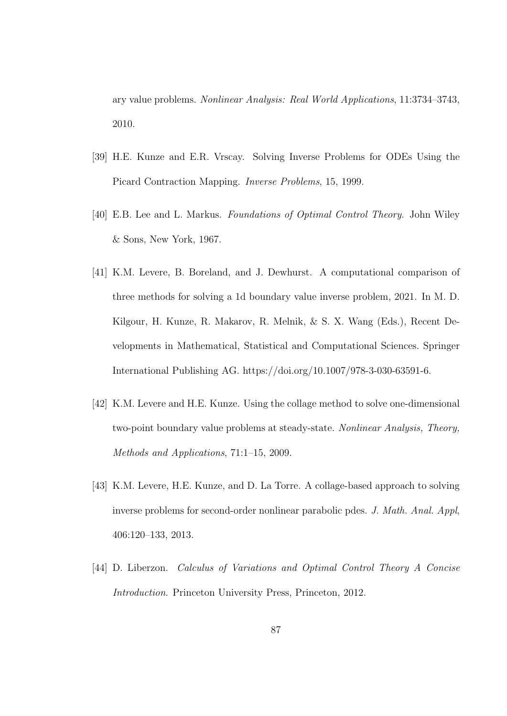ary value problems. Nonlinear Analysis: Real World Applications, 11:3734–3743, 2010.

- [39] H.E. Kunze and E.R. Vrscay. Solving Inverse Problems for ODEs Using the Picard Contraction Mapping. Inverse Problems, 15, 1999.
- [40] E.B. Lee and L. Markus. Foundations of Optimal Control Theory. John Wiley & Sons, New York, 1967.
- [41] K.M. Levere, B. Boreland, and J. Dewhurst. A computational comparison of three methods for solving a 1d boundary value inverse problem, 2021. In M. D. Kilgour, H. Kunze, R. Makarov, R. Melnik, & S. X. Wang (Eds.), Recent Developments in Mathematical, Statistical and Computational Sciences. Springer International Publishing AG. https://doi.org/10.1007/978-3-030-63591-6.
- [42] K.M. Levere and H.E. Kunze. Using the collage method to solve one-dimensional two-point boundary value problems at steady-state. Nonlinear Analysis, Theory, Methods and Applications, 71:1–15, 2009.
- [43] K.M. Levere, H.E. Kunze, and D. La Torre. A collage-based approach to solving inverse problems for second-order nonlinear parabolic pdes. J. Math. Anal. Appl, 406:120–133, 2013.
- [44] D. Liberzon. Calculus of Variations and Optimal Control Theory A Concise Introduction. Princeton University Press, Princeton, 2012.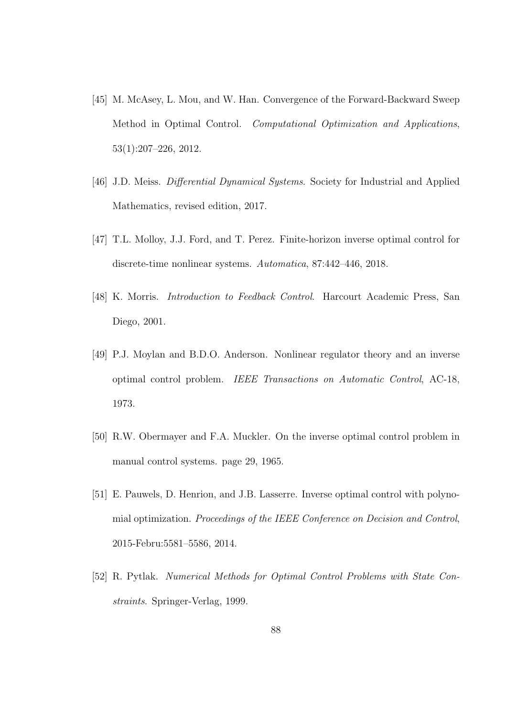- [45] M. McAsey, L. Mou, and W. Han. Convergence of the Forward-Backward Sweep Method in Optimal Control. Computational Optimization and Applications, 53(1):207–226, 2012.
- [46] J.D. Meiss. *Differential Dynamical Systems*. Society for Industrial and Applied Mathematics, revised edition, 2017.
- [47] T.L. Molloy, J.J. Ford, and T. Perez. Finite-horizon inverse optimal control for discrete-time nonlinear systems. Automatica, 87:442–446, 2018.
- [48] K. Morris. Introduction to Feedback Control. Harcourt Academic Press, San Diego, 2001.
- [49] P.J. Moylan and B.D.O. Anderson. Nonlinear regulator theory and an inverse optimal control problem. IEEE Transactions on Automatic Control, AC-18, 1973.
- [50] R.W. Obermayer and F.A. Muckler. On the inverse optimal control problem in manual control systems. page 29, 1965.
- [51] E. Pauwels, D. Henrion, and J.B. Lasserre. Inverse optimal control with polynomial optimization. Proceedings of the IEEE Conference on Decision and Control, 2015-Febru:5581–5586, 2014.
- [52] R. Pytlak. Numerical Methods for Optimal Control Problems with State Constraints. Springer-Verlag, 1999.